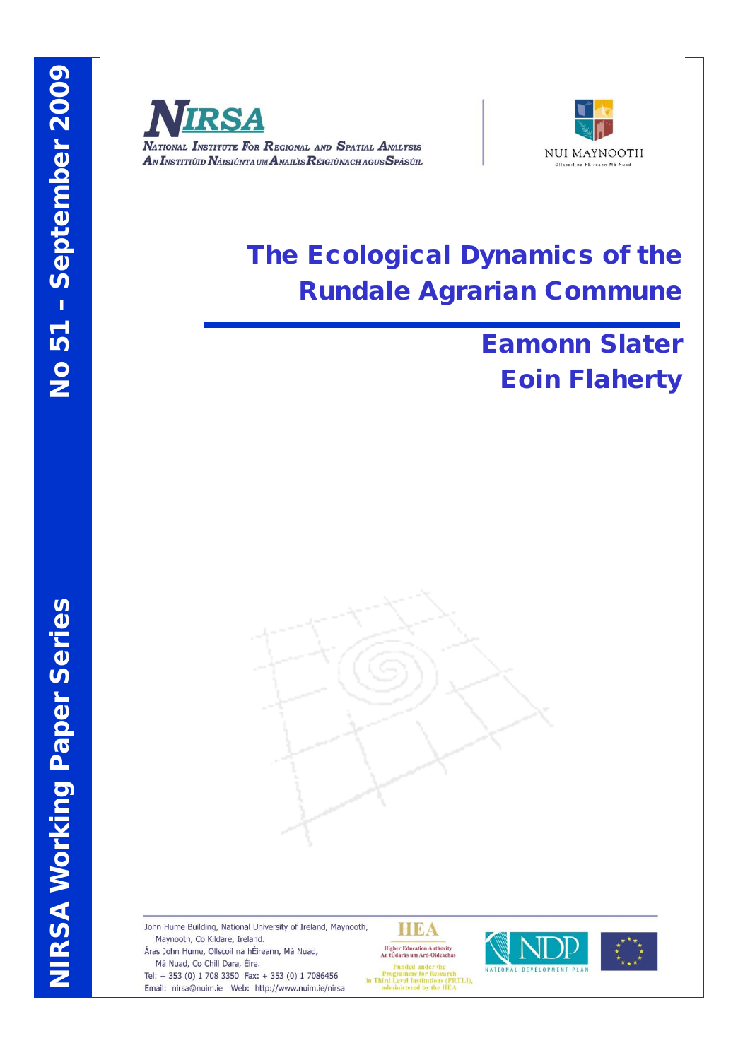

NATIONAL INSTITUTE FOR REGIONAL AND SPATIAL ANALYSIS AN INSTITIÚID NÁISIÚNTA UM ANAILIS RÉIGIÚNACH AGUS SPÁSÚIL



# The Ecological Dynamics of the Rundale Agrarian Commune

# Eamonn Slater Eoin Flaherty



John Hume Building, National University of Ireland, Maynooth, Maynooth, Co Kildare, Ireland.

Áras John Hume, Ollscoil na hÉireann, Má Nuad, Má Nuad, Co Chill Dara, Éire.

Tel: + 353 (0) 1 708 3350 Fax: + 353 (0) 1 7086456 Email: nirsa@nuim.ie Web: http://www.nuim.ie/nirsa

HEA **Higher Education Authority<br>An tUdarás um Ard-Oideachas** 

**Funded** under the rungen under the<br>Programme for Research<br>in Third Level Institutions (PRTLI),<br>administered by the HEA



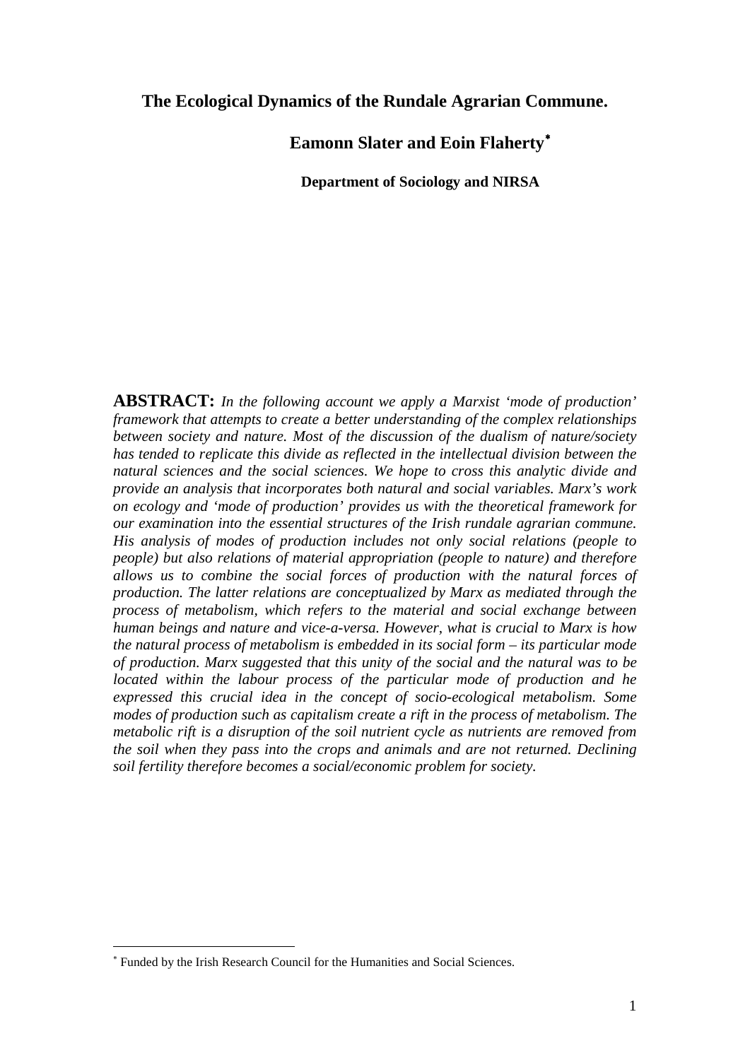## **The Ecological Dynamics of the Rundale Agrarian Commune.**

**Eamonn Slater and Eoin Flaherty**[∗](#page-1-0)

**Department of Sociology and NIRSA**

**ABSTRACT:** *In the following account we apply a Marxist 'mode of production' framework that attempts to create a better understanding of the complex relationships between society and nature. Most of the discussion of the dualism of nature/society has tended to replicate this divide as reflected in the intellectual division between the natural sciences and the social sciences. We hope to cross this analytic divide and provide an analysis that incorporates both natural and social variables. Marx's work on ecology and 'mode of production' provides us with the theoretical framework for our examination into the essential structures of the Irish rundale agrarian commune. His analysis of modes of production includes not only social relations (people to people) but also relations of material appropriation (people to nature) and therefore allows us to combine the social forces of production with the natural forces of production. The latter relations are conceptualized by Marx as mediated through the process of metabolism, which refers to the material and social exchange between human beings and nature and vice-a-versa. However, what is crucial to Marx is how the natural process of metabolism is embedded in its social form – its particular mode of production. Marx suggested that this unity of the social and the natural was to be located within the labour process of the particular mode of production and he expressed this crucial idea in the concept of socio-ecological metabolism. Some modes of production such as capitalism create a rift in the process of metabolism. The metabolic rift is a disruption of the soil nutrient cycle as nutrients are removed from the soil when they pass into the crops and animals and are not returned. Declining soil fertility therefore becomes a social/economic problem for society.*

 $\overline{a}$ 

<span id="page-1-0"></span><sup>∗</sup> Funded by the Irish Research Council for the Humanities and Social Sciences.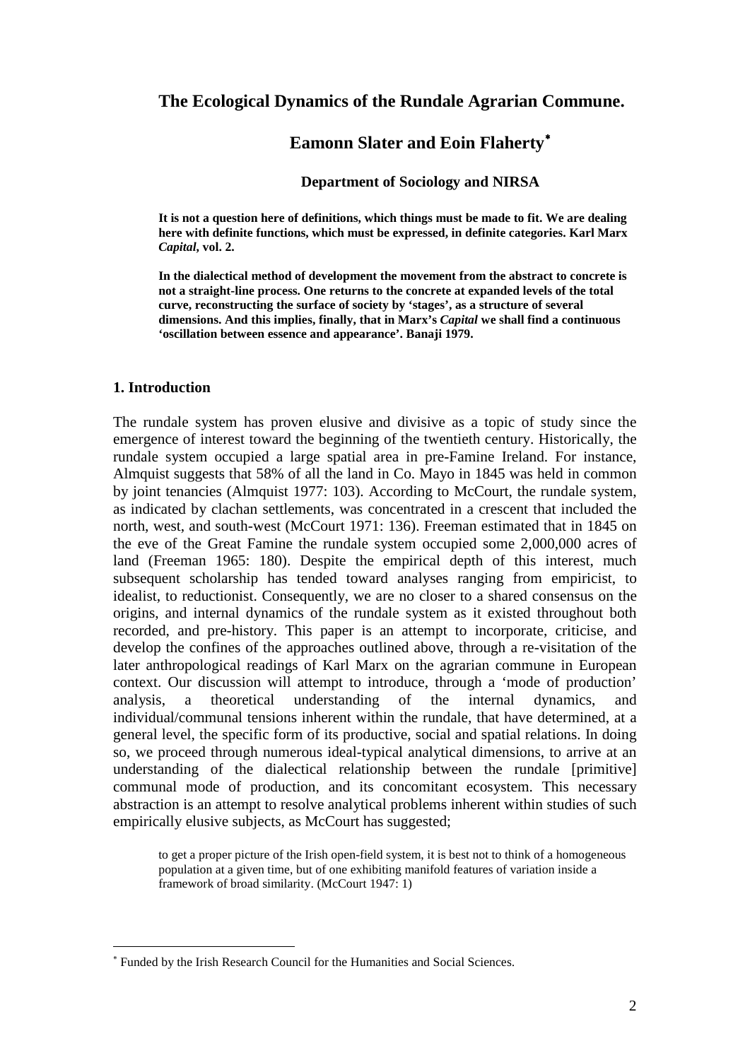## **The Ecological Dynamics of the Rundale Agrarian Commune.**

# **Eamonn Slater and Eoin Flaherty**[∗](#page-2-0)

#### **Department of Sociology and NIRSA**

**It is not a question here of definitions, which things must be made to fit. We are dealing here with definite functions, which must be expressed, in definite categories. Karl Marx**  *Capital***, vol. 2.**

**In the dialectical method of development the movement from the abstract to concrete is not a straight-line process. One returns to the concrete at expanded levels of the total curve, reconstructing the surface of society by 'stages', as a structure of several dimensions. And this implies, finally, that in Marx's** *Capital* **we shall find a continuous 'oscillation between essence and appearance'. Banaji 1979.**

#### **1. Introduction**

 $\overline{a}$ 

The rundale system has proven elusive and divisive as a topic of study since the emergence of interest toward the beginning of the twentieth century. Historically, the rundale system occupied a large spatial area in pre-Famine Ireland. For instance, Almquist suggests that 58% of all the land in Co. Mayo in 1845 was held in common by joint tenancies (Almquist 1977: 103). According to McCourt, the rundale system, as indicated by clachan settlements, was concentrated in a crescent that included the north, west, and south-west (McCourt 1971: 136). Freeman estimated that in 1845 on the eve of the Great Famine the rundale system occupied some 2,000,000 acres of land (Freeman 1965: 180). Despite the empirical depth of this interest, much subsequent scholarship has tended toward analyses ranging from empiricist, to idealist, to reductionist. Consequently, we are no closer to a shared consensus on the origins, and internal dynamics of the rundale system as it existed throughout both recorded, and pre-history. This paper is an attempt to incorporate, criticise, and develop the confines of the approaches outlined above, through a re-visitation of the later anthropological readings of Karl Marx on the agrarian commune in European context. Our discussion will attempt to introduce, through a 'mode of production' analysis, a theoretical understanding of the internal dynamics, and individual/communal tensions inherent within the rundale, that have determined, at a general level, the specific form of its productive, social and spatial relations. In doing so, we proceed through numerous ideal-typical analytical dimensions, to arrive at an understanding of the dialectical relationship between the rundale [primitive] communal mode of production, and its concomitant ecosystem. This necessary abstraction is an attempt to resolve analytical problems inherent within studies of such empirically elusive subjects, as McCourt has suggested;

to get a proper picture of the Irish open-field system, it is best not to think of a homogeneous population at a given time, but of one exhibiting manifold features of variation inside a framework of broad similarity. (McCourt 1947: 1)

<span id="page-2-0"></span><sup>∗</sup> Funded by the Irish Research Council for the Humanities and Social Sciences.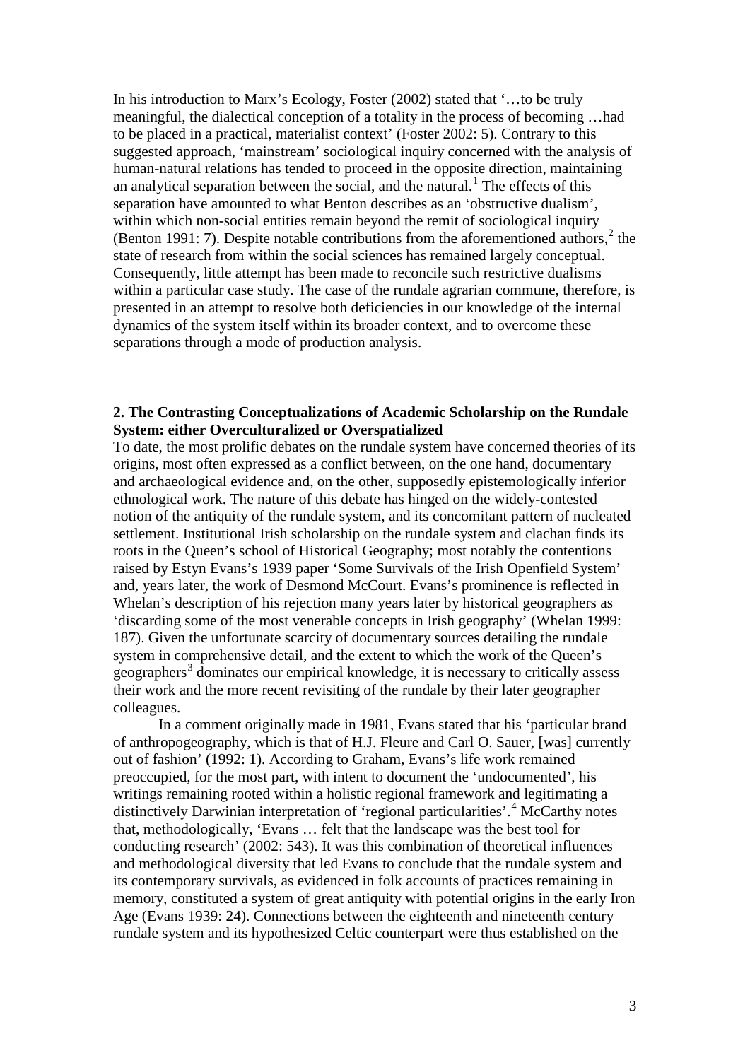In his introduction to Marx's Ecology, Foster (2002) stated that '…to be truly meaningful, the dialectical conception of a totality in the process of becoming …had to be placed in a practical, materialist context' (Foster 2002: 5). Contrary to this suggested approach, 'mainstream' sociological inquiry concerned with the analysis of human-natural relations has tended to proceed in the opposite direction, maintaining an analytical separation between the social, and the natural.<sup>[1](#page-32-0)</sup> The effects of this separation have amounted to what Benton describes as an 'obstructive dualism', within which non-social entities remain beyond the remit of sociological inquiry (Benton 1991: 7). Despite notable contributions from the aforementioned authors, $<sup>2</sup>$  $<sup>2</sup>$  $<sup>2</sup>$  the</sup> state of research from within the social sciences has remained largely conceptual. Consequently, little attempt has been made to reconcile such restrictive dualisms within a particular case study. The case of the rundale agrarian commune, therefore, is presented in an attempt to resolve both deficiencies in our knowledge of the internal dynamics of the system itself within its broader context, and to overcome these separations through a mode of production analysis.

## **2. The Contrasting Conceptualizations of Academic Scholarship on the Rundale System: either Overculturalized or Overspatialized**

To date, the most prolific debates on the rundale system have concerned theories of its origins, most often expressed as a conflict between, on the one hand, documentary and archaeological evidence and, on the other, supposedly epistemologically inferior ethnological work. The nature of this debate has hinged on the widely-contested notion of the antiquity of the rundale system, and its concomitant pattern of nucleated settlement. Institutional Irish scholarship on the rundale system and clachan finds its roots in the Queen's school of Historical Geography; most notably the contentions raised by Estyn Evans's 1939 paper 'Some Survivals of the Irish Openfield System' and, years later, the work of Desmond McCourt. Evans's prominence is reflected in Whelan's description of his rejection many years later by historical geographers as 'discarding some of the most venerable concepts in Irish geography' (Whelan 1999: 187). Given the unfortunate scarcity of documentary sources detailing the rundale system in comprehensive detail, and the extent to which the work of the Queen's geographers<sup>[3](#page-32-2)</sup> dominates our empirical knowledge, it is necessary to critically assess their work and the more recent revisiting of the rundale by their later geographer colleagues.

In a comment originally made in 1981, Evans stated that his 'particular brand of anthropogeography, which is that of H.J. Fleure and Carl O. Sauer, [was] currently out of fashion' (1992: 1). According to Graham, Evans's life work remained preoccupied, for the most part, with intent to document the 'undocumented', his writings remaining rooted within a holistic regional framework and legitimating a distinctively Darwinian interpretation of 'regional particularities'. [4](#page-32-3) McCarthy notes that, methodologically, 'Evans … felt that the landscape was the best tool for conducting research' (2002: 543). It was this combination of theoretical influences and methodological diversity that led Evans to conclude that the rundale system and its contemporary survivals, as evidenced in folk accounts of practices remaining in memory, constituted a system of great antiquity with potential origins in the early Iron Age (Evans 1939: 24). Connections between the eighteenth and nineteenth century rundale system and its hypothesized Celtic counterpart were thus established on the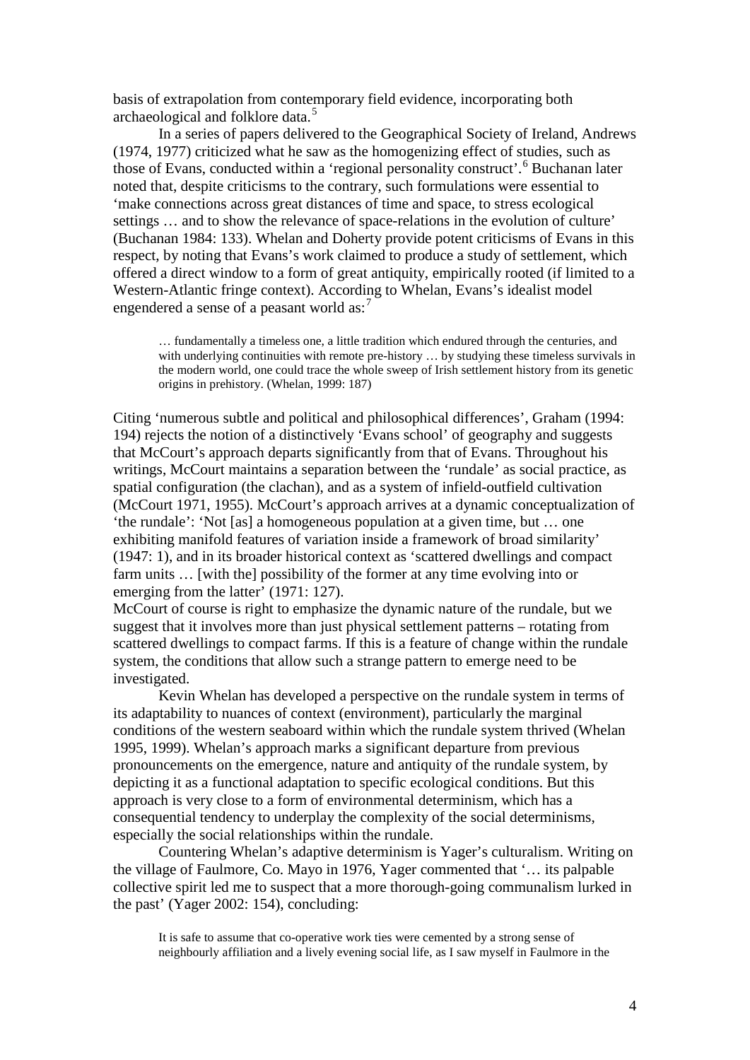basis of extrapolation from contemporary field evidence, incorporating both archaeological and folklore data.<sup>[5](#page-32-4)</sup>

In a series of papers delivered to the Geographical Society of Ireland, Andrews (1974, 1977) criticized what he saw as the homogenizing effect of studies, such as those of Evans, conducted within a 'regional personality construct'.<sup>[6](#page-32-5)</sup> Buchanan later noted that, despite criticisms to the contrary, such formulations were essential to 'make connections across great distances of time and space, to stress ecological settings … and to show the relevance of space-relations in the evolution of culture' (Buchanan 1984: 133). Whelan and Doherty provide potent criticisms of Evans in this respect, by noting that Evans's work claimed to produce a study of settlement, which offered a direct window to a form of great antiquity, empirically rooted (if limited to a Western-Atlantic fringe context). According to Whelan, Evans's idealist model engendered a sense of a peasant world as:<sup>[7](#page-33-0)</sup>

… fundamentally a timeless one, a little tradition which endured through the centuries, and with underlying continuities with remote pre-history ... by studying these timeless survivals in the modern world, one could trace the whole sweep of Irish settlement history from its genetic origins in prehistory. (Whelan, 1999: 187)

Citing 'numerous subtle and political and philosophical differences', Graham (1994: 194) rejects the notion of a distinctively 'Evans school' of geography and suggests that McCourt's approach departs significantly from that of Evans. Throughout his writings, McCourt maintains a separation between the 'rundale' as social practice, as spatial configuration (the clachan), and as a system of infield-outfield cultivation (McCourt 1971, 1955). McCourt's approach arrives at a dynamic conceptualization of 'the rundale': 'Not [as] a homogeneous population at a given time, but … one exhibiting manifold features of variation inside a framework of broad similarity' (1947: 1), and in its broader historical context as 'scattered dwellings and compact farm units … [with the] possibility of the former at any time evolving into or emerging from the latter' (1971: 127).

McCourt of course is right to emphasize the dynamic nature of the rundale, but we suggest that it involves more than just physical settlement patterns – rotating from scattered dwellings to compact farms. If this is a feature of change within the rundale system, the conditions that allow such a strange pattern to emerge need to be investigated.

Kevin Whelan has developed a perspective on the rundale system in terms of its adaptability to nuances of context (environment), particularly the marginal conditions of the western seaboard within which the rundale system thrived (Whelan 1995, 1999). Whelan's approach marks a significant departure from previous pronouncements on the emergence, nature and antiquity of the rundale system, by depicting it as a functional adaptation to specific ecological conditions. But this approach is very close to a form of environmental determinism, which has a consequential tendency to underplay the complexity of the social determinisms, especially the social relationships within the rundale.

Countering Whelan's adaptive determinism is Yager's culturalism. Writing on the village of Faulmore, Co. Mayo in 1976, Yager commented that '… its palpable collective spirit led me to suspect that a more thorough-going communalism lurked in the past' (Yager 2002: 154), concluding:

It is safe to assume that co-operative work ties were cemented by a strong sense of neighbourly affiliation and a lively evening social life, as I saw myself in Faulmore in the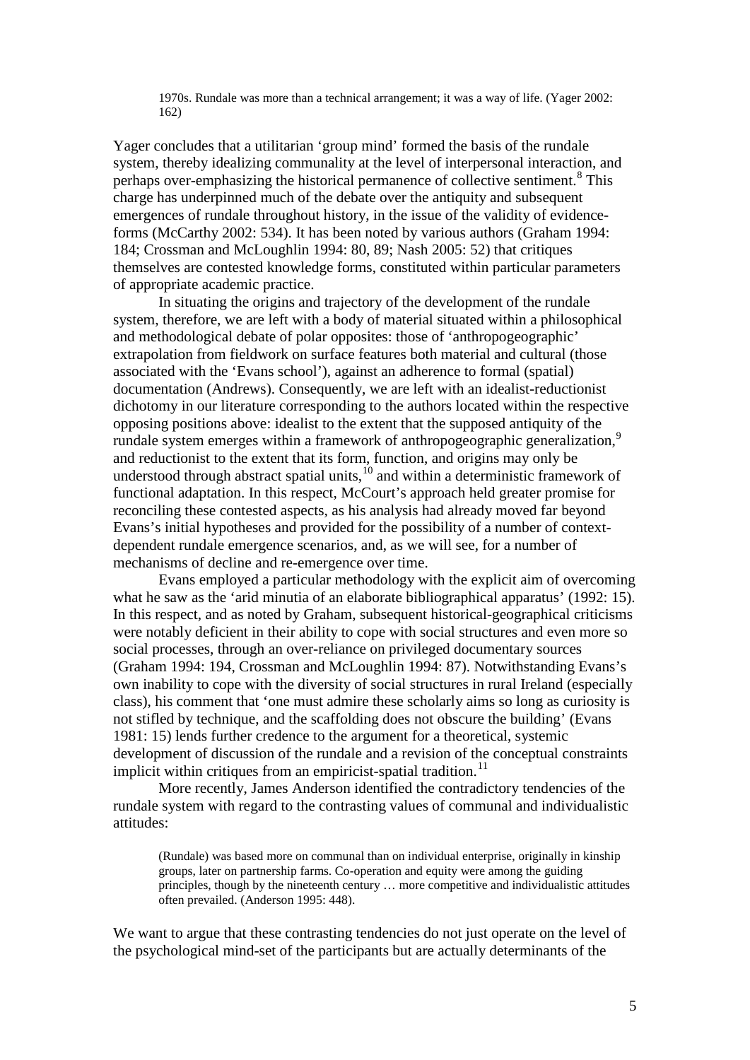1970s. Rundale was more than a technical arrangement; it was a way of life. (Yager 2002: 162)

Yager concludes that a utilitarian 'group mind' formed the basis of the rundale system, thereby idealizing communality at the level of interpersonal interaction, and perhaps over-emphasizing the historical permanence of collective sentiment.<sup>[8](#page-34-0)</sup> This charge has underpinned much of the debate over the antiquity and subsequent emergences of rundale throughout history, in the issue of the validity of evidenceforms (McCarthy 2002: 534). It has been noted by various authors (Graham 1994: 184; Crossman and McLoughlin 1994: 80, 89; Nash 2005: 52) that critiques themselves are contested knowledge forms, constituted within particular parameters of appropriate academic practice.

In situating the origins and trajectory of the development of the rundale system, therefore, we are left with a body of material situated within a philosophical and methodological debate of polar opposites: those of 'anthropogeographic' extrapolation from fieldwork on surface features both material and cultural (those associated with the 'Evans school'), against an adherence to formal (spatial) documentation (Andrews). Consequently, we are left with an idealist-reductionist dichotomy in our literature corresponding to the authors located within the respective opposing positions above: idealist to the extent that the supposed antiquity of the rundale system emerges within a framework of anthropogeographic generalization.<sup>[9](#page-34-1)</sup> and reductionist to the extent that its form, function, and origins may only be understood through abstract spatial units,<sup>[10](#page-34-2)</sup> and within a deterministic framework of functional adaptation. In this respect, McCourt's approach held greater promise for reconciling these contested aspects, as his analysis had already moved far beyond Evans's initial hypotheses and provided for the possibility of a number of contextdependent rundale emergence scenarios, and, as we will see, for a number of mechanisms of decline and re-emergence over time.

Evans employed a particular methodology with the explicit aim of overcoming what he saw as the 'arid minutia of an elaborate bibliographical apparatus' (1992: 15). In this respect, and as noted by Graham, subsequent historical-geographical criticisms were notably deficient in their ability to cope with social structures and even more so social processes, through an over-reliance on privileged documentary sources (Graham 1994: 194, Crossman and McLoughlin 1994: 87). Notwithstanding Evans's own inability to cope with the diversity of social structures in rural Ireland (especially class), his comment that 'one must admire these scholarly aims so long as curiosity is not stifled by technique, and the scaffolding does not obscure the building' (Evans 1981: 15) lends further credence to the argument for a theoretical, systemic development of discussion of the rundale and a revision of the conceptual constraints implicit within critiques from an empiricist-spatial tradition.<sup>[11](#page-34-3)</sup>

More recently, James Anderson identified the contradictory tendencies of the rundale system with regard to the contrasting values of communal and individualistic attitudes:

(Rundale) was based more on communal than on individual enterprise, originally in kinship groups, later on partnership farms. Co-operation and equity were among the guiding principles, though by the nineteenth century … more competitive and individualistic attitudes often prevailed. (Anderson 1995: 448).

We want to argue that these contrasting tendencies do not just operate on the level of the psychological mind-set of the participants but are actually determinants of the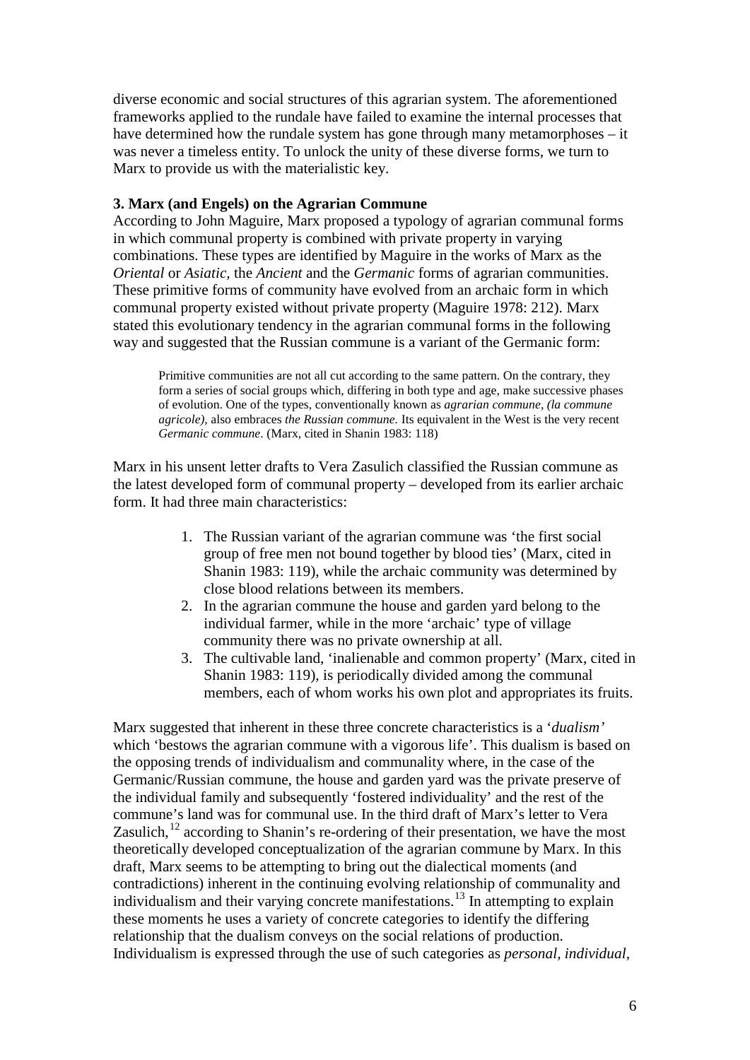diverse economic and social structures of this agrarian system. The aforementioned frameworks applied to the rundale have failed to examine the internal processes that have determined how the rundale system has gone through many metamorphoses – it was never a timeless entity. To unlock the unity of these diverse forms, we turn to Marx to provide us with the materialistic key.

## **3. Marx (and Engels) on the Agrarian Commune**

According to John Maguire, Marx proposed a typology of agrarian communal forms in which communal property is combined with private property in varying combinations. These types are identified by Maguire in the works of Marx as the *Oriental* or *Asiatic,* the *Ancient* and the *Germanic* forms of agrarian communities. These primitive forms of community have evolved from an archaic form in which communal property existed without private property (Maguire 1978: 212). Marx stated this evolutionary tendency in the agrarian communal forms in the following way and suggested that the Russian commune is a variant of the Germanic form:

Primitive communities are not all cut according to the same pattern. On the contrary, they form a series of social groups which, differing in both type and age, make successive phases of evolution. One of the types, conventionally known as *agrarian commune, (la commune agricole),* also embraces *the Russian commune.* Its equivalent in the West is the very recent *Germanic commune*. (Marx, cited in Shanin 1983: 118)

Marx in his unsent letter drafts to Vera Zasulich classified the Russian commune as the latest developed form of communal property – developed from its earlier archaic form. It had three main characteristics:

- 1. The Russian variant of the agrarian commune was 'the first social group of free men not bound together by blood ties' (Marx, cited in Shanin 1983: 119), while the archaic community was determined by close blood relations between its members.
- 2. In the agrarian commune the house and garden yard belong to the individual farmer, while in the more 'archaic' type of village community there was no private ownership at all.
- 3. The cultivable land, 'inalienable and common property' (Marx, cited in Shanin 1983: 119), is periodically divided among the communal members, each of whom works his own plot and appropriates its fruits.

Marx suggested that inherent in these three concrete characteristics is a '*dualism'* which 'bestows the agrarian commune with a vigorous life'. This dualism is based on the opposing trends of individualism and communality where, in the case of the Germanic/Russian commune, the house and garden yard was the private preserve of the individual family and subsequently 'fostered individuality' and the rest of the commune's land was for communal use. In the third draft of Marx's letter to Vera Zasulich, $12$  according to Shanin's re-ordering of their presentation, we have the most theoretically developed conceptualization of the agrarian commune by Marx. In this draft, Marx seems to be attempting to bring out the dialectical moments (and contradictions) inherent in the continuing evolving relationship of communality and individualism and their varying concrete manifestations.[13](#page-34-5) In attempting to explain these moments he uses a variety of concrete categories to identify the differing relationship that the dualism conveys on the social relations of production. Individualism is expressed through the use of such categories as *personal, individual,*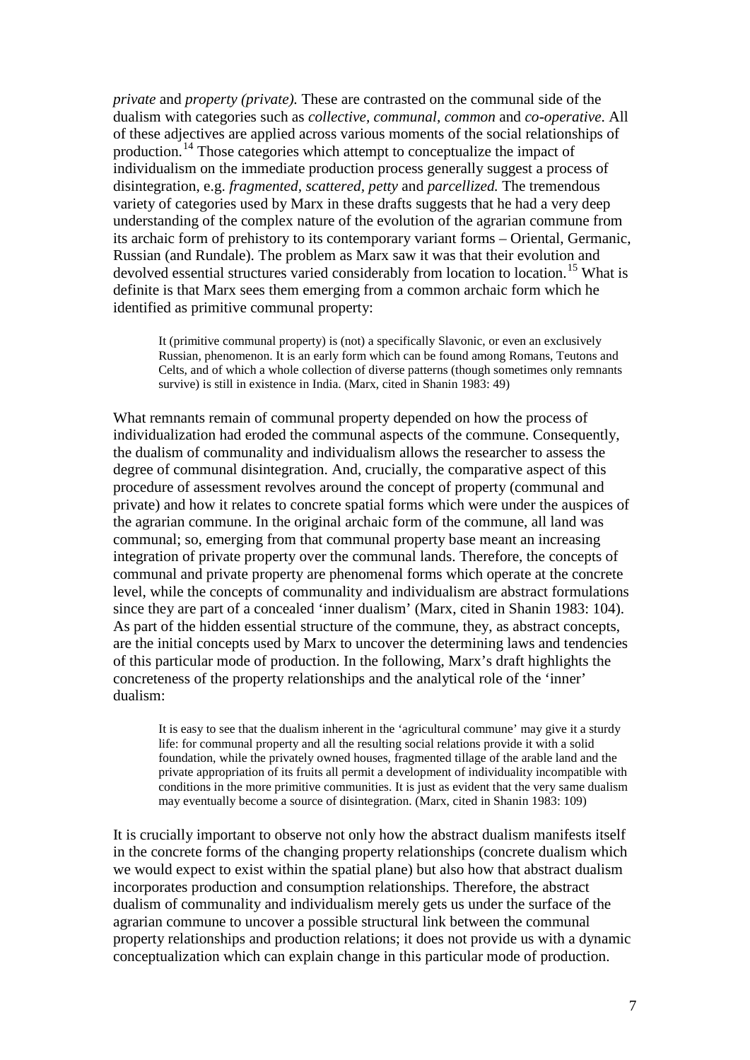*private* and *property (private).* These are contrasted on the communal side of the dualism with categories such as *collective, communal, common* and *co-operative*. All of these adjectives are applied across various moments of the social relationships of production.[14](#page-35-0) Those categories which attempt to conceptualize the impact of individualism on the immediate production process generally suggest a process of disintegration, e.g. *fragmented, scattered, petty* and *parcellized.* The tremendous variety of categories used by Marx in these drafts suggests that he had a very deep understanding of the complex nature of the evolution of the agrarian commune from its archaic form of prehistory to its contemporary variant forms – Oriental, Germanic, Russian (and Rundale). The problem as Marx saw it was that their evolution and devolved essential structures varied considerably from location to location.<sup>[15](#page-35-1)</sup> What is definite is that Marx sees them emerging from a common archaic form which he identified as primitive communal property:

It (primitive communal property) is (not) a specifically Slavonic, or even an exclusively Russian, phenomenon. It is an early form which can be found among Romans, Teutons and Celts, and of which a whole collection of diverse patterns (though sometimes only remnants survive) is still in existence in India. (Marx, cited in Shanin 1983: 49)

What remnants remain of communal property depended on how the process of individualization had eroded the communal aspects of the commune. Consequently, the dualism of communality and individualism allows the researcher to assess the degree of communal disintegration. And, crucially, the comparative aspect of this procedure of assessment revolves around the concept of property (communal and private) and how it relates to concrete spatial forms which were under the auspices of the agrarian commune. In the original archaic form of the commune, all land was communal; so, emerging from that communal property base meant an increasing integration of private property over the communal lands. Therefore, the concepts of communal and private property are phenomenal forms which operate at the concrete level, while the concepts of communality and individualism are abstract formulations since they are part of a concealed 'inner dualism' (Marx, cited in Shanin 1983: 104). As part of the hidden essential structure of the commune, they, as abstract concepts, are the initial concepts used by Marx to uncover the determining laws and tendencies of this particular mode of production. In the following, Marx's draft highlights the concreteness of the property relationships and the analytical role of the 'inner' dualism:

It is easy to see that the dualism inherent in the 'agricultural commune' may give it a sturdy life: for communal property and all the resulting social relations provide it with a solid foundation, while the privately owned houses, fragmented tillage of the arable land and the private appropriation of its fruits all permit a development of individuality incompatible with conditions in the more primitive communities. It is just as evident that the very same dualism may eventually become a source of disintegration. (Marx, cited in Shanin 1983: 109)

It is crucially important to observe not only how the abstract dualism manifests itself in the concrete forms of the changing property relationships (concrete dualism which we would expect to exist within the spatial plane) but also how that abstract dualism incorporates production and consumption relationships. Therefore, the abstract dualism of communality and individualism merely gets us under the surface of the agrarian commune to uncover a possible structural link between the communal property relationships and production relations; it does not provide us with a dynamic conceptualization which can explain change in this particular mode of production.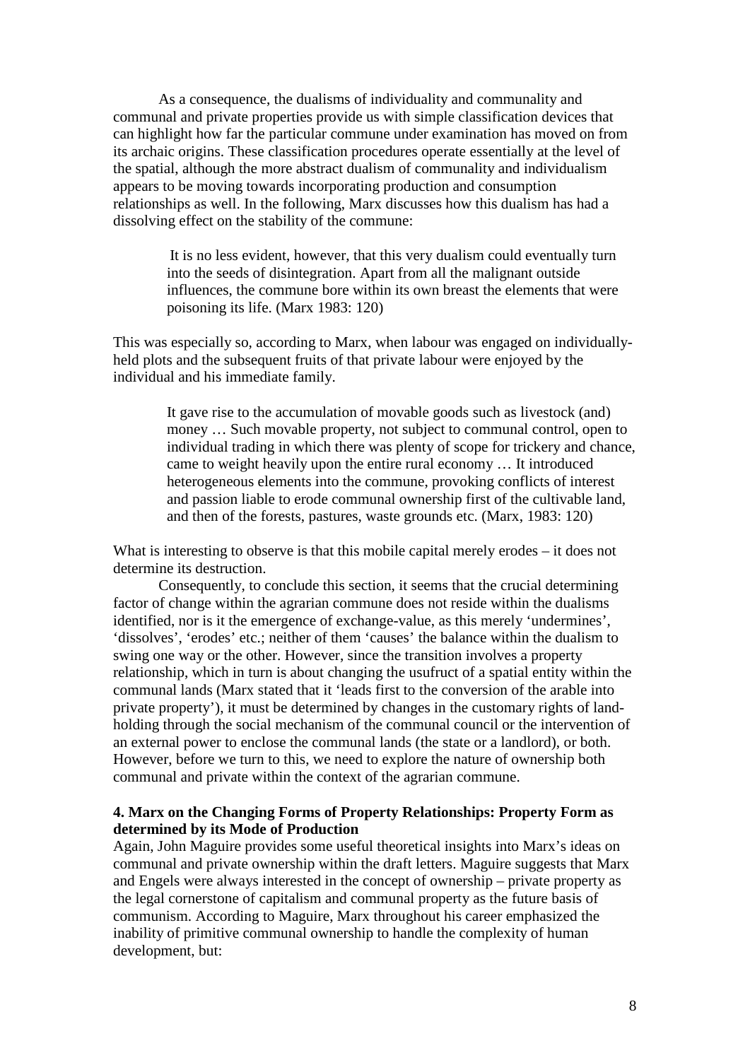As a consequence, the dualisms of individuality and communality and communal and private properties provide us with simple classification devices that can highlight how far the particular commune under examination has moved on from its archaic origins. These classification procedures operate essentially at the level of the spatial, although the more abstract dualism of communality and individualism appears to be moving towards incorporating production and consumption relationships as well. In the following, Marx discusses how this dualism has had a dissolving effect on the stability of the commune:

> It is no less evident, however, that this very dualism could eventually turn into the seeds of disintegration. Apart from all the malignant outside influences, the commune bore within its own breast the elements that were poisoning its life. (Marx 1983: 120)

This was especially so, according to Marx, when labour was engaged on individuallyheld plots and the subsequent fruits of that private labour were enjoyed by the individual and his immediate family.

> It gave rise to the accumulation of movable goods such as livestock (and) money … Such movable property, not subject to communal control, open to individual trading in which there was plenty of scope for trickery and chance, came to weight heavily upon the entire rural economy … It introduced heterogeneous elements into the commune, provoking conflicts of interest and passion liable to erode communal ownership first of the cultivable land, and then of the forests, pastures, waste grounds etc. (Marx, 1983: 120)

What is interesting to observe is that this mobile capital merely erodes – it does not determine its destruction.

Consequently, to conclude this section, it seems that the crucial determining factor of change within the agrarian commune does not reside within the dualisms identified, nor is it the emergence of exchange-value, as this merely 'undermines', 'dissolves', 'erodes' etc.; neither of them 'causes' the balance within the dualism to swing one way or the other. However, since the transition involves a property relationship, which in turn is about changing the usufruct of a spatial entity within the communal lands (Marx stated that it 'leads first to the conversion of the arable into private property'), it must be determined by changes in the customary rights of landholding through the social mechanism of the communal council or the intervention of an external power to enclose the communal lands (the state or a landlord), or both. However, before we turn to this, we need to explore the nature of ownership both communal and private within the context of the agrarian commune.

## **4. Marx on the Changing Forms of Property Relationships: Property Form as determined by its Mode of Production**

Again, John Maguire provides some useful theoretical insights into Marx's ideas on communal and private ownership within the draft letters. Maguire suggests that Marx and Engels were always interested in the concept of ownership – private property as the legal cornerstone of capitalism and communal property as the future basis of communism. According to Maguire, Marx throughout his career emphasized the inability of primitive communal ownership to handle the complexity of human development, but: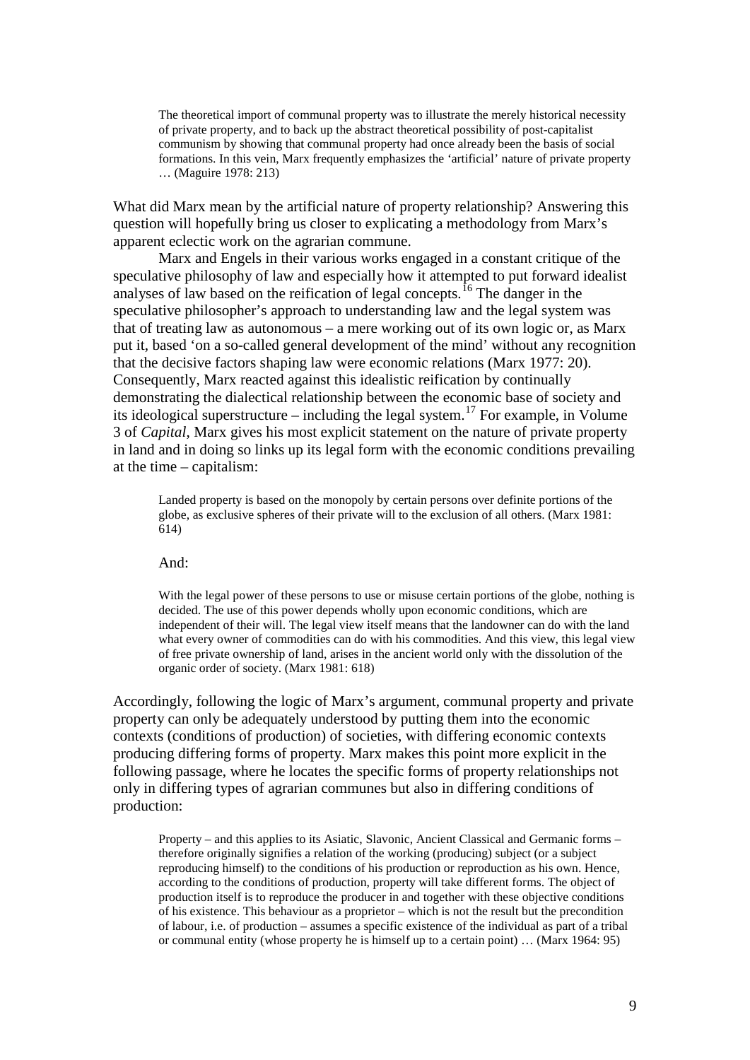The theoretical import of communal property was to illustrate the merely historical necessity of private property, and to back up the abstract theoretical possibility of post-capitalist communism by showing that communal property had once already been the basis of social formations. In this vein, Marx frequently emphasizes the 'artificial' nature of private property … (Maguire 1978: 213)

What did Marx mean by the artificial nature of property relationship? Answering this question will hopefully bring us closer to explicating a methodology from Marx's apparent eclectic work on the agrarian commune.

Marx and Engels in their various works engaged in a constant critique of the speculative philosophy of law and especially how it attempted to put forward idealist analyses of law based on the reification of legal concepts.<sup>[16](#page-35-2)</sup> The danger in the speculative philosopher's approach to understanding law and the legal system was that of treating law as autonomous – a mere working out of its own logic or, as Marx put it, based 'on a so-called general development of the mind' without any recognition that the decisive factors shaping law were economic relations (Marx 1977: 20). Consequently, Marx reacted against this idealistic reification by continually demonstrating the dialectical relationship between the economic base of society and its ideological superstructure – including the legal system.<sup>[17](#page-35-3)</sup> For example, in Volume 3 of *Capital*, Marx gives his most explicit statement on the nature of private property in land and in doing so links up its legal form with the economic conditions prevailing at the time – capitalism:

Landed property is based on the monopoly by certain persons over definite portions of the globe, as exclusive spheres of their private will to the exclusion of all others. (Marx 1981: 614)

And:

With the legal power of these persons to use or misuse certain portions of the globe, nothing is decided. The use of this power depends wholly upon economic conditions, which are independent of their will. The legal view itself means that the landowner can do with the land what every owner of commodities can do with his commodities. And this view, this legal view of free private ownership of land, arises in the ancient world only with the dissolution of the organic order of society. (Marx 1981: 618)

Accordingly, following the logic of Marx's argument, communal property and private property can only be adequately understood by putting them into the economic contexts (conditions of production) of societies, with differing economic contexts producing differing forms of property. Marx makes this point more explicit in the following passage, where he locates the specific forms of property relationships not only in differing types of agrarian communes but also in differing conditions of production:

Property – and this applies to its Asiatic, Slavonic, Ancient Classical and Germanic forms – therefore originally signifies a relation of the working (producing) subject (or a subject reproducing himself) to the conditions of his production or reproduction as his own. Hence, according to the conditions of production, property will take different forms. The object of production itself is to reproduce the producer in and together with these objective conditions of his existence. This behaviour as a proprietor – which is not the result but the precondition of labour, i.e. of production – assumes a specific existence of the individual as part of a tribal or communal entity (whose property he is himself up to a certain point) … (Marx 1964: 95)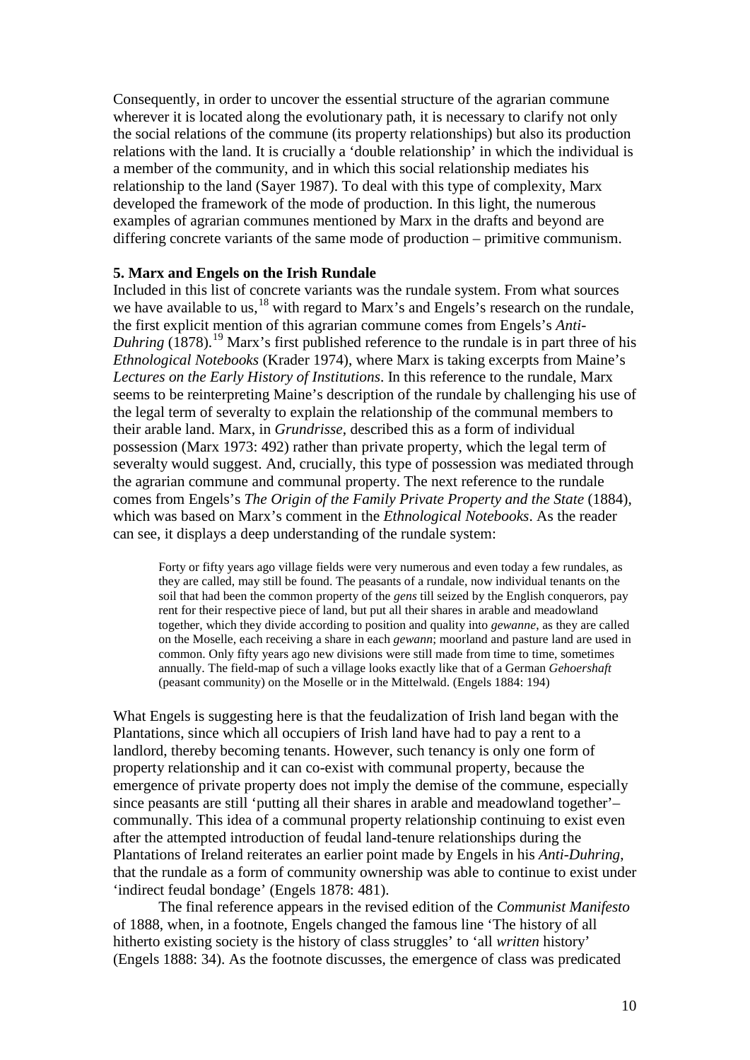Consequently, in order to uncover the essential structure of the agrarian commune wherever it is located along the evolutionary path, it is necessary to clarify not only the social relations of the commune (its property relationships) but also its production relations with the land. It is crucially a 'double relationship' in which the individual is a member of the community, and in which this social relationship mediates his relationship to the land (Sayer 1987). To deal with this type of complexity, Marx developed the framework of the mode of production. In this light, the numerous examples of agrarian communes mentioned by Marx in the drafts and beyond are differing concrete variants of the same mode of production – primitive communism.

## **5. Marx and Engels on the Irish Rundale**

Included in this list of concrete variants was the rundale system. From what sources we have available to us,<sup>[18](#page-35-4)</sup> with regard to Marx's and Engels's research on the rundale, the first explicit mention of this agrarian commune comes from Engels's *Anti-*Duhring (1878).<sup>[19](#page-35-5)</sup> Marx's first published reference to the rundale is in part three of his *Ethnological Notebooks* (Krader 1974), where Marx is taking excerpts from Maine's *Lectures on the Early History of Institutions*. In this reference to the rundale, Marx seems to be reinterpreting Maine's description of the rundale by challenging his use of the legal term of severalty to explain the relationship of the communal members to their arable land. Marx, in *Grundrisse*, described this as a form of individual possession (Marx 1973: 492) rather than private property, which the legal term of severalty would suggest. And, crucially, this type of possession was mediated through the agrarian commune and communal property. The next reference to the rundale comes from Engels's *The Origin of the Family Private Property and the State* (1884), which was based on Marx's comment in the *Ethnological Notebooks*. As the reader can see, it displays a deep understanding of the rundale system:

Forty or fifty years ago village fields were very numerous and even today a few rundales, as they are called, may still be found. The peasants of a rundale, now individual tenants on the soil that had been the common property of the *gens* till seized by the English conquerors, pay rent for their respective piece of land, but put all their shares in arable and meadowland together, which they divide according to position and quality into *gewanne*, as they are called on the Moselle, each receiving a share in each *gewann*; moorland and pasture land are used in common. Only fifty years ago new divisions were still made from time to time, sometimes annually. The field-map of such a village looks exactly like that of a German *Gehoershaft* (peasant community) on the Moselle or in the Mittelwald. (Engels 1884: 194)

What Engels is suggesting here is that the feudalization of Irish land began with the Plantations, since which all occupiers of Irish land have had to pay a rent to a landlord, thereby becoming tenants. However, such tenancy is only one form of property relationship and it can co-exist with communal property, because the emergence of private property does not imply the demise of the commune, especially since peasants are still 'putting all their shares in arable and meadowland together'– communally. This idea of a communal property relationship continuing to exist even after the attempted introduction of feudal land-tenure relationships during the Plantations of Ireland reiterates an earlier point made by Engels in his *Anti-Duhring*, that the rundale as a form of community ownership was able to continue to exist under 'indirect feudal bondage' (Engels 1878: 481).

The final reference appears in the revised edition of the *Communist Manifesto* of 1888, when, in a footnote, Engels changed the famous line 'The history of all hitherto existing society is the history of class struggles' to 'all *written* history' (Engels 1888: 34). As the footnote discusses, the emergence of class was predicated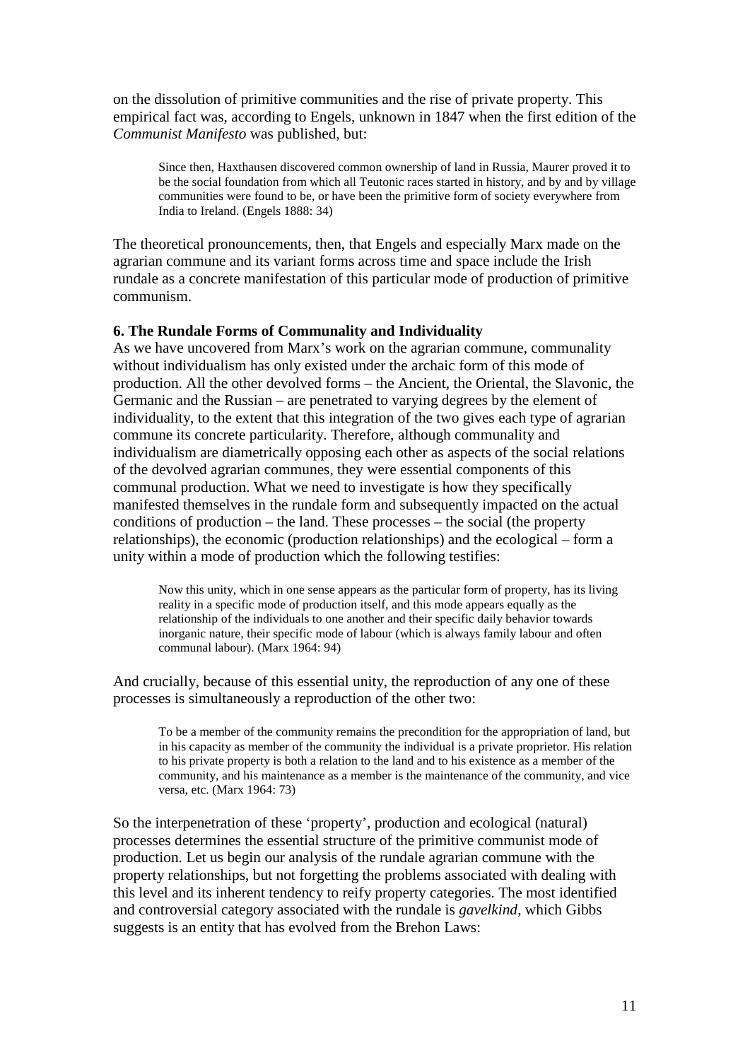on the dissolution of primitive communities and the rise of private property. This empirical fact was, according to Engels, unknown in 1847 when the first edition of the *Communist Manifesto* was published, but:

Since then, Haxthausen discovered common ownership of land in Russia, Maurer proved it to be the social foundation from which all Teutonic races started in history, and by and by village communities were found to be, or have been the primitive form of society everywhere from India to Ireland. (Engels 1888: 34)

The theoretical pronouncements, then, that Engels and especially Marx made on the agrarian commune and its variant forms across time and space include the Irish rundale as a concrete manifestation of this particular mode of production of primitive communism.

## **6. The Rundale Forms of Communality and Individuality**

As we have uncovered from Marx's work on the agrarian commune, communality without individualism has only existed under the archaic form of this mode of production. All the other devolved forms – the Ancient, the Oriental, the Slavonic, the Germanic and the Russian – are penetrated to varying degrees by the element of individuality, to the extent that this integration of the two gives each type of agrarian commune its concrete particularity. Therefore, although communality and individualism are diametrically opposing each other as aspects of the social relations of the devolved agrarian communes, they were essential components of this communal production. What we need to investigate is how they specifically manifested themselves in the rundale form and subsequently impacted on the actual conditions of production – the land. These processes – the social (the property relationships), the economic (production relationships) and the ecological – form a unity within a mode of production which the following testifies:

Now this unity, which in one sense appears as the particular form of property, has its living reality in a specific mode of production itself, and this mode appears equally as the relationship of the individuals to one another and their specific daily behavior towards inorganic nature, their specific mode of labour (which is always family labour and often communal labour). (Marx 1964: 94)

And crucially, because of this essential unity, the reproduction of any one of these processes is simultaneously a reproduction of the other two:

To be a member of the community remains the precondition for the appropriation of land, but in his capacity as member of the community the individual is a private proprietor. His relation to his private property is both a relation to the land and to his existence as a member of the community, and his maintenance as a member is the maintenance of the community, and vice versa, etc. (Marx 1964: 73)

So the interpenetration of these 'property', production and ecological (natural) processes determines the essential structure of the primitive communist mode of production. Let us begin our analysis of the rundale agrarian commune with the property relationships, but not forgetting the problems associated with dealing with this level and its inherent tendency to reify property categories. The most identified and controversial category associated with the rundale is *gavelkind*, which Gibbs suggests is an entity that has evolved from the Brehon Laws: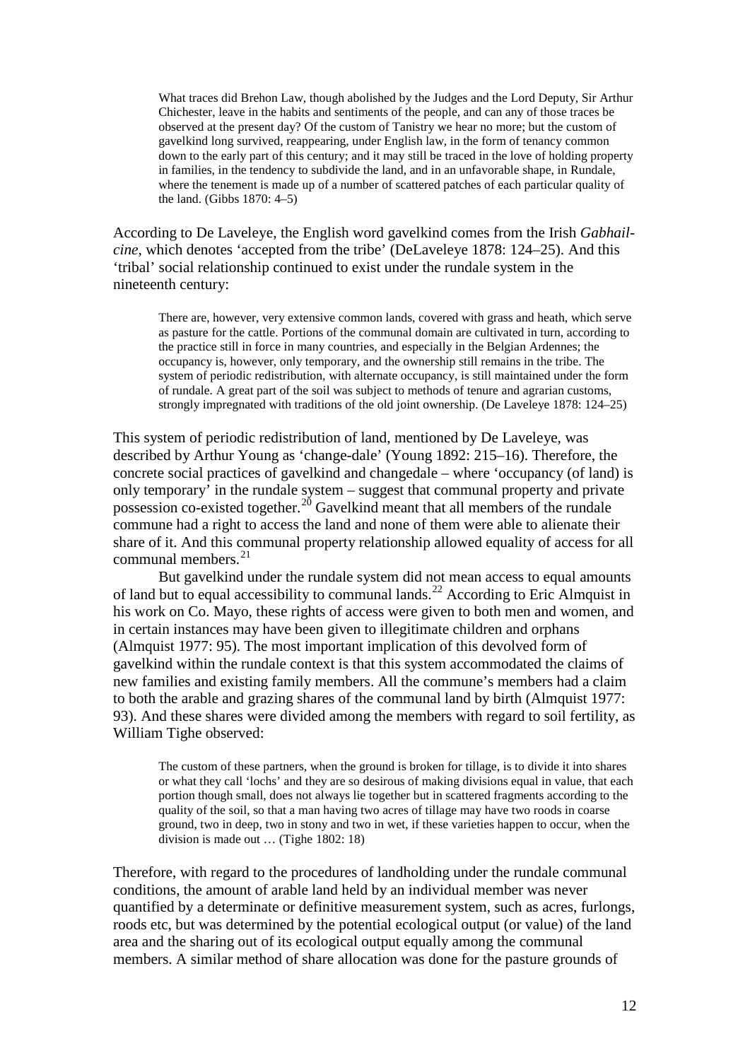What traces did Brehon Law, though abolished by the Judges and the Lord Deputy, Sir Arthur Chichester, leave in the habits and sentiments of the people, and can any of those traces be observed at the present day? Of the custom of Tanistry we hear no more; but the custom of gavelkind long survived, reappearing, under English law, in the form of tenancy common down to the early part of this century; and it may still be traced in the love of holding property in families, in the tendency to subdivide the land, and in an unfavorable shape, in Rundale, where the tenement is made up of a number of scattered patches of each particular quality of the land. (Gibbs 1870: 4–5)

According to De Laveleye, the English word gavelkind comes from the Irish *Gabhailcine*, which denotes 'accepted from the tribe' (DeLaveleye 1878: 124–25). And this 'tribal' social relationship continued to exist under the rundale system in the nineteenth century:

There are, however, very extensive common lands, covered with grass and heath, which serve as pasture for the cattle. Portions of the communal domain are cultivated in turn, according to the practice still in force in many countries, and especially in the Belgian Ardennes; the occupancy is, however, only temporary, and the ownership still remains in the tribe. The system of periodic redistribution, with alternate occupancy, is still maintained under the form of rundale. A great part of the soil was subject to methods of tenure and agrarian customs, strongly impregnated with traditions of the old joint ownership. (De Laveleye 1878: 124–25)

This system of periodic redistribution of land, mentioned by De Laveleye, was described by Arthur Young as 'change-dale' (Young 1892: 215–16). Therefore, the concrete social practices of gavelkind and changedale – where 'occupancy (of land) is only temporary' in the rundale system – suggest that communal property and private possession co-existed together.<sup>[20](#page-35-6)</sup> Gavelkind meant that all members of the rundale commune had a right to access the land and none of them were able to alienate their share of it. And this communal property relationship allowed equality of access for all communal members.<sup>[21](#page-35-7)</sup>

But gavelkind under the rundale system did not mean access to equal amounts of land but to equal accessibility to communal lands.<sup>[22](#page-35-8)</sup> According to Eric Almquist in his work on Co. Mayo, these rights of access were given to both men and women, and in certain instances may have been given to illegitimate children and orphans (Almquist 1977: 95). The most important implication of this devolved form of gavelkind within the rundale context is that this system accommodated the claims of new families and existing family members. All the commune's members had a claim to both the arable and grazing shares of the communal land by birth (Almquist 1977: 93). And these shares were divided among the members with regard to soil fertility, as William Tighe observed:

The custom of these partners, when the ground is broken for tillage, is to divide it into shares or what they call 'lochs' and they are so desirous of making divisions equal in value, that each portion though small, does not always lie together but in scattered fragments according to the quality of the soil, so that a man having two acres of tillage may have two roods in coarse ground, two in deep, two in stony and two in wet, if these varieties happen to occur, when the division is made out … (Tighe 1802: 18)

Therefore, with regard to the procedures of landholding under the rundale communal conditions, the amount of arable land held by an individual member was never quantified by a determinate or definitive measurement system, such as acres, furlongs, roods etc, but was determined by the potential ecological output (or value) of the land area and the sharing out of its ecological output equally among the communal members. A similar method of share allocation was done for the pasture grounds of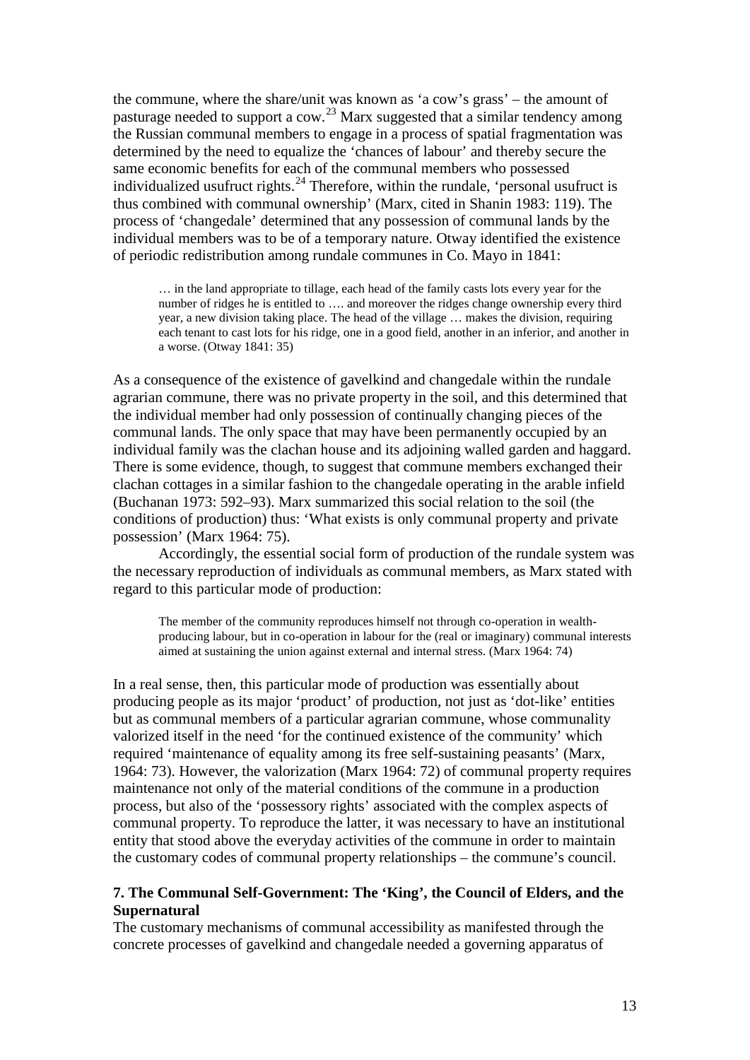the commune, where the share/unit was known as 'a cow's grass' – the amount of pasturage needed to support a cow.<sup>[23](#page-35-9)</sup> Marx suggested that a similar tendency among the Russian communal members to engage in a process of spatial fragmentation was determined by the need to equalize the 'chances of labour' and thereby secure the same economic benefits for each of the communal members who possessed individualized usufruct rights. $^{24}$  $^{24}$  $^{24}$  Therefore, within the rundale, 'personal usufruct is thus combined with communal ownership' (Marx, cited in Shanin 1983: 119). The process of 'changedale' determined that any possession of communal lands by the individual members was to be of a temporary nature. Otway identified the existence of periodic redistribution among rundale communes in Co. Mayo in 1841:

… in the land appropriate to tillage, each head of the family casts lots every year for the number of ridges he is entitled to …. and moreover the ridges change ownership every third year, a new division taking place. The head of the village … makes the division, requiring each tenant to cast lots for his ridge, one in a good field, another in an inferior, and another in a worse. (Otway 1841: 35)

As a consequence of the existence of gavelkind and changedale within the rundale agrarian commune, there was no private property in the soil, and this determined that the individual member had only possession of continually changing pieces of the communal lands. The only space that may have been permanently occupied by an individual family was the clachan house and its adjoining walled garden and haggard. There is some evidence, though, to suggest that commune members exchanged their clachan cottages in a similar fashion to the changedale operating in the arable infield (Buchanan 1973: 592–93). Marx summarized this social relation to the soil (the conditions of production) thus: 'What exists is only communal property and private possession' (Marx 1964: 75).

Accordingly, the essential social form of production of the rundale system was the necessary reproduction of individuals as communal members, as Marx stated with regard to this particular mode of production:

The member of the community reproduces himself not through co-operation in wealthproducing labour, but in co-operation in labour for the (real or imaginary) communal interests aimed at sustaining the union against external and internal stress. (Marx 1964: 74)

In a real sense, then, this particular mode of production was essentially about producing people as its major 'product' of production, not just as 'dot-like' entities but as communal members of a particular agrarian commune, whose communality valorized itself in the need 'for the continued existence of the community' which required 'maintenance of equality among its free self-sustaining peasants' (Marx, 1964: 73). However, the valorization (Marx 1964: 72) of communal property requires maintenance not only of the material conditions of the commune in a production process, but also of the 'possessory rights' associated with the complex aspects of communal property. To reproduce the latter, it was necessary to have an institutional entity that stood above the everyday activities of the commune in order to maintain the customary codes of communal property relationships – the commune's council.

# **7. The Communal Self-Government: The 'King', the Council of Elders, and the Supernatural**

The customary mechanisms of communal accessibility as manifested through the concrete processes of gavelkind and changedale needed a governing apparatus of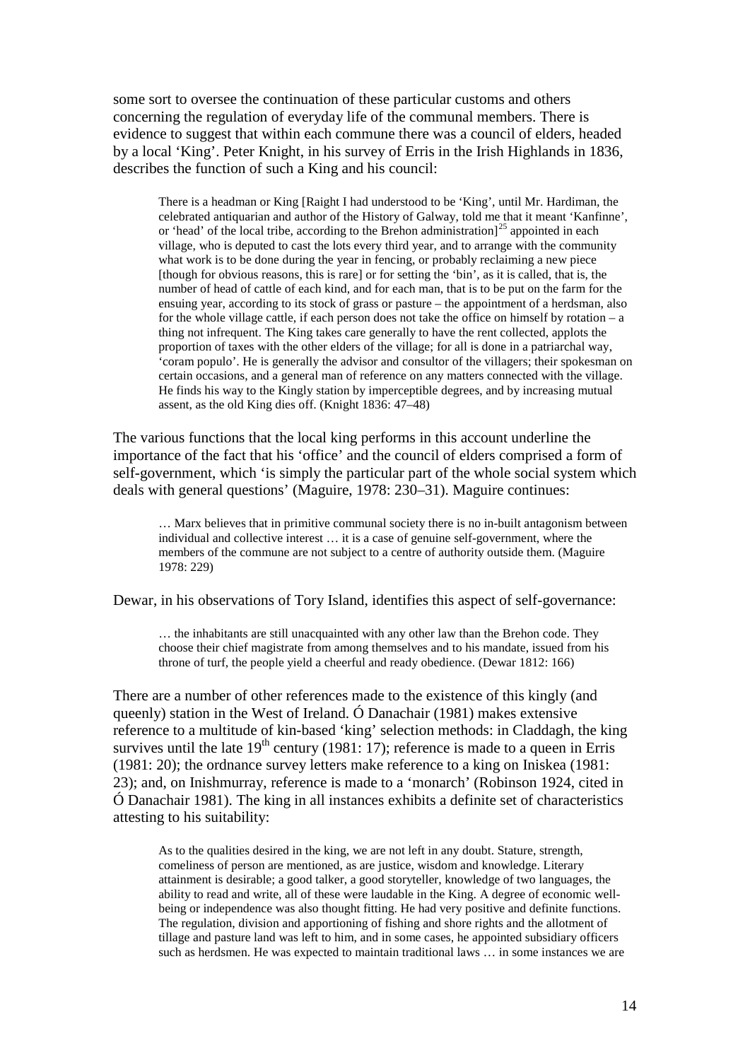some sort to oversee the continuation of these particular customs and others concerning the regulation of everyday life of the communal members. There is evidence to suggest that within each commune there was a council of elders, headed by a local 'King'. Peter Knight, in his survey of Erris in the Irish Highlands in 1836, describes the function of such a King and his council:

There is a headman or King [Raight I had understood to be 'King', until Mr. Hardiman, the celebrated antiquarian and author of the History of Galway, told me that it meant 'Kanfinne', or 'head' of the local tribe, according to the Brehon administration $]^{25}$  $]^{25}$  $]^{25}$  appointed in each village, who is deputed to cast the lots every third year, and to arrange with the community what work is to be done during the year in fencing, or probably reclaiming a new piece [though for obvious reasons, this is rare] or for setting the 'bin', as it is called, that is, the number of head of cattle of each kind, and for each man, that is to be put on the farm for the ensuing year, according to its stock of grass or pasture – the appointment of a herdsman, also for the whole village cattle, if each person does not take the office on himself by rotation – a thing not infrequent. The King takes care generally to have the rent collected, applots the proportion of taxes with the other elders of the village; for all is done in a patriarchal way, 'coram populo'. He is generally the advisor and consultor of the villagers; their spokesman on certain occasions, and a general man of reference on any matters connected with the village. He finds his way to the Kingly station by imperceptible degrees, and by increasing mutual assent, as the old King dies off. (Knight 1836: 47–48)

The various functions that the local king performs in this account underline the importance of the fact that his 'office' and the council of elders comprised a form of self-government, which 'is simply the particular part of the whole social system which deals with general questions' (Maguire, 1978: 230–31). Maguire continues:

… Marx believes that in primitive communal society there is no in-built antagonism between individual and collective interest … it is a case of genuine self-government, where the members of the commune are not subject to a centre of authority outside them. (Maguire 1978: 229)

Dewar, in his observations of Tory Island, identifies this aspect of self-governance:

… the inhabitants are still unacquainted with any other law than the Brehon code. They choose their chief magistrate from among themselves and to his mandate, issued from his throne of turf, the people yield a cheerful and ready obedience. (Dewar 1812: 166)

There are a number of other references made to the existence of this kingly (and queenly) station in the West of Ireland. Ó Danachair  $(1981)$  makes extensive reference to a multitude of kin-based 'king' selection methods: in Claddagh, the king survives until the late  $19<sup>th</sup>$  century (1981: 17); reference is made to a queen in Erris (1981: 20); the ordnance survey letters make reference to a king on Iniskea (1981: 23); and, on Inishmurray, reference is made to a 'monarch' (Robinson 1924, cited in Ó Danachair 1981). The king in all instances exhibits a definite set of characteristics attesting to his suitability:

As to the qualities desired in the king, we are not left in any doubt. Stature, strength, comeliness of person are mentioned, as are justice, wisdom and knowledge. Literary attainment is desirable; a good talker, a good storyteller, knowledge of two languages, the ability to read and write, all of these were laudable in the King. A degree of economic wellbeing or independence was also thought fitting. He had very positive and definite functions. The regulation, division and apportioning of fishing and shore rights and the allotment of tillage and pasture land was left to him, and in some cases, he appointed subsidiary officers such as herdsmen. He was expected to maintain traditional laws … in some instances we are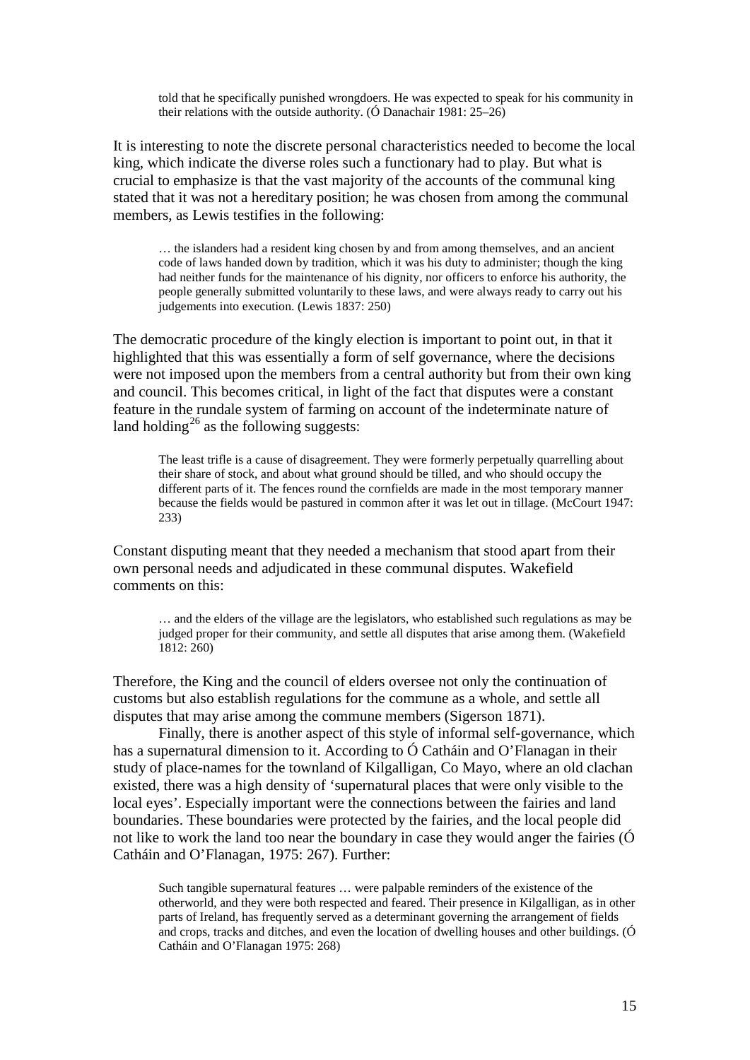told that he specifically punished wrongdoers. He was expected to speak for his community in their relations with the outside authority. (Ó Danachair 1981: 25–26)

It is interesting to note the discrete personal characteristics needed to become the local king, which indicate the diverse roles such a functionary had to play. But what is crucial to emphasize is that the vast majority of the accounts of the communal king stated that it was not a hereditary position; he was chosen from among the communal members, as Lewis testifies in the following:

… the islanders had a resident king chosen by and from among themselves, and an ancient code of laws handed down by tradition, which it was his duty to administer; though the king had neither funds for the maintenance of his dignity, nor officers to enforce his authority, the people generally submitted voluntarily to these laws, and were always ready to carry out his judgements into execution. (Lewis 1837: 250)

The democratic procedure of the kingly election is important to point out, in that it highlighted that this was essentially a form of self governance, where the decisions were not imposed upon the members from a central authority but from their own king and council. This becomes critical, in light of the fact that disputes were a constant feature in the rundale system of farming on account of the indeterminate nature of land holding<sup>[26](#page-36-2)</sup> as the following suggests:

The least trifle is a cause of disagreement. They were formerly perpetually quarrelling about their share of stock, and about what ground should be tilled, and who should occupy the different parts of it. The fences round the cornfields are made in the most temporary manner because the fields would be pastured in common after it was let out in tillage. (McCourt 1947: 233)

Constant disputing meant that they needed a mechanism that stood apart from their own personal needs and adjudicated in these communal disputes. Wakefield comments on this:

… and the elders of the village are the legislators, who established such regulations as may be judged proper for their community, and settle all disputes that arise among them. (Wakefield 1812: 260)

Therefore, the King and the council of elders oversee not only the continuation of customs but also establish regulations for the commune as a whole, and settle all disputes that may arise among the commune members (Sigerson 1871).

Finally, there is another aspect of this style of informal self-governance, which has a supernatural dimension to it. According to Ó Catháin and O'Flanagan in their study of place-names for the townland of Kilgalligan, Co Mayo, where an old clachan existed, there was a high density of 'supernatural places that were only visible to the local eyes'. Especially important were the connections between the fairies and land boundaries. These boundaries were protected by the fairies, and the local people did not like to work the land too near the boundary in case they would anger the fairies (Ó Catháin and O'Flanagan, 1975: 267). Further:

Such tangible supernatural features … were palpable reminders of the existence of the otherworld, and they were both respected and feared. Their presence in Kilgalligan, as in other parts of Ireland, has frequently served as a determinant governing the arrangement of fields and crops, tracks and ditches, and even the location of dwelling houses and other buildings. (Ó Catháin and O'Flanagan 1975: 268)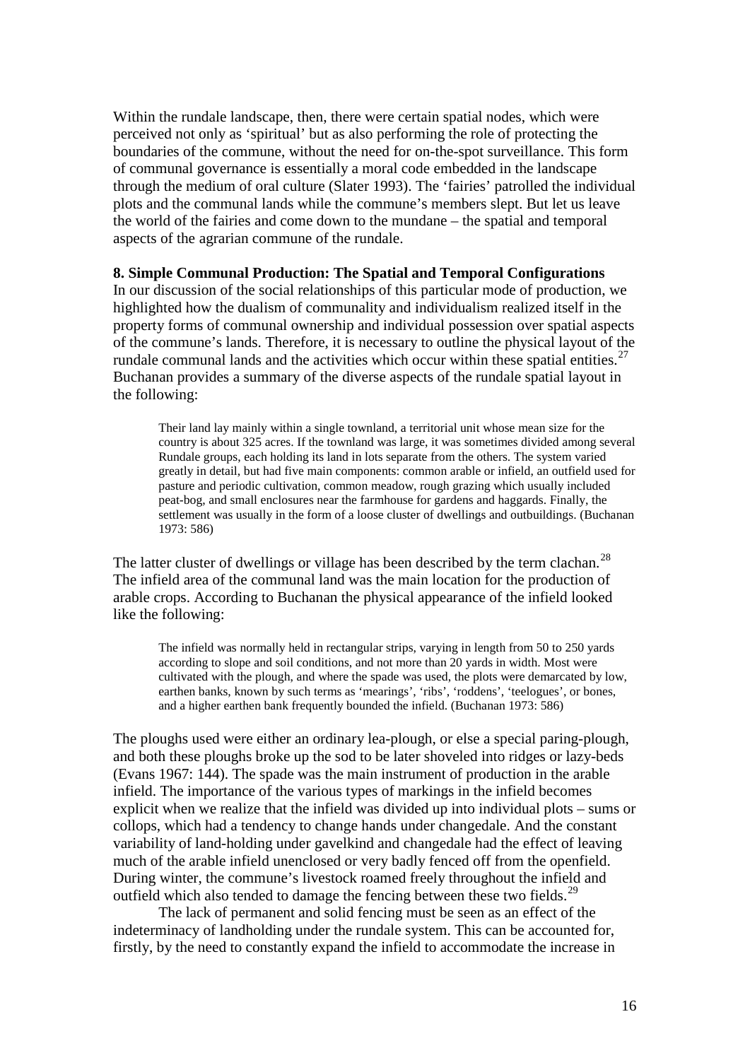Within the rundale landscape, then, there were certain spatial nodes, which were perceived not only as 'spiritual' but as also performing the role of protecting the boundaries of the commune, without the need for on-the-spot surveillance. This form of communal governance is essentially a moral code embedded in the landscape through the medium of oral culture (Slater 1993). The 'fairies' patrolled the individual plots and the communal lands while the commune's members slept. But let us leave the world of the fairies and come down to the mundane – the spatial and temporal aspects of the agrarian commune of the rundale.

## **8. Simple Communal Production: The Spatial and Temporal Configurations**

In our discussion of the social relationships of this particular mode of production, we highlighted how the dualism of communality and individualism realized itself in the property forms of communal ownership and individual possession over spatial aspects of the commune's lands. Therefore, it is necessary to outline the physical layout of the rundale communal lands and the activities which occur within these spatial entities. $27$ Buchanan provides a summary of the diverse aspects of the rundale spatial layout in the following:

Their land lay mainly within a single townland, a territorial unit whose mean size for the country is about 325 acres. If the townland was large, it was sometimes divided among several Rundale groups, each holding its land in lots separate from the others. The system varied greatly in detail, but had five main components: common arable or infield, an outfield used for pasture and periodic cultivation, common meadow, rough grazing which usually included peat-bog, and small enclosures near the farmhouse for gardens and haggards. Finally, the settlement was usually in the form of a loose cluster of dwellings and outbuildings. (Buchanan 1973: 586)

The latter cluster of dwellings or village has been described by the term clachan.<sup>[28](#page-36-4)</sup> The infield area of the communal land was the main location for the production of arable crops. According to Buchanan the physical appearance of the infield looked like the following:

The infield was normally held in rectangular strips, varying in length from 50 to 250 yards according to slope and soil conditions, and not more than 20 yards in width. Most were cultivated with the plough, and where the spade was used, the plots were demarcated by low, earthen banks, known by such terms as 'mearings', 'ribs', 'roddens', 'teelogues', or bones, and a higher earthen bank frequently bounded the infield. (Buchanan 1973: 586)

The ploughs used were either an ordinary lea-plough, or else a special paring-plough, and both these ploughs broke up the sod to be later shoveled into ridges or lazy-beds (Evans 1967: 144). The spade was the main instrument of production in the arable infield. The importance of the various types of markings in the infield becomes explicit when we realize that the infield was divided up into individual plots – sums or collops, which had a tendency to change hands under changedale. And the constant variability of land-holding under gavelkind and changedale had the effect of leaving much of the arable infield unenclosed or very badly fenced off from the openfield. During winter, the commune's livestock roamed freely throughout the infield and outfield which also tended to damage the fencing between these two fields.<sup>[29](#page-36-5)</sup>

The lack of permanent and solid fencing must be seen as an effect of the indeterminacy of landholding under the rundale system. This can be accounted for, firstly, by the need to constantly expand the infield to accommodate the increase in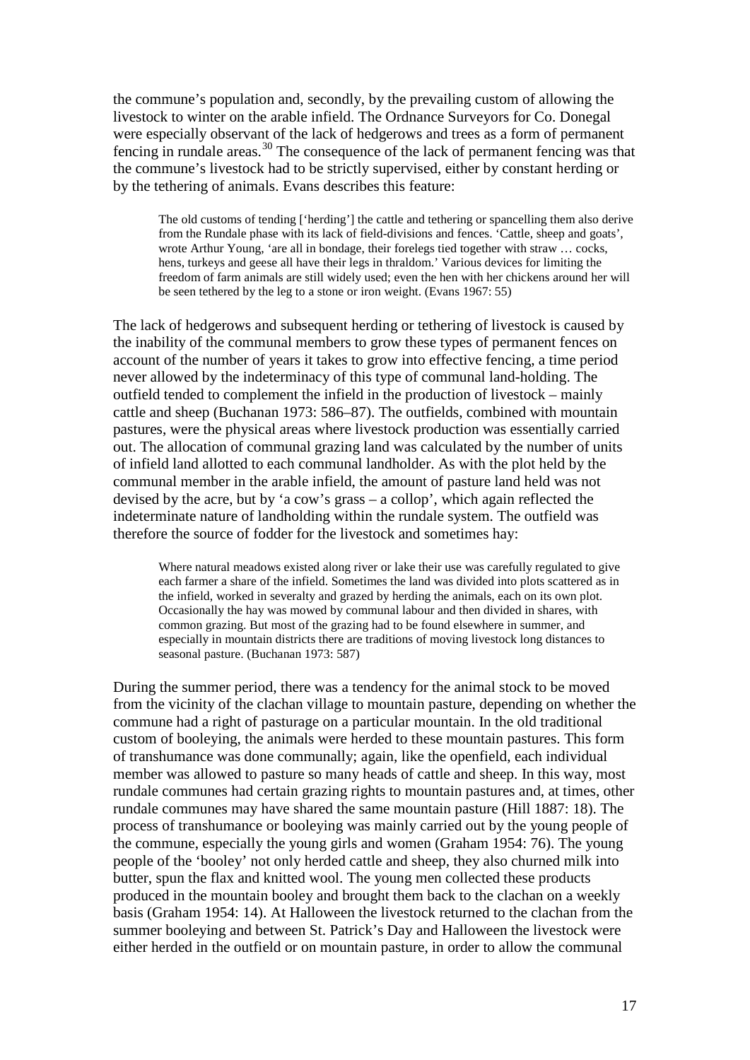the commune's population and, secondly, by the prevailing custom of allowing the livestock to winter on the arable infield. The Ordnance Surveyors for Co. Donegal were especially observant of the lack of hedgerows and trees as a form of permanent fencing in rundale areas.<sup>[30](#page-36-6)</sup> The consequence of the lack of permanent fencing was that the commune's livestock had to be strictly supervised, either by constant herding or by the tethering of animals. Evans describes this feature:

The old customs of tending ['herding'] the cattle and tethering or spancelling them also derive from the Rundale phase with its lack of field-divisions and fences. 'Cattle, sheep and goats', wrote Arthur Young, 'are all in bondage, their forelegs tied together with straw … cocks, hens, turkeys and geese all have their legs in thraldom.' Various devices for limiting the freedom of farm animals are still widely used; even the hen with her chickens around her will be seen tethered by the leg to a stone or iron weight. (Evans 1967: 55)

The lack of hedgerows and subsequent herding or tethering of livestock is caused by the inability of the communal members to grow these types of permanent fences on account of the number of years it takes to grow into effective fencing, a time period never allowed by the indeterminacy of this type of communal land-holding. The outfield tended to complement the infield in the production of livestock – mainly cattle and sheep (Buchanan 1973: 586–87). The outfields, combined with mountain pastures, were the physical areas where livestock production was essentially carried out. The allocation of communal grazing land was calculated by the number of units of infield land allotted to each communal landholder. As with the plot held by the communal member in the arable infield, the amount of pasture land held was not devised by the acre, but by 'a cow's grass – a collop', which again reflected the indeterminate nature of landholding within the rundale system. The outfield was therefore the source of fodder for the livestock and sometimes hay:

Where natural meadows existed along river or lake their use was carefully regulated to give each farmer a share of the infield. Sometimes the land was divided into plots scattered as in the infield, worked in severalty and grazed by herding the animals, each on its own plot. Occasionally the hay was mowed by communal labour and then divided in shares, with common grazing. But most of the grazing had to be found elsewhere in summer, and especially in mountain districts there are traditions of moving livestock long distances to seasonal pasture. (Buchanan 1973: 587)

During the summer period, there was a tendency for the animal stock to be moved from the vicinity of the clachan village to mountain pasture, depending on whether the commune had a right of pasturage on a particular mountain. In the old traditional custom of booleying, the animals were herded to these mountain pastures. This form of transhumance was done communally; again, like the openfield, each individual member was allowed to pasture so many heads of cattle and sheep. In this way, most rundale communes had certain grazing rights to mountain pastures and, at times, other rundale communes may have shared the same mountain pasture (Hill 1887: 18). The process of transhumance or booleying was mainly carried out by the young people of the commune, especially the young girls and women (Graham 1954: 76). The young people of the 'booley' not only herded cattle and sheep, they also churned milk into butter, spun the flax and knitted wool. The young men collected these products produced in the mountain booley and brought them back to the clachan on a weekly basis (Graham 1954: 14). At Halloween the livestock returned to the clachan from the summer booleying and between St. Patrick's Day and Halloween the livestock were either herded in the outfield or on mountain pasture, in order to allow the communal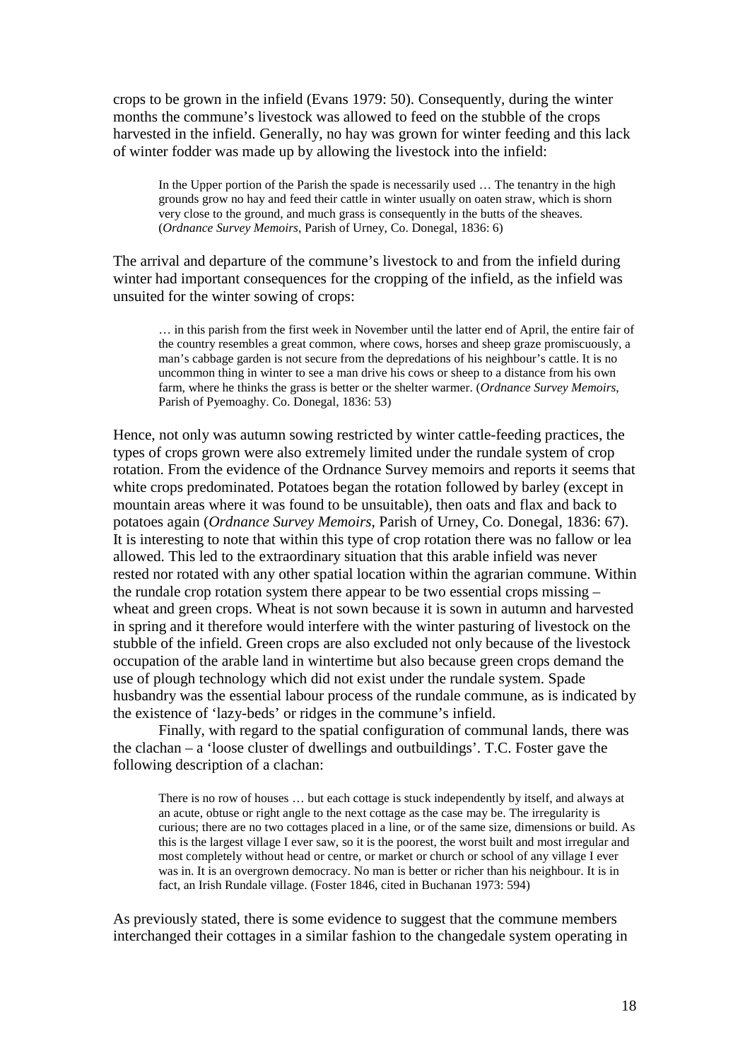crops to be grown in the infield (Evans 1979: 50). Consequently, during the winter months the commune's livestock was allowed to feed on the stubble of the crops harvested in the infield. Generally, no hay was grown for winter feeding and this lack of winter fodder was made up by allowing the livestock into the infield:

In the Upper portion of the Parish the spade is necessarily used ... The tenantry in the high grounds grow no hay and feed their cattle in winter usually on oaten straw, which is shorn very close to the ground, and much grass is consequently in the butts of the sheaves. (*Ordnance Survey Memoirs*, Parish of Urney, Co. Donegal, 1836: 6)

The arrival and departure of the commune's livestock to and from the infield during winter had important consequences for the cropping of the infield, as the infield was unsuited for the winter sowing of crops:

… in this parish from the first week in November until the latter end of April, the entire fair of the country resembles a great common, where cows, horses and sheep graze promiscuously, a man's cabbage garden is not secure from the depredations of his neighbour's cattle. It is no uncommon thing in winter to see a man drive his cows or sheep to a distance from his own farm, where he thinks the grass is better or the shelter warmer. (*Ordnance Survey Memoirs*, Parish of Pyemoaghy. Co. Donegal, 1836: 53)

Hence, not only was autumn sowing restricted by winter cattle-feeding practices, the types of crops grown were also extremely limited under the rundale system of crop rotation. From the evidence of the Ordnance Survey memoirs and reports it seems that white crops predominated. Potatoes began the rotation followed by barley (except in mountain areas where it was found to be unsuitable), then oats and flax and back to potatoes again (*Ordnance Survey Memoirs*, Parish of Urney, Co. Donegal, 1836: 67). It is interesting to note that within this type of crop rotation there was no fallow or lea allowed. This led to the extraordinary situation that this arable infield was never rested nor rotated with any other spatial location within the agrarian commune. Within the rundale crop rotation system there appear to be two essential crops missing – wheat and green crops. Wheat is not sown because it is sown in autumn and harvested in spring and it therefore would interfere with the winter pasturing of livestock on the stubble of the infield. Green crops are also excluded not only because of the livestock occupation of the arable land in wintertime but also because green crops demand the use of plough technology which did not exist under the rundale system. Spade husbandry was the essential labour process of the rundale commune, as is indicated by the existence of 'lazy-beds' or ridges in the commune's infield.

Finally, with regard to the spatial configuration of communal lands, there was the clachan – a 'loose cluster of dwellings and outbuildings'. T.C. Foster gave the following description of a clachan:

There is no row of houses … but each cottage is stuck independently by itself, and always at an acute, obtuse or right angle to the next cottage as the case may be. The irregularity is curious; there are no two cottages placed in a line, or of the same size, dimensions or build. As this is the largest village I ever saw, so it is the poorest, the worst built and most irregular and most completely without head or centre, or market or church or school of any village I ever was in. It is an overgrown democracy. No man is better or richer than his neighbour. It is in fact, an Irish Rundale village. (Foster 1846, cited in Buchanan 1973: 594)

As previously stated, there is some evidence to suggest that the commune members interchanged their cottages in a similar fashion to the changedale system operating in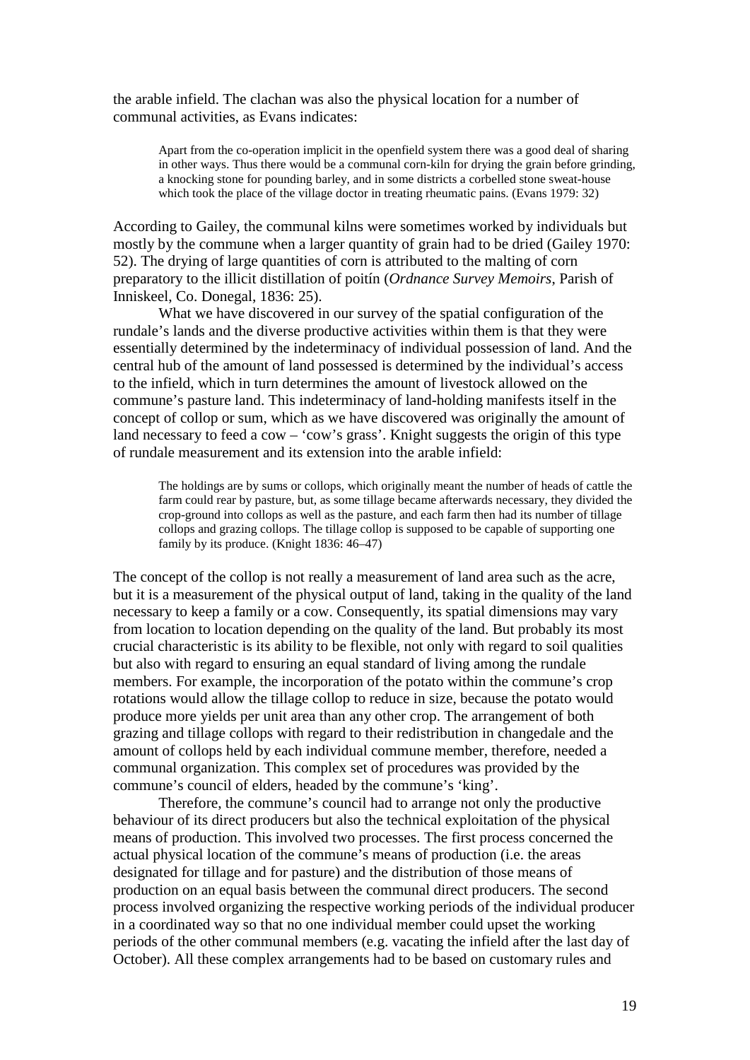the arable infield. The clachan was also the physical location for a number of communal activities, as Evans indicates:

Apart from the co-operation implicit in the openfield system there was a good deal of sharing in other ways. Thus there would be a communal corn-kiln for drying the grain before grinding, a knocking stone for pounding barley, and in some districts a corbelled stone sweat-house which took the place of the village doctor in treating rheumatic pains. (Evans 1979: 32)

According to Gailey, the communal kilns were sometimes worked by individuals but mostly by the commune when a larger quantity of grain had to be dried (Gailey 1970: 52). The drying of large quantities of corn is attributed to the malting of corn preparatory to the illicit distillation of poitín (*Ordnance Survey Memoirs*, Parish of Inniskeel, Co. Donegal, 1836: 25).

What we have discovered in our survey of the spatial configuration of the rundale's lands and the diverse productive activities within them is that they were essentially determined by the indeterminacy of individual possession of land. And the central hub of the amount of land possessed is determined by the individual's access to the infield, which in turn determines the amount of livestock allowed on the commune's pasture land. This indeterminacy of land-holding manifests itself in the concept of collop or sum, which as we have discovered was originally the amount of land necessary to feed a cow – 'cow's grass'. Knight suggests the origin of this type of rundale measurement and its extension into the arable infield:

The holdings are by sums or collops, which originally meant the number of heads of cattle the farm could rear by pasture, but, as some tillage became afterwards necessary, they divided the crop-ground into collops as well as the pasture, and each farm then had its number of tillage collops and grazing collops. The tillage collop is supposed to be capable of supporting one family by its produce. (Knight 1836: 46–47)

The concept of the collop is not really a measurement of land area such as the acre, but it is a measurement of the physical output of land, taking in the quality of the land necessary to keep a family or a cow. Consequently, its spatial dimensions may vary from location to location depending on the quality of the land. But probably its most crucial characteristic is its ability to be flexible, not only with regard to soil qualities but also with regard to ensuring an equal standard of living among the rundale members. For example, the incorporation of the potato within the commune's crop rotations would allow the tillage collop to reduce in size, because the potato would produce more yields per unit area than any other crop. The arrangement of both grazing and tillage collops with regard to their redistribution in changedale and the amount of collops held by each individual commune member, therefore, needed a communal organization. This complex set of procedures was provided by the commune's council of elders, headed by the commune's 'king'.

Therefore, the commune's council had to arrange not only the productive behaviour of its direct producers but also the technical exploitation of the physical means of production. This involved two processes. The first process concerned the actual physical location of the commune's means of production (i.e. the areas designated for tillage and for pasture) and the distribution of those means of production on an equal basis between the communal direct producers. The second process involved organizing the respective working periods of the individual producer in a coordinated way so that no one individual member could upset the working periods of the other communal members (e.g. vacating the infield after the last day of October). All these complex arrangements had to be based on customary rules and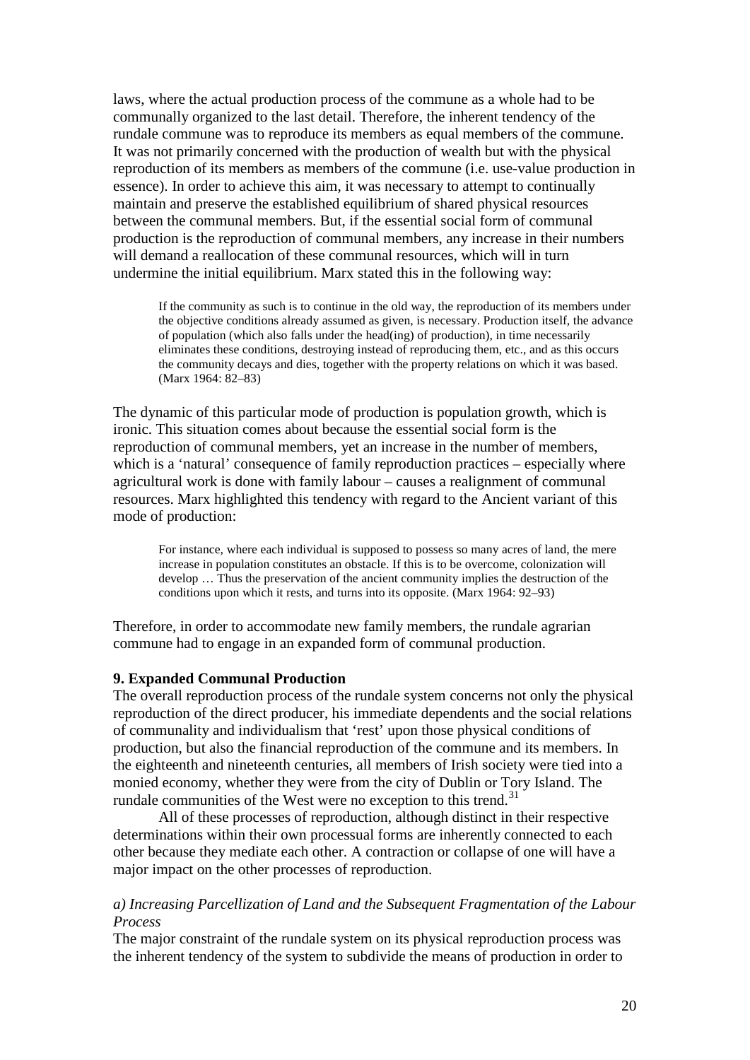laws, where the actual production process of the commune as a whole had to be communally organized to the last detail. Therefore, the inherent tendency of the rundale commune was to reproduce its members as equal members of the commune. It was not primarily concerned with the production of wealth but with the physical reproduction of its members as members of the commune (i.e. use-value production in essence). In order to achieve this aim, it was necessary to attempt to continually maintain and preserve the established equilibrium of shared physical resources between the communal members. But, if the essential social form of communal production is the reproduction of communal members, any increase in their numbers will demand a reallocation of these communal resources, which will in turn undermine the initial equilibrium. Marx stated this in the following way:

If the community as such is to continue in the old way, the reproduction of its members under the objective conditions already assumed as given, is necessary. Production itself, the advance of population (which also falls under the head(ing) of production), in time necessarily eliminates these conditions, destroying instead of reproducing them, etc., and as this occurs the community decays and dies, together with the property relations on which it was based. (Marx 1964: 82–83)

The dynamic of this particular mode of production is population growth, which is ironic. This situation comes about because the essential social form is the reproduction of communal members, yet an increase in the number of members, which is a 'natural' consequence of family reproduction practices – especially where agricultural work is done with family labour – causes a realignment of communal resources. Marx highlighted this tendency with regard to the Ancient variant of this mode of production:

For instance, where each individual is supposed to possess so many acres of land, the mere increase in population constitutes an obstacle. If this is to be overcome, colonization will develop … Thus the preservation of the ancient community implies the destruction of the conditions upon which it rests, and turns into its opposite. (Marx 1964: 92–93)

Therefore, in order to accommodate new family members, the rundale agrarian commune had to engage in an expanded form of communal production.

#### **9. Expanded Communal Production**

The overall reproduction process of the rundale system concerns not only the physical reproduction of the direct producer, his immediate dependents and the social relations of communality and individualism that 'rest' upon those physical conditions of production, but also the financial reproduction of the commune and its members. In the eighteenth and nineteenth centuries, all members of Irish society were tied into a monied economy, whether they were from the city of Dublin or Tory Island. The rundale communities of the West were no exception to this trend.<sup>[31](#page-36-7)</sup>

All of these processes of reproduction, although distinct in their respective determinations within their own processual forms are inherently connected to each other because they mediate each other. A contraction or collapse of one will have a major impact on the other processes of reproduction.

## *a) Increasing Parcellization of Land and the Subsequent Fragmentation of the Labour Process*

The major constraint of the rundale system on its physical reproduction process was the inherent tendency of the system to subdivide the means of production in order to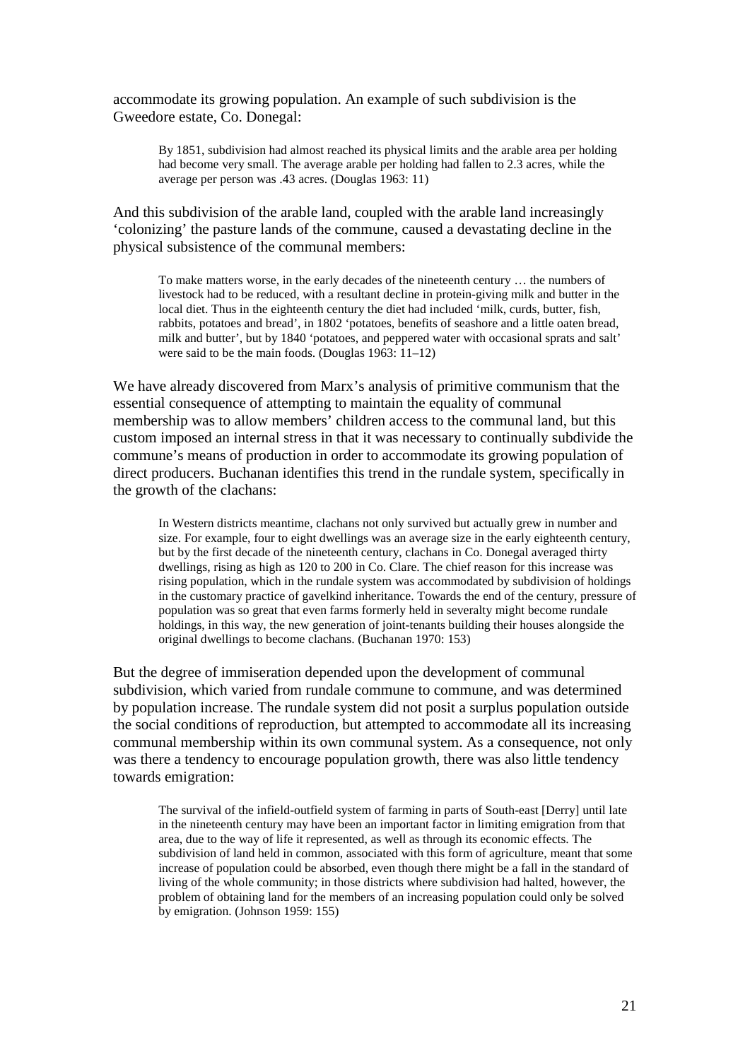accommodate its growing population. An example of such subdivision is the Gweedore estate, Co. Donegal:

By 1851, subdivision had almost reached its physical limits and the arable area per holding had become very small. The average arable per holding had fallen to 2.3 acres, while the average per person was .43 acres. (Douglas 1963: 11)

And this subdivision of the arable land, coupled with the arable land increasingly 'colonizing' the pasture lands of the commune, caused a devastating decline in the physical subsistence of the communal members:

To make matters worse, in the early decades of the nineteenth century … the numbers of livestock had to be reduced, with a resultant decline in protein-giving milk and butter in the local diet. Thus in the eighteenth century the diet had included 'milk, curds, butter, fish, rabbits, potatoes and bread', in 1802 'potatoes, benefits of seashore and a little oaten bread, milk and butter', but by 1840 'potatoes, and peppered water with occasional sprats and salt' were said to be the main foods. (Douglas 1963: 11–12)

We have already discovered from Marx's analysis of primitive communism that the essential consequence of attempting to maintain the equality of communal membership was to allow members' children access to the communal land, but this custom imposed an internal stress in that it was necessary to continually subdivide the commune's means of production in order to accommodate its growing population of direct producers. Buchanan identifies this trend in the rundale system, specifically in the growth of the clachans:

In Western districts meantime, clachans not only survived but actually grew in number and size. For example, four to eight dwellings was an average size in the early eighteenth century, but by the first decade of the nineteenth century, clachans in Co. Donegal averaged thirty dwellings, rising as high as 120 to 200 in Co. Clare. The chief reason for this increase was rising population, which in the rundale system was accommodated by subdivision of holdings in the customary practice of gavelkind inheritance. Towards the end of the century, pressure of population was so great that even farms formerly held in severalty might become rundale holdings, in this way, the new generation of joint-tenants building their houses alongside the original dwellings to become clachans. (Buchanan 1970: 153)

But the degree of immiseration depended upon the development of communal subdivision, which varied from rundale commune to commune, and was determined by population increase. The rundale system did not posit a surplus population outside the social conditions of reproduction, but attempted to accommodate all its increasing communal membership within its own communal system. As a consequence, not only was there a tendency to encourage population growth, there was also little tendency towards emigration:

The survival of the infield-outfield system of farming in parts of South-east [Derry] until late in the nineteenth century may have been an important factor in limiting emigration from that area, due to the way of life it represented, as well as through its economic effects. The subdivision of land held in common, associated with this form of agriculture, meant that some increase of population could be absorbed, even though there might be a fall in the standard of living of the whole community; in those districts where subdivision had halted, however, the problem of obtaining land for the members of an increasing population could only be solved by emigration. (Johnson 1959: 155)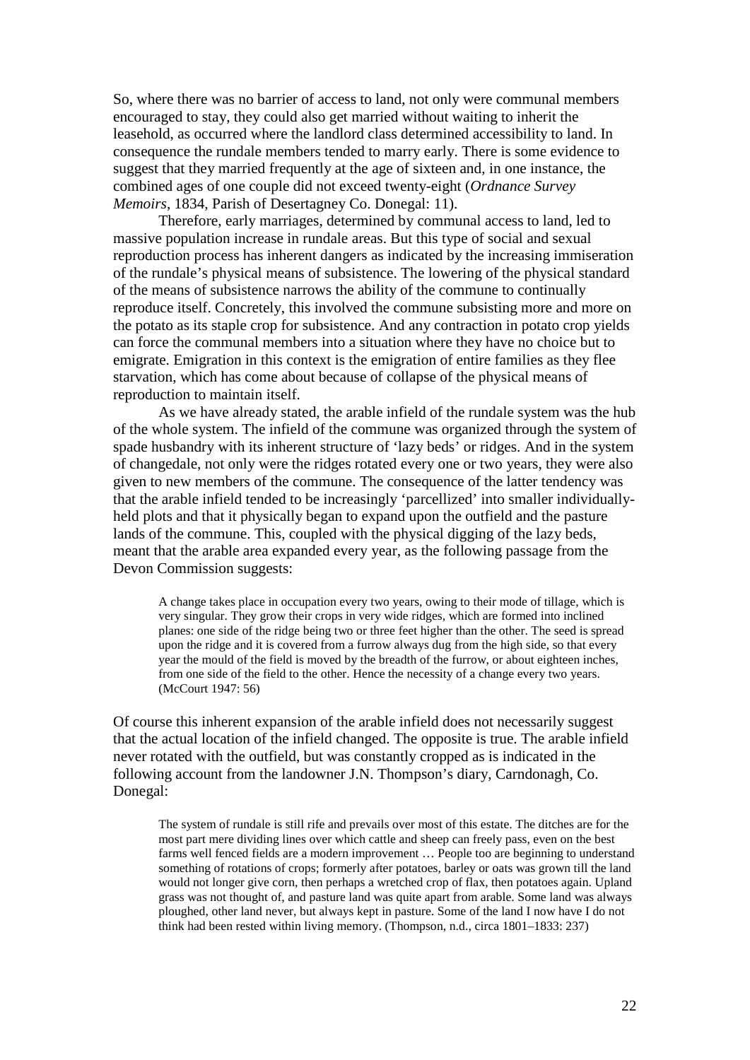So, where there was no barrier of access to land, not only were communal members encouraged to stay, they could also get married without waiting to inherit the leasehold, as occurred where the landlord class determined accessibility to land. In consequence the rundale members tended to marry early. There is some evidence to suggest that they married frequently at the age of sixteen and, in one instance, the combined ages of one couple did not exceed twenty-eight (*Ordnance Survey Memoirs*, 1834, Parish of Desertagney Co. Donegal: 11).

Therefore, early marriages, determined by communal access to land, led to massive population increase in rundale areas. But this type of social and sexual reproduction process has inherent dangers as indicated by the increasing immiseration of the rundale's physical means of subsistence. The lowering of the physical standard of the means of subsistence narrows the ability of the commune to continually reproduce itself. Concretely, this involved the commune subsisting more and more on the potato as its staple crop for subsistence. And any contraction in potato crop yields can force the communal members into a situation where they have no choice but to emigrate. Emigration in this context is the emigration of entire families as they flee starvation, which has come about because of collapse of the physical means of reproduction to maintain itself.

As we have already stated, the arable infield of the rundale system was the hub of the whole system. The infield of the commune was organized through the system of spade husbandry with its inherent structure of 'lazy beds' or ridges. And in the system of changedale, not only were the ridges rotated every one or two years, they were also given to new members of the commune. The consequence of the latter tendency was that the arable infield tended to be increasingly 'parcellized' into smaller individuallyheld plots and that it physically began to expand upon the outfield and the pasture lands of the commune. This, coupled with the physical digging of the lazy beds, meant that the arable area expanded every year, as the following passage from the Devon Commission suggests:

A change takes place in occupation every two years, owing to their mode of tillage, which is very singular. They grow their crops in very wide ridges, which are formed into inclined planes: one side of the ridge being two or three feet higher than the other. The seed is spread upon the ridge and it is covered from a furrow always dug from the high side, so that every year the mould of the field is moved by the breadth of the furrow, or about eighteen inches, from one side of the field to the other. Hence the necessity of a change every two years. (McCourt 1947: 56)

Of course this inherent expansion of the arable infield does not necessarily suggest that the actual location of the infield changed. The opposite is true. The arable infield never rotated with the outfield, but was constantly cropped as is indicated in the following account from the landowner J.N. Thompson's diary, Carndonagh, Co. Donegal:

The system of rundale is still rife and prevails over most of this estate. The ditches are for the most part mere dividing lines over which cattle and sheep can freely pass, even on the best farms well fenced fields are a modern improvement … People too are beginning to understand something of rotations of crops; formerly after potatoes, barley or oats was grown till the land would not longer give corn, then perhaps a wretched crop of flax, then potatoes again. Upland grass was not thought of, and pasture land was quite apart from arable. Some land was always ploughed, other land never, but always kept in pasture. Some of the land I now have I do not think had been rested within living memory. (Thompson, n.d., circa 1801–1833: 237)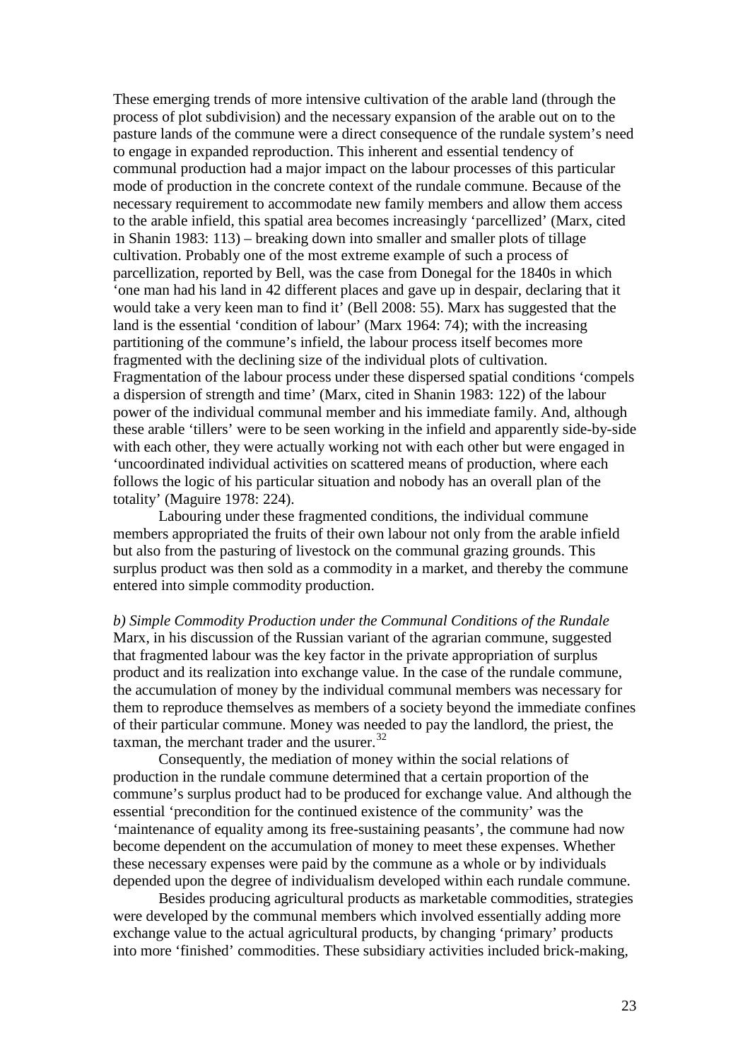These emerging trends of more intensive cultivation of the arable land (through the process of plot subdivision) and the necessary expansion of the arable out on to the pasture lands of the commune were a direct consequence of the rundale system's need to engage in expanded reproduction. This inherent and essential tendency of communal production had a major impact on the labour processes of this particular mode of production in the concrete context of the rundale commune. Because of the necessary requirement to accommodate new family members and allow them access to the arable infield, this spatial area becomes increasingly 'parcellized' (Marx, cited in Shanin 1983: 113) – breaking down into smaller and smaller plots of tillage cultivation. Probably one of the most extreme example of such a process of parcellization, reported by Bell, was the case from Donegal for the 1840s in which 'one man had his land in 42 different places and gave up in despair, declaring that it would take a very keen man to find it' (Bell 2008: 55). Marx has suggested that the land is the essential 'condition of labour' (Marx 1964: 74); with the increasing partitioning of the commune's infield, the labour process itself becomes more fragmented with the declining size of the individual plots of cultivation. Fragmentation of the labour process under these dispersed spatial conditions 'compels a dispersion of strength and time' (Marx, cited in Shanin 1983: 122) of the labour power of the individual communal member and his immediate family. And, although these arable 'tillers' were to be seen working in the infield and apparently side-by-side with each other, they were actually working not with each other but were engaged in 'uncoordinated individual activities on scattered means of production, where each follows the logic of his particular situation and nobody has an overall plan of the totality' (Maguire 1978: 224).

Labouring under these fragmented conditions, the individual commune members appropriated the fruits of their own labour not only from the arable infield but also from the pasturing of livestock on the communal grazing grounds. This surplus product was then sold as a commodity in a market, and thereby the commune entered into simple commodity production.

*b) Simple Commodity Production under the Communal Conditions of the Rundale* Marx, in his discussion of the Russian variant of the agrarian commune, suggested that fragmented labour was the key factor in the private appropriation of surplus product and its realization into exchange value. In the case of the rundale commune, the accumulation of money by the individual communal members was necessary for them to reproduce themselves as members of a society beyond the immediate confines of their particular commune. Money was needed to pay the landlord, the priest, the taxman, the merchant trader and the usurer. $32$ 

Consequently, the mediation of money within the social relations of production in the rundale commune determined that a certain proportion of the commune's surplus product had to be produced for exchange value. And although the essential 'precondition for the continued existence of the community' was the 'maintenance of equality among its free-sustaining peasants', the commune had now become dependent on the accumulation of money to meet these expenses. Whether these necessary expenses were paid by the commune as a whole or by individuals depended upon the degree of individualism developed within each rundale commune.

Besides producing agricultural products as marketable commodities, strategies were developed by the communal members which involved essentially adding more exchange value to the actual agricultural products, by changing 'primary' products into more 'finished' commodities. These subsidiary activities included brick-making,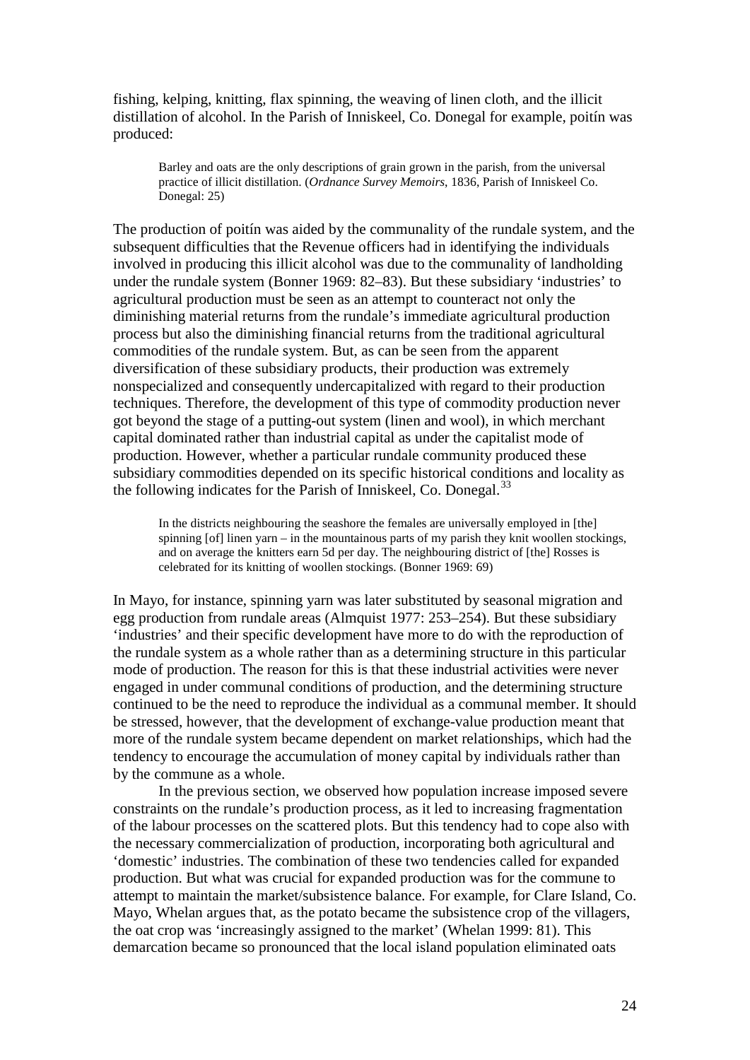fishing, kelping, knitting, flax spinning, the weaving of linen cloth, and the illicit distillation of alcohol. In the Parish of Inniskeel, Co. Donegal for example, poitín was produced:

Barley and oats are the only descriptions of grain grown in the parish, from the universal practice of illicit distillation. (*Ordnance Survey Memoirs*, 1836, Parish of Inniskeel Co. Donegal: 25)

The production of poitín was aided by the communality of the rundale system, and the subsequent difficulties that the Revenue officers had in identifying the individuals involved in producing this illicit alcohol was due to the communality of landholding under the rundale system (Bonner 1969: 82–83). But these subsidiary 'industries' to agricultural production must be seen as an attempt to counteract not only the diminishing material returns from the rundale's immediate agricultural production process but also the diminishing financial returns from the traditional agricultural commodities of the rundale system. But, as can be seen from the apparent diversification of these subsidiary products, their production was extremely nonspecialized and consequently undercapitalized with regard to their production techniques. Therefore, the development of this type of commodity production never got beyond the stage of a putting-out system (linen and wool), in which merchant capital dominated rather than industrial capital as under the capitalist mode of production. However, whether a particular rundale community produced these subsidiary commodities depended on its specific historical conditions and locality as the following indicates for the Parish of Inniskeel, Co. Donegal.<sup>[33](#page-36-9)</sup>

In the districts neighbouring the seashore the females are universally employed in [the] spinning [of] linen yarn – in the mountainous parts of my parish they knit woollen stockings, and on average the knitters earn 5d per day. The neighbouring district of [the] Rosses is celebrated for its knitting of woollen stockings. (Bonner 1969: 69)

In Mayo, for instance, spinning yarn was later substituted by seasonal migration and egg production from rundale areas (Almquist 1977: 253–254). But these subsidiary 'industries' and their specific development have more to do with the reproduction of the rundale system as a whole rather than as a determining structure in this particular mode of production. The reason for this is that these industrial activities were never engaged in under communal conditions of production, and the determining structure continued to be the need to reproduce the individual as a communal member. It should be stressed, however, that the development of exchange-value production meant that more of the rundale system became dependent on market relationships, which had the tendency to encourage the accumulation of money capital by individuals rather than by the commune as a whole.

In the previous section, we observed how population increase imposed severe constraints on the rundale's production process, as it led to increasing fragmentation of the labour processes on the scattered plots. But this tendency had to cope also with the necessary commercialization of production, incorporating both agricultural and 'domestic' industries. The combination of these two tendencies called for expanded production. But what was crucial for expanded production was for the commune to attempt to maintain the market/subsistence balance. For example, for Clare Island, Co. Mayo, Whelan argues that, as the potato became the subsistence crop of the villagers, the oat crop was 'increasingly assigned to the market' (Whelan 1999: 81). This demarcation became so pronounced that the local island population eliminated oats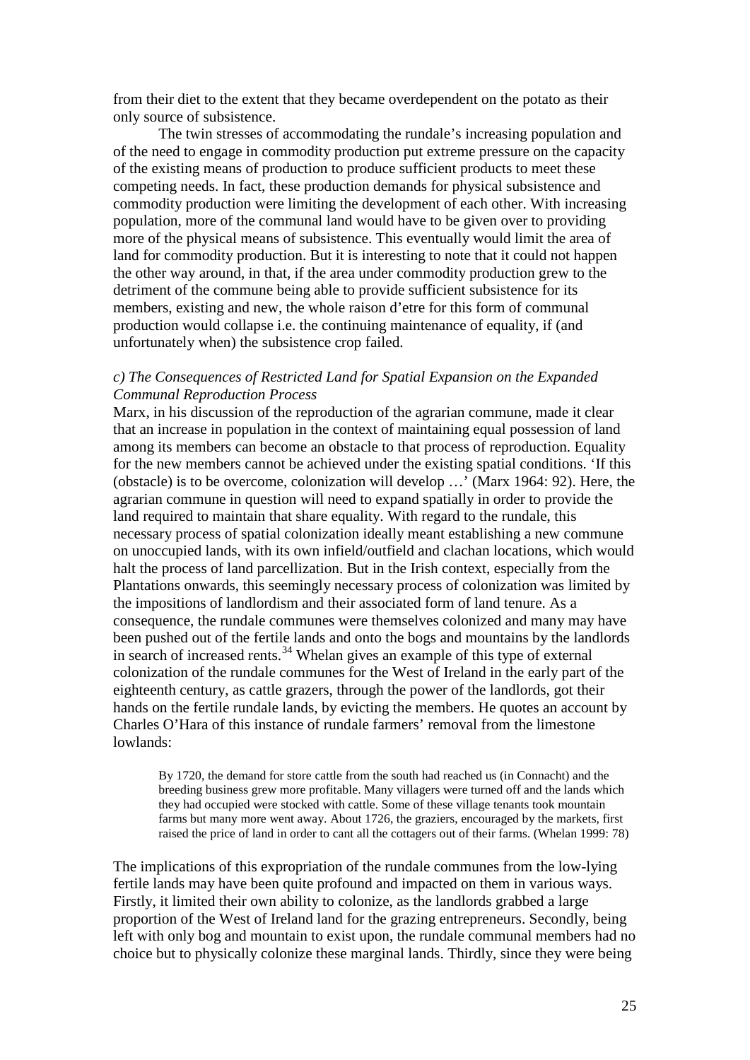from their diet to the extent that they became overdependent on the potato as their only source of subsistence.

The twin stresses of accommodating the rundale's increasing population and of the need to engage in commodity production put extreme pressure on the capacity of the existing means of production to produce sufficient products to meet these competing needs. In fact, these production demands for physical subsistence and commodity production were limiting the development of each other. With increasing population, more of the communal land would have to be given over to providing more of the physical means of subsistence. This eventually would limit the area of land for commodity production. But it is interesting to note that it could not happen the other way around, in that, if the area under commodity production grew to the detriment of the commune being able to provide sufficient subsistence for its members, existing and new, the whole raison d'etre for this form of communal production would collapse i.e. the continuing maintenance of equality, if (and unfortunately when) the subsistence crop failed.

## *c) The Consequences of Restricted Land for Spatial Expansion on the Expanded Communal Reproduction Process*

Marx, in his discussion of the reproduction of the agrarian commune, made it clear that an increase in population in the context of maintaining equal possession of land among its members can become an obstacle to that process of reproduction. Equality for the new members cannot be achieved under the existing spatial conditions. 'If this (obstacle) is to be overcome, colonization will develop …' (Marx 1964: 92). Here, the agrarian commune in question will need to expand spatially in order to provide the land required to maintain that share equality. With regard to the rundale, this necessary process of spatial colonization ideally meant establishing a new commune on unoccupied lands, with its own infield/outfield and clachan locations, which would halt the process of land parcellization. But in the Irish context, especially from the Plantations onwards, this seemingly necessary process of colonization was limited by the impositions of landlordism and their associated form of land tenure. As a consequence, the rundale communes were themselves colonized and many may have been pushed out of the fertile lands and onto the bogs and mountains by the landlords in search of increased rents.<sup>[34](#page-36-10)</sup> Whelan gives an example of this type of external colonization of the rundale communes for the West of Ireland in the early part of the eighteenth century, as cattle grazers, through the power of the landlords, got their hands on the fertile rundale lands, by evicting the members. He quotes an account by Charles O'Hara of this instance of rundale farmers' removal from the limestone lowlands:

By 1720, the demand for store cattle from the south had reached us (in Connacht) and the breeding business grew more profitable. Many villagers were turned off and the lands which they had occupied were stocked with cattle. Some of these village tenants took mountain farms but many more went away. About 1726, the graziers, encouraged by the markets, first raised the price of land in order to cant all the cottagers out of their farms. (Whelan 1999: 78)

The implications of this expropriation of the rundale communes from the low-lying fertile lands may have been quite profound and impacted on them in various ways. Firstly, it limited their own ability to colonize, as the landlords grabbed a large proportion of the West of Ireland land for the grazing entrepreneurs. Secondly, being left with only bog and mountain to exist upon, the rundale communal members had no choice but to physically colonize these marginal lands. Thirdly, since they were being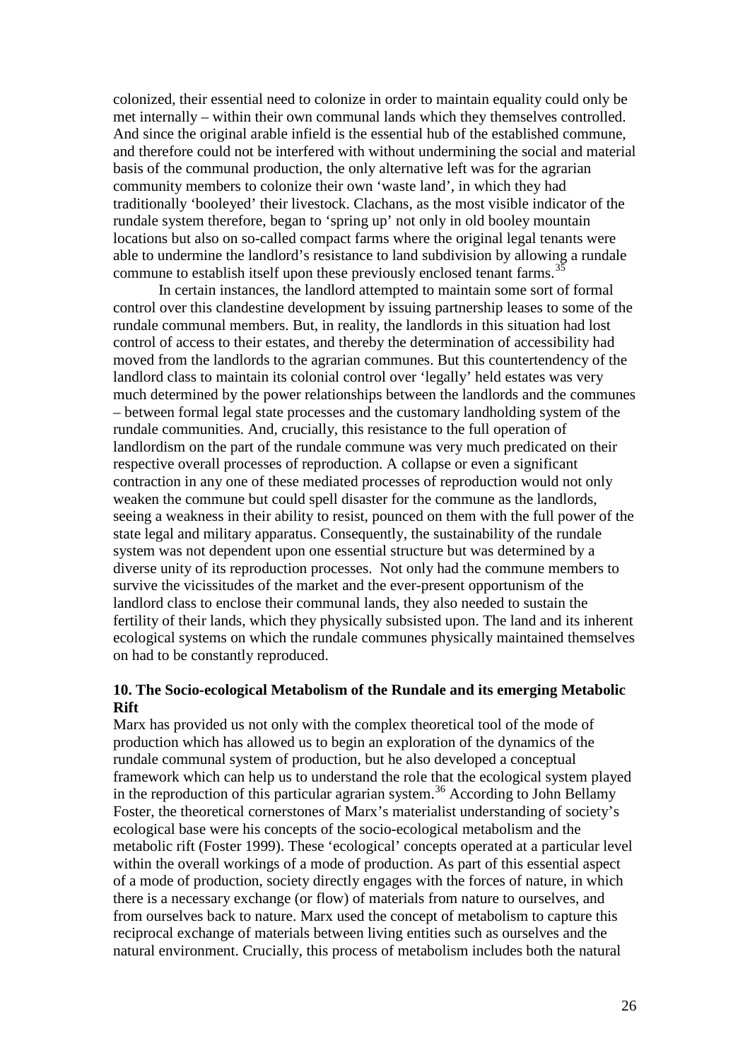colonized, their essential need to colonize in order to maintain equality could only be met internally – within their own communal lands which they themselves controlled. And since the original arable infield is the essential hub of the established commune, and therefore could not be interfered with without undermining the social and material basis of the communal production, the only alternative left was for the agrarian community members to colonize their own 'waste land', in which they had traditionally 'booleyed' their livestock. Clachans, as the most visible indicator of the rundale system therefore, began to 'spring up' not only in old booley mountain locations but also on so-called compact farms where the original legal tenants were able to undermine the landlord's resistance to land subdivision by allowing a rundale commune to establish itself upon these previously enclosed tenant farms.<sup>3</sup>

In certain instances, the landlord attempted to maintain some sort of formal control over this clandestine development by issuing partnership leases to some of the rundale communal members. But, in reality, the landlords in this situation had lost control of access to their estates, and thereby the determination of accessibility had moved from the landlords to the agrarian communes. But this countertendency of the landlord class to maintain its colonial control over 'legally' held estates was very much determined by the power relationships between the landlords and the communes – between formal legal state processes and the customary landholding system of the rundale communities. And, crucially, this resistance to the full operation of landlordism on the part of the rundale commune was very much predicated on their respective overall processes of reproduction. A collapse or even a significant contraction in any one of these mediated processes of reproduction would not only weaken the commune but could spell disaster for the commune as the landlords, seeing a weakness in their ability to resist, pounced on them with the full power of the state legal and military apparatus. Consequently, the sustainability of the rundale system was not dependent upon one essential structure but was determined by a diverse unity of its reproduction processes. Not only had the commune members to survive the vicissitudes of the market and the ever-present opportunism of the landlord class to enclose their communal lands, they also needed to sustain the fertility of their lands, which they physically subsisted upon. The land and its inherent ecological systems on which the rundale communes physically maintained themselves on had to be constantly reproduced.

## **10. The Socio-ecological Metabolism of the Rundale and its emerging Metabolic Rift**

Marx has provided us not only with the complex theoretical tool of the mode of production which has allowed us to begin an exploration of the dynamics of the rundale communal system of production, but he also developed a conceptual framework which can help us to understand the role that the ecological system played in the reproduction of this particular agrarian system. [36](#page-37-1) According to John Bellamy Foster, the theoretical cornerstones of Marx's materialist understanding of society's ecological base were his concepts of the socio-ecological metabolism and the metabolic rift (Foster 1999). These 'ecological' concepts operated at a particular level within the overall workings of a mode of production. As part of this essential aspect of a mode of production, society directly engages with the forces of nature, in which there is a necessary exchange (or flow) of materials from nature to ourselves, and from ourselves back to nature. Marx used the concept of metabolism to capture this reciprocal exchange of materials between living entities such as ourselves and the natural environment. Crucially, this process of metabolism includes both the natural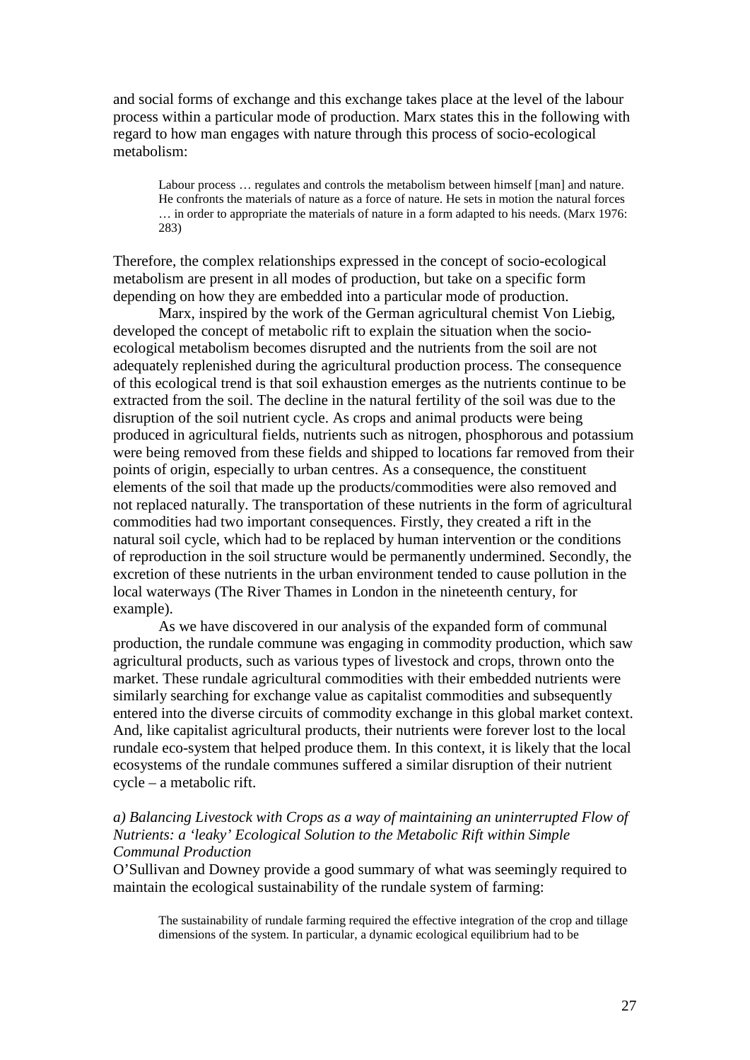and social forms of exchange and this exchange takes place at the level of the labour process within a particular mode of production. Marx states this in the following with regard to how man engages with nature through this process of socio-ecological metabolism:

Labour process ... regulates and controls the metabolism between himself [man] and nature. He confronts the materials of nature as a force of nature. He sets in motion the natural forces … in order to appropriate the materials of nature in a form adapted to his needs. (Marx 1976: 283)

Therefore, the complex relationships expressed in the concept of socio-ecological metabolism are present in all modes of production, but take on a specific form depending on how they are embedded into a particular mode of production.

Marx, inspired by the work of the German agricultural chemist Von Liebig, developed the concept of metabolic rift to explain the situation when the socioecological metabolism becomes disrupted and the nutrients from the soil are not adequately replenished during the agricultural production process. The consequence of this ecological trend is that soil exhaustion emerges as the nutrients continue to be extracted from the soil. The decline in the natural fertility of the soil was due to the disruption of the soil nutrient cycle. As crops and animal products were being produced in agricultural fields, nutrients such as nitrogen, phosphorous and potassium were being removed from these fields and shipped to locations far removed from their points of origin, especially to urban centres. As a consequence, the constituent elements of the soil that made up the products/commodities were also removed and not replaced naturally. The transportation of these nutrients in the form of agricultural commodities had two important consequences. Firstly, they created a rift in the natural soil cycle, which had to be replaced by human intervention or the conditions of reproduction in the soil structure would be permanently undermined. Secondly, the excretion of these nutrients in the urban environment tended to cause pollution in the local waterways (The River Thames in London in the nineteenth century, for example).

As we have discovered in our analysis of the expanded form of communal production, the rundale commune was engaging in commodity production, which saw agricultural products, such as various types of livestock and crops, thrown onto the market. These rundale agricultural commodities with their embedded nutrients were similarly searching for exchange value as capitalist commodities and subsequently entered into the diverse circuits of commodity exchange in this global market context. And, like capitalist agricultural products, their nutrients were forever lost to the local rundale eco-system that helped produce them. In this context, it is likely that the local ecosystems of the rundale communes suffered a similar disruption of their nutrient cycle – a metabolic rift.

## *a) Balancing Livestock with Crops as a way of maintaining an uninterrupted Flow of Nutrients: a 'leaky' Ecological Solution to the Metabolic Rift within Simple Communal Production*

O'Sullivan and Downey provide a good summary of what was seemingly required to maintain the ecological sustainability of the rundale system of farming:

The sustainability of rundale farming required the effective integration of the crop and tillage dimensions of the system. In particular, a dynamic ecological equilibrium had to be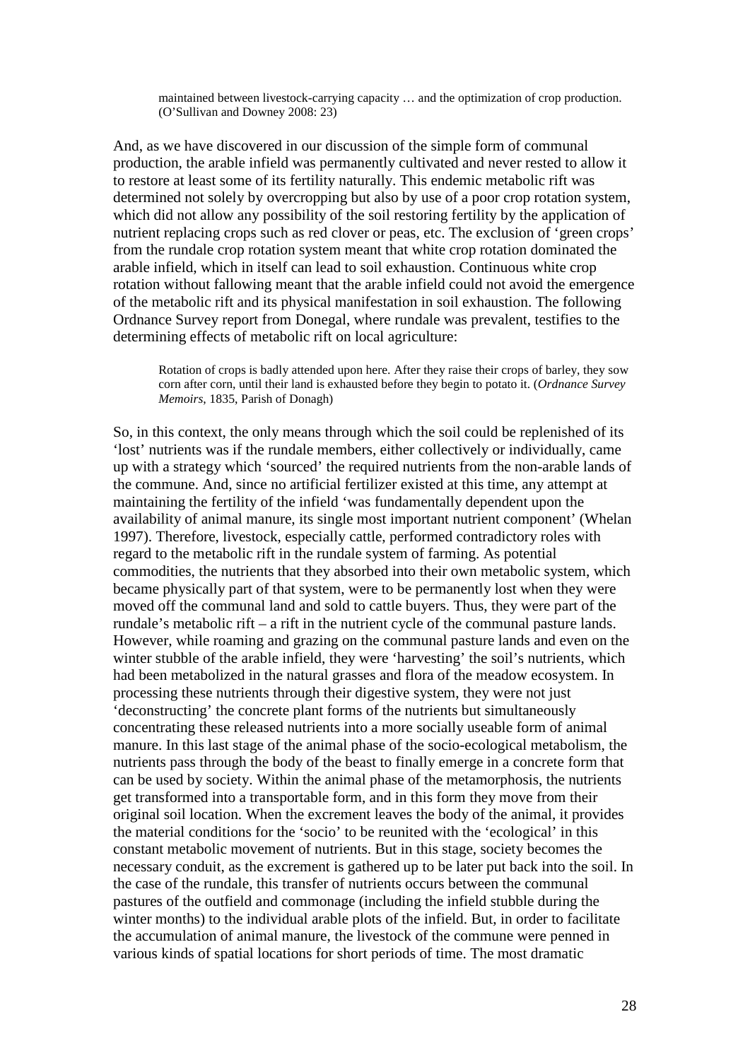maintained between livestock-carrying capacity … and the optimization of crop production. (O'Sullivan and Downey 2008: 23)

And, as we have discovered in our discussion of the simple form of communal production, the arable infield was permanently cultivated and never rested to allow it to restore at least some of its fertility naturally. This endemic metabolic rift was determined not solely by overcropping but also by use of a poor crop rotation system, which did not allow any possibility of the soil restoring fertility by the application of nutrient replacing crops such as red clover or peas, etc. The exclusion of 'green crops' from the rundale crop rotation system meant that white crop rotation dominated the arable infield, which in itself can lead to soil exhaustion. Continuous white crop rotation without fallowing meant that the arable infield could not avoid the emergence of the metabolic rift and its physical manifestation in soil exhaustion. The following Ordnance Survey report from Donegal, where rundale was prevalent, testifies to the determining effects of metabolic rift on local agriculture:

Rotation of crops is badly attended upon here. After they raise their crops of barley, they sow corn after corn, until their land is exhausted before they begin to potato it. (*Ordnance Survey Memoirs*, 1835, Parish of Donagh)

So, in this context, the only means through which the soil could be replenished of its 'lost' nutrients was if the rundale members, either collectively or individually, came up with a strategy which 'sourced' the required nutrients from the non-arable lands of the commune. And, since no artificial fertilizer existed at this time, any attempt at maintaining the fertility of the infield 'was fundamentally dependent upon the availability of animal manure, its single most important nutrient component' (Whelan 1997). Therefore, livestock, especially cattle, performed contradictory roles with regard to the metabolic rift in the rundale system of farming. As potential commodities, the nutrients that they absorbed into their own metabolic system, which became physically part of that system, were to be permanently lost when they were moved off the communal land and sold to cattle buyers. Thus, they were part of the rundale's metabolic rift – a rift in the nutrient cycle of the communal pasture lands. However, while roaming and grazing on the communal pasture lands and even on the winter stubble of the arable infield, they were 'harvesting' the soil's nutrients, which had been metabolized in the natural grasses and flora of the meadow ecosystem. In processing these nutrients through their digestive system, they were not just 'deconstructing' the concrete plant forms of the nutrients but simultaneously concentrating these released nutrients into a more socially useable form of animal manure. In this last stage of the animal phase of the socio-ecological metabolism, the nutrients pass through the body of the beast to finally emerge in a concrete form that can be used by society. Within the animal phase of the metamorphosis, the nutrients get transformed into a transportable form, and in this form they move from their original soil location. When the excrement leaves the body of the animal, it provides the material conditions for the 'socio' to be reunited with the 'ecological' in this constant metabolic movement of nutrients. But in this stage, society becomes the necessary conduit, as the excrement is gathered up to be later put back into the soil. In the case of the rundale, this transfer of nutrients occurs between the communal pastures of the outfield and commonage (including the infield stubble during the winter months) to the individual arable plots of the infield. But, in order to facilitate the accumulation of animal manure, the livestock of the commune were penned in various kinds of spatial locations for short periods of time. The most dramatic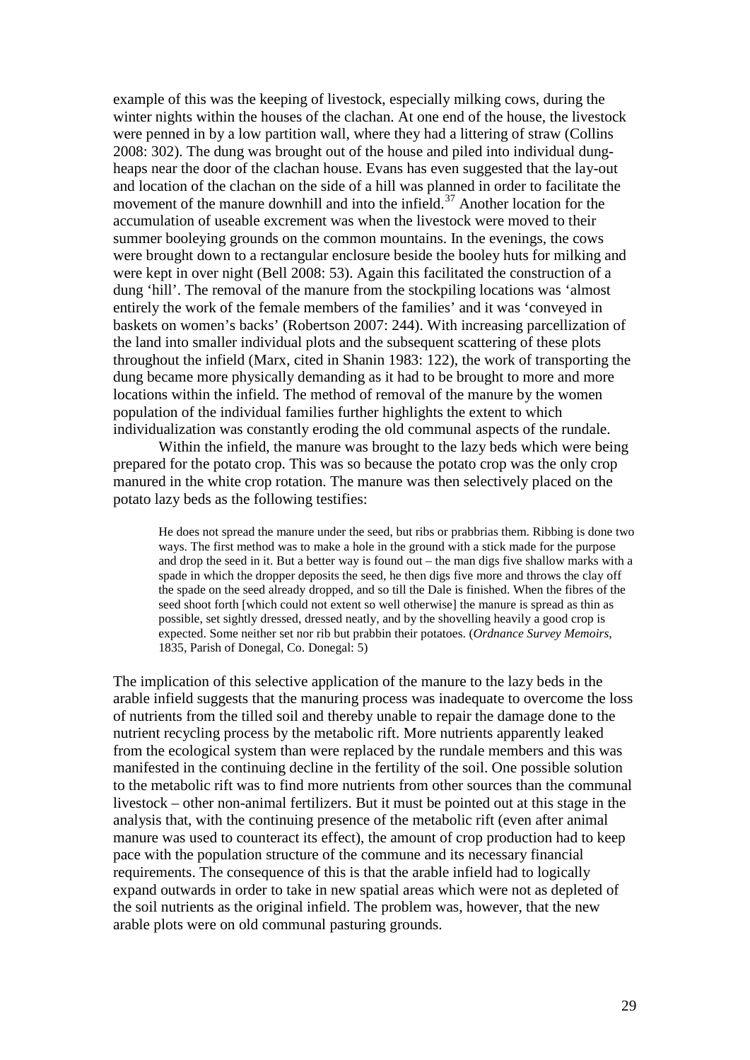example of this was the keeping of livestock, especially milking cows, during the winter nights within the houses of the clachan. At one end of the house, the livestock were penned in by a low partition wall, where they had a littering of straw (Collins 2008: 302). The dung was brought out of the house and piled into individual dungheaps near the door of the clachan house. Evans has even suggested that the lay-out and location of the clachan on the side of a hill was planned in order to facilitate the movement of the manure downhill and into the infield.<sup>[37](#page-37-2)</sup> Another location for the accumulation of useable excrement was when the livestock were moved to their summer booleying grounds on the common mountains. In the evenings, the cows were brought down to a rectangular enclosure beside the booley huts for milking and were kept in over night (Bell 2008: 53). Again this facilitated the construction of a dung 'hill'. The removal of the manure from the stockpiling locations was 'almost entirely the work of the female members of the families' and it was 'conveyed in baskets on women's backs' (Robertson 2007: 244). With increasing parcellization of the land into smaller individual plots and the subsequent scattering of these plots throughout the infield (Marx, cited in Shanin 1983: 122), the work of transporting the dung became more physically demanding as it had to be brought to more and more locations within the infield. The method of removal of the manure by the women population of the individual families further highlights the extent to which individualization was constantly eroding the old communal aspects of the rundale.

Within the infield, the manure was brought to the lazy beds which were being prepared for the potato crop. This was so because the potato crop was the only crop manured in the white crop rotation. The manure was then selectively placed on the potato lazy beds as the following testifies:

He does not spread the manure under the seed, but ribs or prabbrias them. Ribbing is done two ways. The first method was to make a hole in the ground with a stick made for the purpose and drop the seed in it. But a better way is found out – the man digs five shallow marks with a spade in which the dropper deposits the seed, he then digs five more and throws the clay off the spade on the seed already dropped, and so till the Dale is finished. When the fibres of the seed shoot forth [which could not extent so well otherwise] the manure is spread as thin as possible, set sightly dressed, dressed neatly, and by the shovelling heavily a good crop is expected. Some neither set nor rib but prabbin their potatoes. (*Ordnance Survey Memoirs*, 1835, Parish of Donegal, Co. Donegal: 5)

The implication of this selective application of the manure to the lazy beds in the arable infield suggests that the manuring process was inadequate to overcome the loss of nutrients from the tilled soil and thereby unable to repair the damage done to the nutrient recycling process by the metabolic rift. More nutrients apparently leaked from the ecological system than were replaced by the rundale members and this was manifested in the continuing decline in the fertility of the soil. One possible solution to the metabolic rift was to find more nutrients from other sources than the communal livestock – other non-animal fertilizers. But it must be pointed out at this stage in the analysis that, with the continuing presence of the metabolic rift (even after animal manure was used to counteract its effect), the amount of crop production had to keep pace with the population structure of the commune and its necessary financial requirements. The consequence of this is that the arable infield had to logically expand outwards in order to take in new spatial areas which were not as depleted of the soil nutrients as the original infield. The problem was, however, that the new arable plots were on old communal pasturing grounds.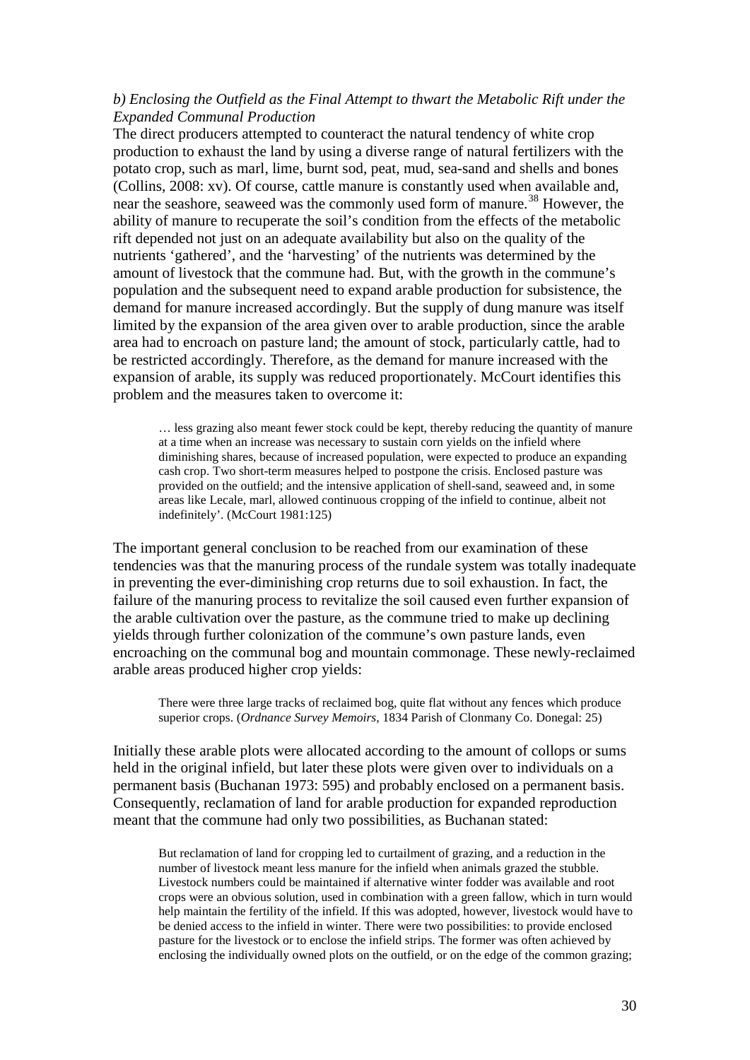## *b) Enclosing the Outfield as the Final Attempt to thwart the Metabolic Rift under the Expanded Communal Production*

The direct producers attempted to counteract the natural tendency of white crop production to exhaust the land by using a diverse range of natural fertilizers with the potato crop, such as marl, lime, burnt sod, peat, mud, sea-sand and shells and bones (Collins, 2008: xv). Of course, cattle manure is constantly used when available and, near the seashore, seaweed was the commonly used form of manure.<sup>[38](#page-37-3)</sup> However, the ability of manure to recuperate the soil's condition from the effects of the metabolic rift depended not just on an adequate availability but also on the quality of the nutrients 'gathered', and the 'harvesting' of the nutrients was determined by the amount of livestock that the commune had. But, with the growth in the commune's population and the subsequent need to expand arable production for subsistence, the demand for manure increased accordingly. But the supply of dung manure was itself limited by the expansion of the area given over to arable production, since the arable area had to encroach on pasture land; the amount of stock, particularly cattle, had to be restricted accordingly. Therefore, as the demand for manure increased with the expansion of arable, its supply was reduced proportionately. McCourt identifies this problem and the measures taken to overcome it:

… less grazing also meant fewer stock could be kept, thereby reducing the quantity of manure at a time when an increase was necessary to sustain corn yields on the infield where diminishing shares, because of increased population, were expected to produce an expanding cash crop. Two short-term measures helped to postpone the crisis. Enclosed pasture was provided on the outfield; and the intensive application of shell-sand, seaweed and, in some areas like Lecale, marl, allowed continuous cropping of the infield to continue, albeit not indefinitely'. (McCourt 1981:125)

The important general conclusion to be reached from our examination of these tendencies was that the manuring process of the rundale system was totally inadequate in preventing the ever-diminishing crop returns due to soil exhaustion. In fact, the failure of the manuring process to revitalize the soil caused even further expansion of the arable cultivation over the pasture, as the commune tried to make up declining yields through further colonization of the commune's own pasture lands, even encroaching on the communal bog and mountain commonage. These newly-reclaimed arable areas produced higher crop yields:

There were three large tracks of reclaimed bog, quite flat without any fences which produce superior crops. (*Ordnance Survey Memoirs*, 1834 Parish of Clonmany Co. Donegal: 25)

Initially these arable plots were allocated according to the amount of collops or sums held in the original infield, but later these plots were given over to individuals on a permanent basis (Buchanan 1973: 595) and probably enclosed on a permanent basis. Consequently, reclamation of land for arable production for expanded reproduction meant that the commune had only two possibilities, as Buchanan stated:

But reclamation of land for cropping led to curtailment of grazing, and a reduction in the number of livestock meant less manure for the infield when animals grazed the stubble. Livestock numbers could be maintained if alternative winter fodder was available and root crops were an obvious solution, used in combination with a green fallow, which in turn would help maintain the fertility of the infield. If this was adopted, however, livestock would have to be denied access to the infield in winter. There were two possibilities: to provide enclosed pasture for the livestock or to enclose the infield strips. The former was often achieved by enclosing the individually owned plots on the outfield, or on the edge of the common grazing;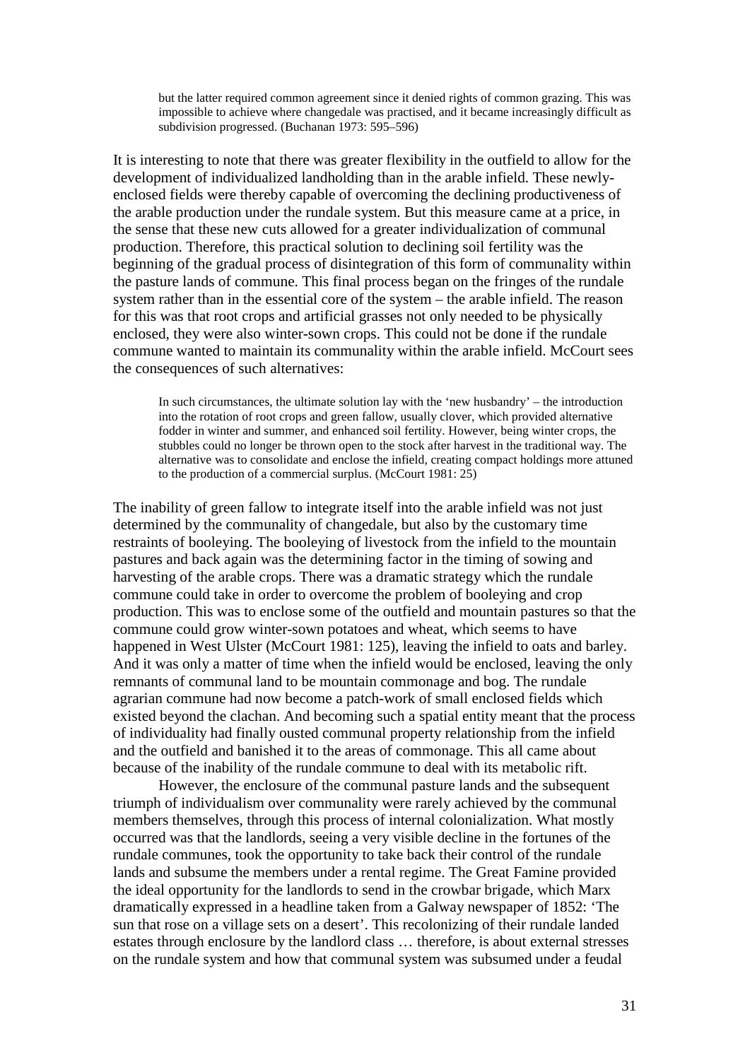but the latter required common agreement since it denied rights of common grazing. This was impossible to achieve where changedale was practised, and it became increasingly difficult as subdivision progressed. (Buchanan 1973: 595–596)

It is interesting to note that there was greater flexibility in the outfield to allow for the development of individualized landholding than in the arable infield. These newlyenclosed fields were thereby capable of overcoming the declining productiveness of the arable production under the rundale system. But this measure came at a price, in the sense that these new cuts allowed for a greater individualization of communal production. Therefore, this practical solution to declining soil fertility was the beginning of the gradual process of disintegration of this form of communality within the pasture lands of commune. This final process began on the fringes of the rundale system rather than in the essential core of the system – the arable infield. The reason for this was that root crops and artificial grasses not only needed to be physically enclosed, they were also winter-sown crops. This could not be done if the rundale commune wanted to maintain its communality within the arable infield. McCourt sees the consequences of such alternatives:

In such circumstances, the ultimate solution lay with the 'new husbandry' – the introduction into the rotation of root crops and green fallow, usually clover, which provided alternative fodder in winter and summer, and enhanced soil fertility. However, being winter crops, the stubbles could no longer be thrown open to the stock after harvest in the traditional way. The alternative was to consolidate and enclose the infield, creating compact holdings more attuned to the production of a commercial surplus. (McCourt 1981: 25)

The inability of green fallow to integrate itself into the arable infield was not just determined by the communality of changedale, but also by the customary time restraints of booleying. The booleying of livestock from the infield to the mountain pastures and back again was the determining factor in the timing of sowing and harvesting of the arable crops. There was a dramatic strategy which the rundale commune could take in order to overcome the problem of booleying and crop production. This was to enclose some of the outfield and mountain pastures so that the commune could grow winter-sown potatoes and wheat, which seems to have happened in West Ulster (McCourt 1981: 125), leaving the infield to oats and barley. And it was only a matter of time when the infield would be enclosed, leaving the only remnants of communal land to be mountain commonage and bog. The rundale agrarian commune had now become a patch-work of small enclosed fields which existed beyond the clachan. And becoming such a spatial entity meant that the process of individuality had finally ousted communal property relationship from the infield and the outfield and banished it to the areas of commonage. This all came about because of the inability of the rundale commune to deal with its metabolic rift.

However, the enclosure of the communal pasture lands and the subsequent triumph of individualism over communality were rarely achieved by the communal members themselves, through this process of internal colonialization. What mostly occurred was that the landlords, seeing a very visible decline in the fortunes of the rundale communes, took the opportunity to take back their control of the rundale lands and subsume the members under a rental regime. The Great Famine provided the ideal opportunity for the landlords to send in the crowbar brigade, which Marx dramatically expressed in a headline taken from a Galway newspaper of 1852: 'The sun that rose on a village sets on a desert'. This recolonizing of their rundale landed estates through enclosure by the landlord class … therefore, is about external stresses on the rundale system and how that communal system was subsumed under a feudal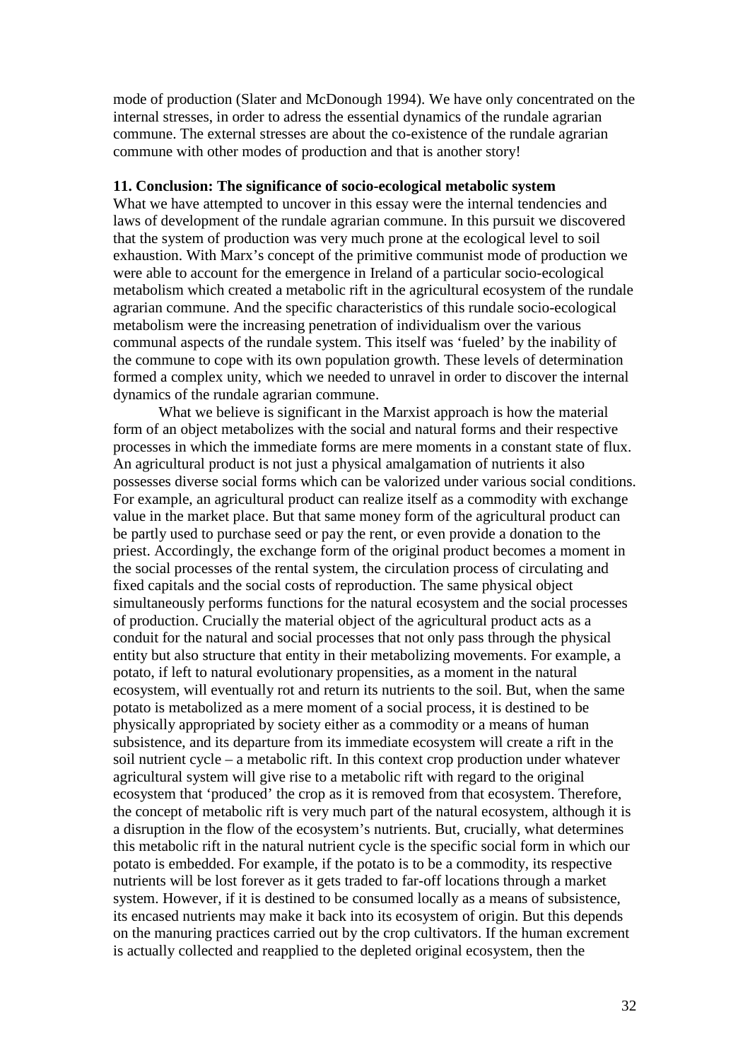mode of production (Slater and McDonough 1994). We have only concentrated on the internal stresses, in order to adress the essential dynamics of the rundale agrarian commune. The external stresses are about the co-existence of the rundale agrarian commune with other modes of production and that is another story!

## **11. Conclusion: The significance of socio-ecological metabolic system**

What we have attempted to uncover in this essay were the internal tendencies and laws of development of the rundale agrarian commune. In this pursuit we discovered that the system of production was very much prone at the ecological level to soil exhaustion. With Marx's concept of the primitive communist mode of production we were able to account for the emergence in Ireland of a particular socio-ecological metabolism which created a metabolic rift in the agricultural ecosystem of the rundale agrarian commune. And the specific characteristics of this rundale socio-ecological metabolism were the increasing penetration of individualism over the various communal aspects of the rundale system. This itself was 'fueled' by the inability of the commune to cope with its own population growth. These levels of determination formed a complex unity, which we needed to unravel in order to discover the internal dynamics of the rundale agrarian commune.

<span id="page-32-5"></span><span id="page-32-4"></span><span id="page-32-3"></span><span id="page-32-2"></span><span id="page-32-1"></span><span id="page-32-0"></span>What we believe is significant in the Marxist approach is how the material form of an object metabolizes with the social and natural forms and their respective processes in which the immediate forms are mere moments in a constant state of flux. An agricultural product is not just a physical amalgamation of nutrients it also possesses diverse social forms which can be valorized under various social conditions. For example, an agricultural product can realize itself as a commodity with exchange value in the market place. But that same money form of the agricultural product can be partly used to purchase seed or pay the rent, or even provide a donation to the priest. Accordingly, the exchange form of the original product becomes a moment in the social processes of the rental system, the circulation process of circulating and fixed capitals and the social costs of reproduction. The same physical object simultaneously performs functions for the natural ecosystem and the social processes of production. Crucially the material object of the agricultural product acts as a conduit for the natural and social processes that not only pass through the physical entity but also structure that entity in their metabolizing movements. For example, a potato, if left to natural evolutionary propensities, as a moment in the natural ecosystem, will eventually rot and return its nutrients to the soil. But, when the same potato is metabolized as a mere moment of a social process, it is destined to be physically appropriated by society either as a commodity or a means of human subsistence, and its departure from its immediate ecosystem will create a rift in the soil nutrient cycle – a metabolic rift. In this context crop production under whatever agricultural system will give rise to a metabolic rift with regard to the original ecosystem that 'produced' the crop as it is removed from that ecosystem. Therefore, the concept of metabolic rift is very much part of the natural ecosystem, although it is a disruption in the flow of the ecosystem's nutrients. But, crucially, what determines this metabolic rift in the natural nutrient cycle is the specific social form in which our potato is embedded. For example, if the potato is to be a commodity, its respective nutrients will be lost forever as it gets traded to far-off locations through a market system. However, if it is destined to be consumed locally as a means of subsistence, its encased nutrients may make it back into its ecosystem of origin. But this depends on the manuring practices carried out by the crop cultivators. If the human excrement is actually collected and reapplied to the depleted original ecosystem, then the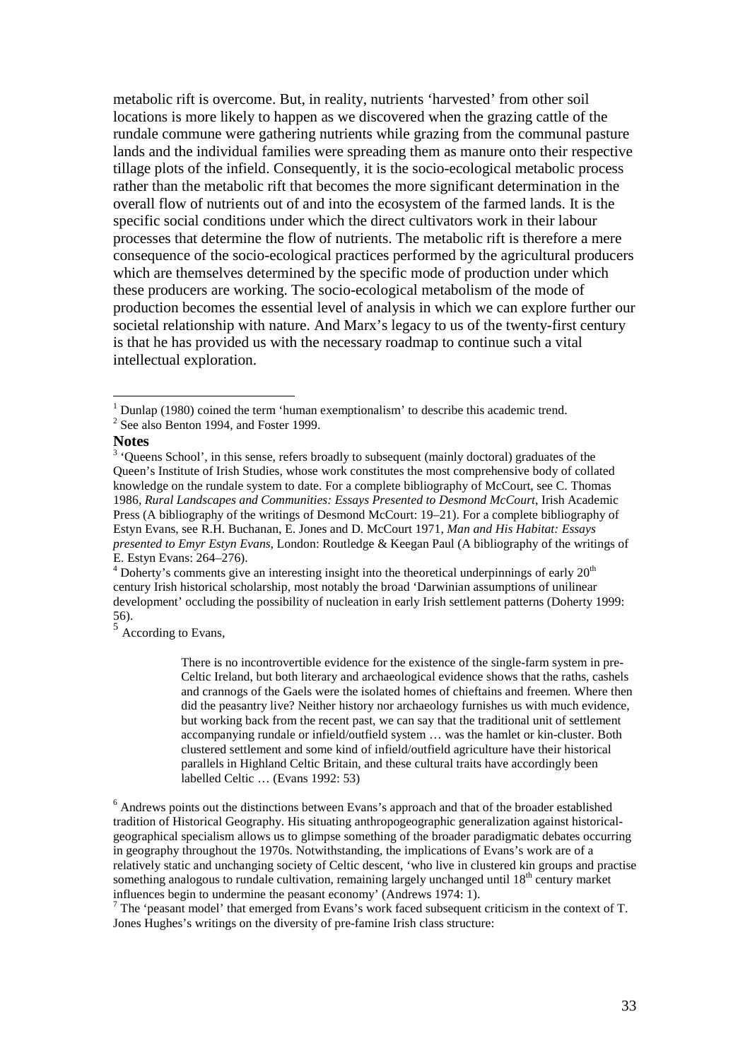metabolic rift is overcome. But, in reality, nutrients 'harvested' from other soil locations is more likely to happen as we discovered when the grazing cattle of the rundale commune were gathering nutrients while grazing from the communal pasture lands and the individual families were spreading them as manure onto their respective tillage plots of the infield. Consequently, it is the socio-ecological metabolic process rather than the metabolic rift that becomes the more significant determination in the overall flow of nutrients out of and into the ecosystem of the farmed lands. It is the specific social conditions under which the direct cultivators work in their labour processes that determine the flow of nutrients. The metabolic rift is therefore a mere consequence of the socio-ecological practices performed by the agricultural producers which are themselves determined by the specific mode of production under which these producers are working. The socio-ecological metabolism of the mode of production becomes the essential level of analysis in which we can explore further our societal relationship with nature. And Marx's legacy to us of the twenty-first century is that he has provided us with the necessary roadmap to continue such a vital intellectual exploration.

There is no incontrovertible evidence for the existence of the single-farm system in pre-Celtic Ireland, but both literary and archaeological evidence shows that the raths, cashels and crannogs of the Gaels were the isolated homes of chieftains and freemen. Where then did the peasantry live? Neither history nor archaeology furnishes us with much evidence, but working back from the recent past, we can say that the traditional unit of settlement accompanying rundale or infield/outfield system … was the hamlet or kin-cluster. Both clustered settlement and some kind of infield/outfield agriculture have their historical parallels in Highland Celtic Britain, and these cultural traits have accordingly been labelled Celtic … (Evans 1992: 53)

<sup>6</sup> Andrews points out the distinctions between Evans's approach and that of the broader established tradition of Historical Geography. His situating anthropogeographic generalization against historicalgeographical specialism allows us to glimpse something of the broader paradigmatic debates occurring in geography throughout the 1970s. Notwithstanding, the implications of Evans's work are of a relatively static and unchanging society of Celtic descent, 'who live in clustered kin groups and practise something analogous to rundale cultivation, remaining largely unchanged until  $18<sup>th</sup>$  century market influences begin to undermine the peasant economy' (Andrews 1974: 1).<br><sup>7</sup> The 'peasant model' that emerged from Evans's work faced subsequent criticism in the context of T.

Jones Hughes's writings on the diversity of pre-famine Irish class structure:

<span id="page-33-0"></span> $1$  Dunlap (1980) coined the term 'human exemptionalism' to describe this academic trend. <sup>2</sup> See also Benton 1994, and Foster 1999.

**Notes**

<sup>&</sup>lt;sup>3</sup> 'Oueens School', in this sense, refers broadly to subsequent (mainly doctoral) graduates of the Queen's Institute of Irish Studies, whose work constitutes the most comprehensive body of collated knowledge on the rundale system to date. For a complete bibliography of McCourt, see C. Thomas 1986, *Rural Landscapes and Communities: Essays Presented to Desmond McCourt*, Irish Academic Press (A bibliography of the writings of Desmond McCourt: 19–21). For a complete bibliography of Estyn Evans, see R.H. Buchanan, E. Jones and D. McCourt 1971, *Man and His Habitat: Essays presented to Emyr Estyn Evans*, London: Routledge & Keegan Paul (A bibliography of the writings of

 $\frac{4}{4}$  Doherty's comments give an interesting insight into the theoretical underpinnings of early 20<sup>th</sup> century Irish historical scholarship, most notably the broad 'Darwinian assumptions of unilinear development' occluding the possibility of nucleation in early Irish settlement patterns (Doherty 1999: 56).  $\frac{5}{5}$  According to Evans,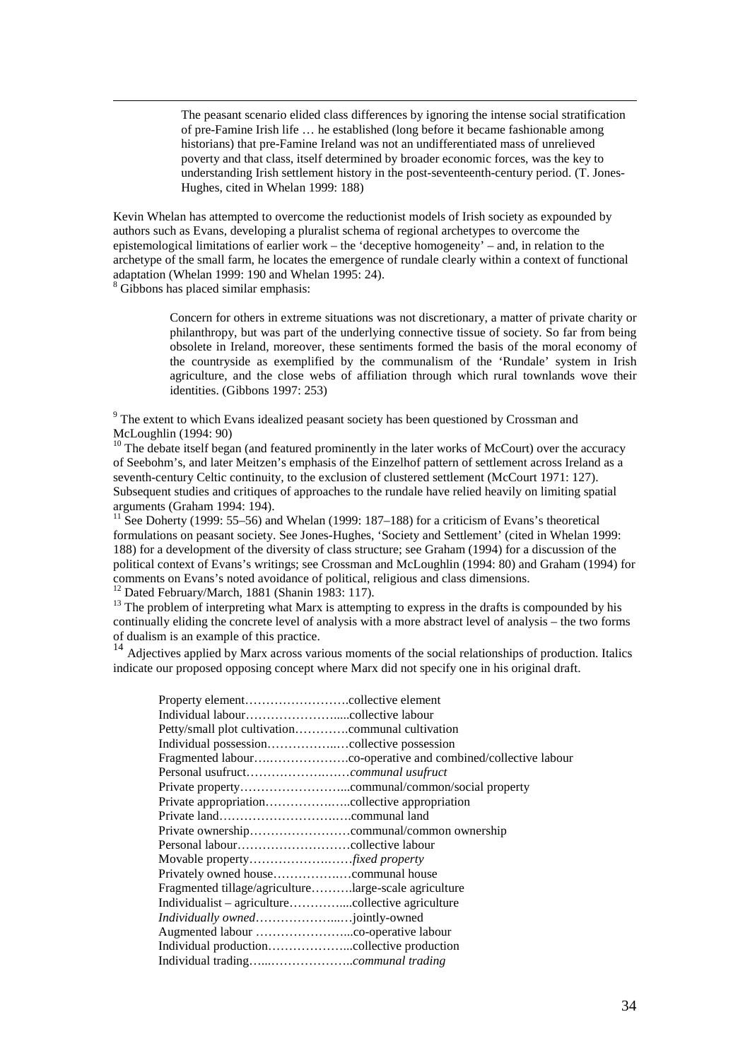The peasant scenario elided class differences by ignoring the intense social stratification of pre-Famine Irish life … he established (long before it became fashionable among historians) that pre-Famine Ireland was not an undifferentiated mass of unrelieved poverty and that class, itself determined by broader economic forces, was the key to understanding Irish settlement history in the post-seventeenth-century period. (T. Jones-Hughes, cited in Whelan 1999: 188)

Kevin Whelan has attempted to overcome the reductionist models of Irish society as expounded by authors such as Evans, developing a pluralist schema of regional archetypes to overcome the epistemological limitations of earlier work – the 'deceptive homogeneity' – and, in relation to the archetype of the small farm, he locates the emergence of rundale clearly within a context of functional adaptation (Whelan 1999: 190 and Whelan 1995: 24).

<span id="page-34-0"></span><sup>8</sup> Gibbons has placed similar emphasis:

Concern for others in extreme situations was not discretionary, a matter of private charity or philanthropy, but was part of the underlying connective tissue of society. So far from being obsolete in Ireland, moreover, these sentiments formed the basis of the moral economy of the countryside as exemplified by the communalism of the 'Rundale' system in Irish agriculture, and the close webs of affiliation through which rural townlands wove their identities. (Gibbons 1997: 253)

<span id="page-34-1"></span><sup>9</sup> The extent to which Evans idealized peasant society has been questioned by Crossman and McLoughlin (1994: 90)

<span id="page-34-2"></span> $10$  The debate itself began (and featured prominently in the later works of McCourt) over the accuracy of Seebohm's, and later Meitzen's emphasis of the Einzelhof pattern of settlement across Ireland as a seventh-century Celtic continuity, to the exclusion of clustered settlement (McCourt 1971: 127). Subsequent studies and critiques of approaches to the rundale have relied heavily on limiting spatial arguments (Graham 1994: 194).

<span id="page-34-3"></span><sup>11</sup> See Doherty (1999: 55–56) and Whelan (1999: 187–188) for a criticism of Evans's theoretical formulations on peasant society. See Jones-Hughes, 'Society and Settlement' (cited in Whelan 1999: 188) for a development of the diversity of class structure; see Graham (1994) for a discussion of the political context of Evans's writings; see Crossman and McLoughlin (1994: 80) and Graham (1994) for comments on Evans's noted avoidance of political, religious and class dimensions.<br><sup>12</sup> Dated February/March, 1881 (Shanin 1983: 117).

<span id="page-34-4"></span>

<span id="page-34-5"></span> $13$  The problem of interpreting what Marx is attempting to express in the drafts is compounded by his continually eliding the concrete level of analysis with a more abstract level of analysis – the two forms of dualism is an example of this practice.

<sup>14</sup> Adjectives applied by Marx across various moments of the social relationships of production. Italics indicate our proposed opposing concept where Marx did not specify one in his original draft.

| Fragmented tillage/agriculturelarge-scale agriculture |  |
|-------------------------------------------------------|--|
|                                                       |  |
|                                                       |  |
|                                                       |  |
|                                                       |  |
|                                                       |  |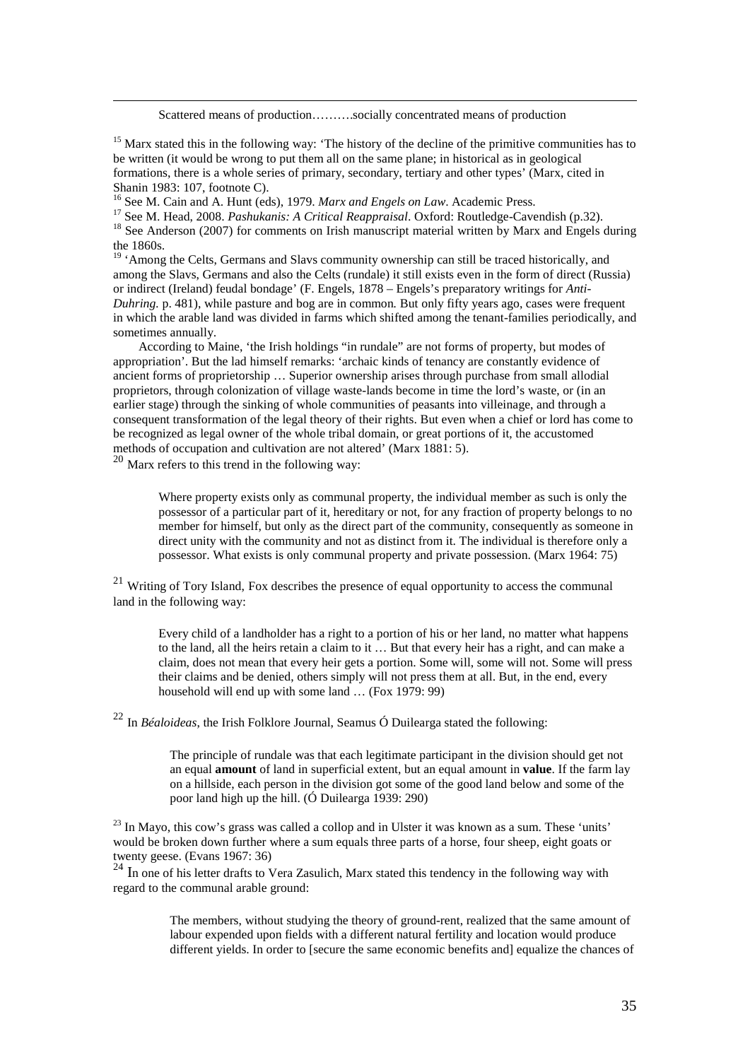Scattered means of production……….socially concentrated means of production

<span id="page-35-1"></span><span id="page-35-0"></span> $15$  Marx stated this in the following way: 'The history of the decline of the primitive communities has to be written (it would be wrong to put them all on the same plane; in historical as in geological formations, there is a whole series of primary, secondary, tertiary and other types' (Marx, cited in Shanin 1983: 107, footnote C).<br><sup>16</sup> See M. Cain and A. Hunt (eds), 1979. *Marx and Engels on Law*. Academic Press.

<span id="page-35-3"></span><span id="page-35-2"></span><sup>17</sup> See M. Head, 2008. *Pashukanis: A Critical Reappraisal*. Oxford: Routledge-Cavendish (p.32).<br><sup>18</sup> See Anderson (2007) for comments on Irish manuscript material written by Marx and Engels during

<span id="page-35-4"></span>the 1860s.

<span id="page-35-5"></span> $19$  'Among the Celts, Germans and Slavs community ownership can still be traced historically, and among the Slavs, Germans and also the Celts (rundale) it still exists even in the form of direct (Russia) or indirect (Ireland) feudal bondage' (F. Engels, 1878 – Engels's preparatory writings for *Anti-Duhring.* p. 481), while pasture and bog are in common*.* But only fifty years ago, cases were frequent in which the arable land was divided in farms which shifted among the tenant-families periodically, and sometimes annually.

 According to Maine, 'the Irish holdings "in rundale" are not forms of property, but modes of appropriation'. But the lad himself remarks: 'archaic kinds of tenancy are constantly evidence of ancient forms of proprietorship … Superior ownership arises through purchase from small allodial proprietors, through colonization of village waste-lands become in time the lord's waste, or (in an earlier stage) through the sinking of whole communities of peasants into villeinage, and through a consequent transformation of the legal theory of their rights. But even when a chief or lord has come to be recognized as legal owner of the whole tribal domain, or great portions of it, the accustomed methods of occupation and cultivation are not altered' (Marx 1881: 5).

<span id="page-35-6"></span> $20$  Marx refers to this trend in the following way:

Where property exists only as communal property, the individual member as such is only the possessor of a particular part of it, hereditary or not, for any fraction of property belongs to no member for himself, but only as the direct part of the community, consequently as someone in direct unity with the community and not as distinct from it. The individual is therefore only a possessor. What exists is only communal property and private possession. (Marx 1964: 75)

<span id="page-35-7"></span><sup>21</sup> Writing of Tory Island, Fox describes the presence of equal opportunity to access the communal land in the following way:

Every child of a landholder has a right to a portion of his or her land, no matter what happens to the land, all the heirs retain a claim to it … But that every heir has a right, and can make a claim, does not mean that every heir gets a portion. Some will, some will not. Some will press their claims and be denied, others simply will not press them at all. But, in the end, every household will end up with some land ... (Fox 1979: 99)

<span id="page-35-8"></span><sup>22</sup> In *Béaloideas*, the Irish Folklore Journal, Seamus Ó Duilearga stated the following:

The principle of rundale was that each legitimate participant in the division should get not an equal **amount** of land in superficial extent, but an equal amount in **value**. If the farm lay on a hillside, each person in the division got some of the good land below and some of the poor land high up the hill. (Ó Duilearga 1939: 290)

<span id="page-35-9"></span> $^{23}$  In Mayo, this cow's grass was called a collop and in Ulster it was known as a sum. These 'units' would be broken down further where a sum equals three parts of a horse, four sheep, eight goats or twenty geese. (Evans 1967: 36)

 $^{24}$  In one of his letter drafts to Vera Zasulich, Marx stated this tendency in the following way with regard to the communal arable ground:

> The members, without studying the theory of ground-rent, realized that the same amount of labour expended upon fields with a different natural fertility and location would produce different yields. In order to [secure the same economic benefits and] equalize the chances of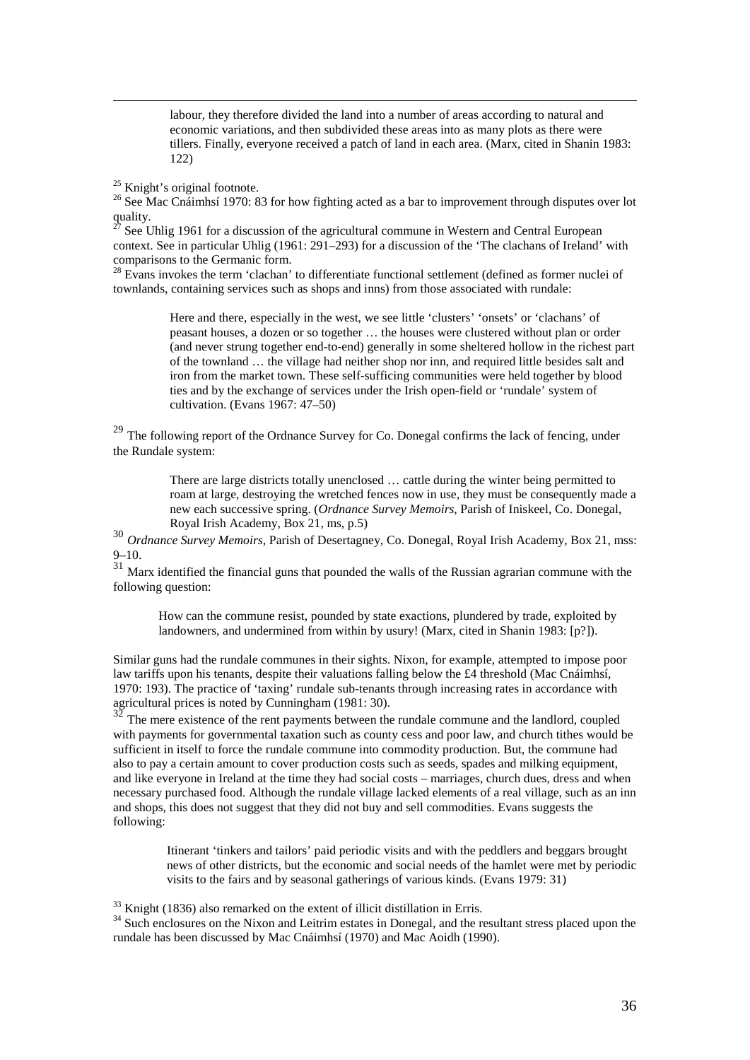labour, they therefore divided the land into a number of areas according to natural and economic variations, and then subdivided these areas into as many plots as there were tillers. Finally, everyone received a patch of land in each area. (Marx, cited in Shanin 1983: 122)

<span id="page-36-2"></span><span id="page-36-1"></span><span id="page-36-0"></span><sup>25</sup> Knight's original footnote.<br><sup>26</sup> See Mac Cnáimhsí 1970: 83 for how fighting acted as a bar to improvement through disputes over lot  $\frac{1}{27}$  quality.

<span id="page-36-3"></span>See Uhlig 1961 for a discussion of the agricultural commune in Western and Central European context. See in particular Uhlig (1961: 291–293) for a discussion of the 'The clachans of Ireland' with comparisons to the Germanic form.

<span id="page-36-4"></span> $28$  Evans invokes the term 'clachan' to differentiate functional settlement (defined as former nuclei of townlands, containing services such as shops and inns) from those associated with rundale:

> Here and there, especially in the west, we see little 'clusters' 'onsets' or 'clachans' of peasant houses, a dozen or so together … the houses were clustered without plan or order (and never strung together end-to-end) generally in some sheltered hollow in the richest part of the townland … the village had neither shop nor inn, and required little besides salt and iron from the market town. These self-sufficing communities were held together by blood ties and by the exchange of services under the Irish open-field or 'rundale' system of cultivation. (Evans 1967: 47–50)

<span id="page-36-5"></span><sup>29</sup> The following report of the Ordnance Survey for Co. Donegal confirms the lack of fencing, under the Rundale system:

> There are large districts totally unenclosed … cattle during the winter being permitted to roam at large, destroying the wretched fences now in use, they must be consequently made a new each successive spring. (*Ordnance Survey Memoirs*, Parish of Iniskeel, Co. Donegal, Royal Irish Academy, Box 21, ms, p.5)

<span id="page-36-6"></span><sup>30</sup> *Ordnance Survey Memoirs*, Parish of Desertagney, Co. Donegal, Royal Irish Academy, Box 21, mss: 9–10.

<span id="page-36-7"></span> $31$  Marx identified the financial guns that pounded the walls of the Russian agrarian commune with the following question:

How can the commune resist, pounded by state exactions, plundered by trade, exploited by landowners, and undermined from within by usury! (Marx, cited in Shanin 1983: [p?]).

Similar guns had the rundale communes in their sights. Nixon, for example, attempted to impose poor law tariffs upon his tenants, despite their valuations falling below the £4 threshold (Mac Cnáimhsí, 1970: 193). The practice of 'taxing' rundale sub-tenants through increasing rates in accordance with agricultural prices is noted by Cunningham (1981: 30).<br>32 T

<span id="page-36-8"></span>The mere existence of the rent payments between the rundale commune and the landlord, coupled with payments for governmental taxation such as county cess and poor law, and church tithes would be sufficient in itself to force the rundale commune into commodity production. But, the commune had also to pay a certain amount to cover production costs such as seeds, spades and milking equipment, and like everyone in Ireland at the time they had social costs – marriages, church dues, dress and when necessary purchased food. Although the rundale village lacked elements of a real village, such as an inn and shops, this does not suggest that they did not buy and sell commodities. Evans suggests the following:

> Itinerant 'tinkers and tailors' paid periodic visits and with the peddlers and beggars brought news of other districts, but the economic and social needs of the hamlet were met by periodic visits to the fairs and by seasonal gatherings of various kinds. (Evans 1979: 31)

<span id="page-36-10"></span>

<span id="page-36-9"></span> $\frac{33}{34}$  Knight (1836) also remarked on the extent of illicit distillation in Erris.<br><sup>34</sup> Such enclosures on the Nixon and Leitrim estates in Donegal, and the resultant stress placed upon the rundale has been discussed by Mac Cnáimhsí (1970) and Mac Aoidh (1990).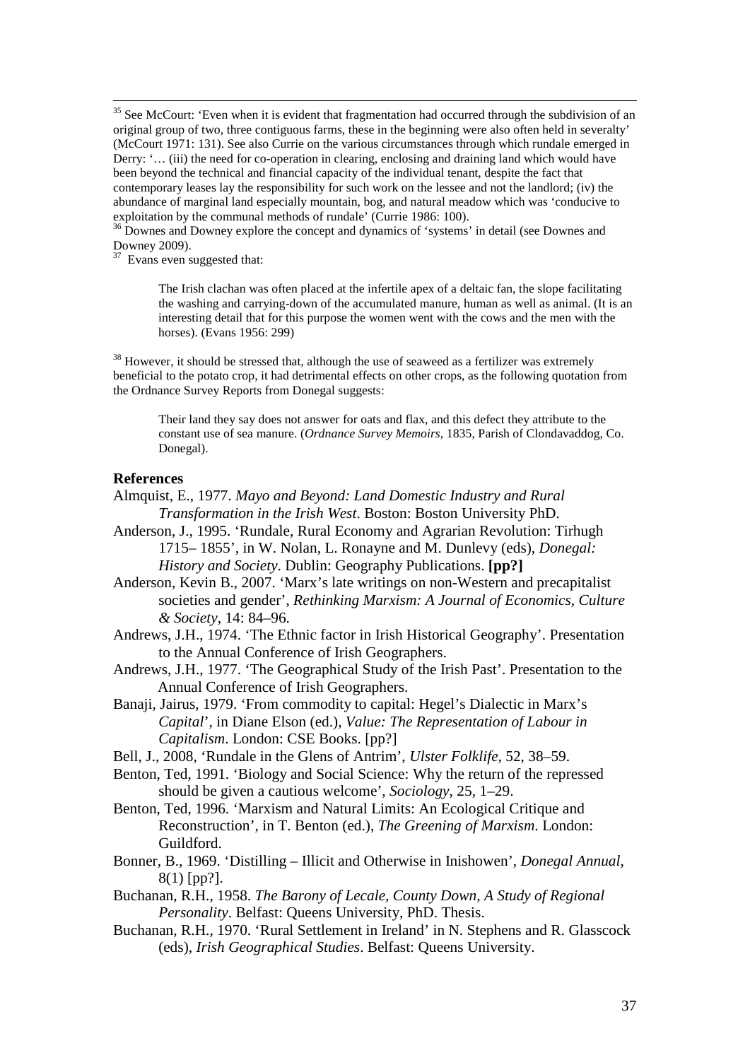<span id="page-37-0"></span><sup>35</sup> See McCourt: 'Even when it is evident that fragmentation had occurred through the subdivision of an original group of two, three contiguous farms, these in the beginning were also often held in severalty' (McCourt 1971: 131). See also Currie on the various circumstances through which rundale emerged in Derry: '… (iii) the need for co-operation in clearing, enclosing and draining land which would have been beyond the technical and financial capacity of the individual tenant, despite the fact that contemporary leases lay the responsibility for such work on the lessee and not the landlord; (iv) the abundance of marginal land especially mountain, bog, and natural meadow which was 'conducive to exploitation by the communal methods of rundale' (Currie 1986: 100).<br><sup>36</sup> Downes and Downey explore the concept and dynamics of 'systems' in detail (see Downes and

<span id="page-37-1"></span>Downey 2009).

<span id="page-37-2"></span><sup>37</sup> Evans even suggested that:

The Irish clachan was often placed at the infertile apex of a deltaic fan, the slope facilitating the washing and carrying-down of the accumulated manure, human as well as animal. (It is an interesting detail that for this purpose the women went with the cows and the men with the horses). (Evans 1956: 299)

<span id="page-37-3"></span><sup>38</sup> However, it should be stressed that, although the use of seaweed as a fertilizer was extremely beneficial to the potato crop, it had detrimental effects on other crops, as the following quotation from the Ordnance Survey Reports from Donegal suggests:

Their land they say does not answer for oats and flax, and this defect they attribute to the constant use of sea manure. (*Ordnance Survey Memoirs*, 1835, Parish of Clondavaddog, Co. Donegal).

#### **References**

- Almquist, E., 1977. *Mayo and Beyond: Land Domestic Industry and Rural Transformation in the Irish West*. Boston: Boston University PhD.
- Anderson, J., 1995. 'Rundale, Rural Economy and Agrarian Revolution: Tirhugh 1715– 1855', in W. Nolan, L. Ronayne and M. Dunlevy (eds), *Donegal: History and Society*. Dublin: Geography Publications. **[pp?]**
- Anderson, Kevin B., 2007. 'Marx's late writings on non-Western and precapitalist societies and gender', *Rethinking Marxism: A Journal of Economics, Culture & Society*, 14: 84–96.
- Andrews, J.H., 1974. 'The Ethnic factor in Irish Historical Geography'. Presentation to the Annual Conference of Irish Geographers.
- Andrews, J.H., 1977. 'The Geographical Study of the Irish Past'. Presentation to the Annual Conference of Irish Geographers.
- Banaji, Jairus, 1979. 'From commodity to capital: Hegel's Dialectic in Marx's *Capital*', in Diane Elson (ed.), *Value: The Representation of Labour in Capitalism*. London: CSE Books. [pp?]
- Bell, J., 2008, 'Rundale in the Glens of Antrim', *Ulster Folklife*, 52, 38–59.
- Benton, Ted, 1991. 'Biology and Social Science: Why the return of the repressed should be given a cautious welcome', *Sociology*, 25, 1–29.
- Benton, Ted, 1996. 'Marxism and Natural Limits: An Ecological Critique and Reconstruction', in T. Benton (ed.), *The Greening of Marxism*. London: Guildford.
- Bonner, B., 1969. 'Distilling Illicit and Otherwise in Inishowen', *Donegal Annual*, 8(1) [pp?].
- Buchanan, R.H., 1958. *The Barony of Lecale, County Down, A Study of Regional Personality*. Belfast: Queens University, PhD. Thesis.
- Buchanan, R.H., 1970. 'Rural Settlement in Ireland' in N. Stephens and R. Glasscock (eds), *Irish Geographical Studies*. Belfast: Queens University.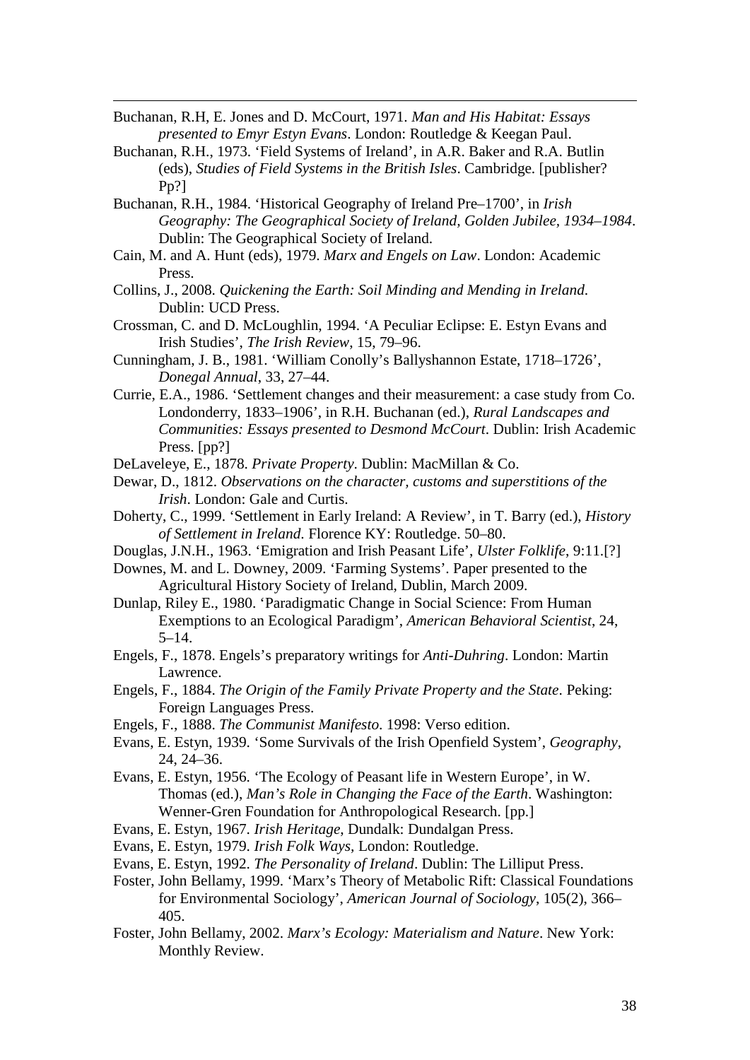Buchanan, R.H, E. Jones and D. McCourt, 1971. *Man and His Habitat: Essays presented to Emyr Estyn Evans*. London: Routledge & Keegan Paul.

-

- Buchanan, R.H., 1973. 'Field Systems of Ireland', in A.R. Baker and R.A. Butlin (eds), *Studies of Field Systems in the British Isles*. Cambridge. [publisher? Pp?]
- Buchanan, R.H., 1984. 'Historical Geography of Ireland Pre–1700', in *Irish Geography: The Geographical Society of Ireland, Golden Jubilee, 1934–1984*. Dublin: The Geographical Society of Ireland.
- Cain, M. and A. Hunt (eds), 1979. *Marx and Engels on Law*. London: Academic Press.
- Collins, J., 2008. *Quickening the Earth: Soil Minding and Mending in Ireland*. Dublin: UCD Press.
- Crossman, C. and D. McLoughlin, 1994. 'A Peculiar Eclipse: E. Estyn Evans and Irish Studies', *The Irish Review*, 15, 79–96.
- Cunningham, J. B., 1981. 'William Conolly's Ballyshannon Estate, 1718–1726', *Donegal Annual*, 33, 27–44.
- Currie, E.A., 1986. 'Settlement changes and their measurement: a case study from Co. Londonderry, 1833–1906', in R.H. Buchanan (ed.), *Rural Landscapes and Communities: Essays presented to Desmond McCourt*. Dublin: Irish Academic Press. [pp?]

DeLaveleye, E., 1878. *Private Property*. Dublin: MacMillan & Co.

- Dewar, D., 1812. *Observations on the character, customs and superstitions of the Irish*. London: Gale and Curtis.
- Doherty, C., 1999. 'Settlement in Early Ireland: A Review', in T. Barry (ed.), *History of Settlement in Ireland*. Florence KY: Routledge. 50–80.
- Douglas, J.N.H., 1963. 'Emigration and Irish Peasant Life', *Ulster Folklife*, 9:11.[?]
- Downes, M. and L. Downey, 2009. 'Farming Systems'. Paper presented to the Agricultural History Society of Ireland, Dublin, March 2009.
- Dunlap, Riley E., 1980. 'Paradigmatic Change in Social Science: From Human Exemptions to an Ecological Paradigm', *American Behavioral Scientist*, 24,  $5-14.$
- Engels, F., 1878. Engels's preparatory writings for *Anti-Duhring*. London: Martin Lawrence.
- Engels, F., 1884. *The Origin of the Family Private Property and the State*. Peking: Foreign Languages Press.
- Engels, F., 1888. *The Communist Manifesto*. 1998: Verso edition.
- Evans, E. Estyn, 1939. 'Some Survivals of the Irish Openfield System', *Geography*, 24, 24–36.
- Evans, E. Estyn, 1956. 'The Ecology of Peasant life in Western Europe', in W. Thomas (ed.), *Man's Role in Changing the Face of the Earth*. Washington: Wenner-Gren Foundation for Anthropological Research. [pp.]
- Evans, E. Estyn, 1967. *Irish Heritage*, Dundalk: Dundalgan Press.
- Evans, E. Estyn, 1979. *Irish Folk Ways,* London: Routledge.
- Evans, E. Estyn, 1992. *The Personality of Ireland*. Dublin: The Lilliput Press.
- Foster, John Bellamy, 1999. 'Marx's Theory of Metabolic Rift: Classical Foundations for Environmental Sociology', *American Journal of Sociology*, 105(2), 366– 405.
- Foster, John Bellamy, 2002. *Marx's Ecology: Materialism and Nature*. New York: Monthly Review.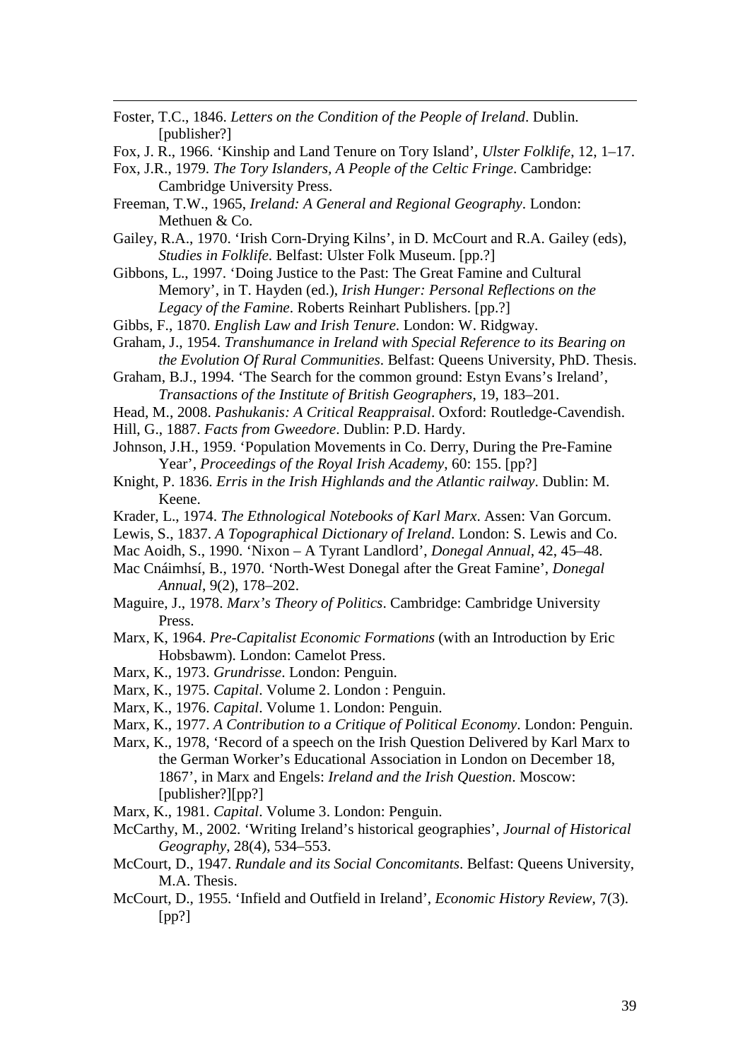Foster, T.C., 1846. *Letters on the Condition of the People of Ireland*. Dublin. [publisher?]

-

- Fox, J. R., 1966. 'Kinship and Land Tenure on Tory Island', *Ulster Folklife*, 12, 1–17.
- Fox, J.R., 1979. *The Tory Islanders, A People of the Celtic Fringe*. Cambridge: Cambridge University Press.
- Freeman, T.W., 1965, *Ireland: A General and Regional Geography*. London: Methuen & Co.
- Gailey, R.A., 1970. 'Irish Corn-Drying Kilns', in D. McCourt and R.A. Gailey (eds), *Studies in Folklife*. Belfast: Ulster Folk Museum. [pp.?]
- Gibbons, L., 1997. 'Doing Justice to the Past: The Great Famine and Cultural Memory', in T. Hayden (ed.), *Irish Hunger: Personal Reflections on the Legacy of the Famine*. Roberts Reinhart Publishers. [pp.?]
- Gibbs, F., 1870. *English Law and Irish Tenure*. London: W. Ridgway.
- Graham, J., 1954. *Transhumance in Ireland with Special Reference to its Bearing on the Evolution Of Rural Communities*. Belfast: Queens University, PhD. Thesis.
- Graham, B.J., 1994. 'The Search for the common ground: Estyn Evans's Ireland', *Transactions of the Institute of British Geographers*, 19, 183–201.
- Head, M., 2008. *Pashukanis: A Critical Reappraisal*. Oxford: Routledge-Cavendish.
- Hill, G., 1887. *Facts from Gweedore*. Dublin: P.D. Hardy.
- Johnson, J.H., 1959. 'Population Movements in Co. Derry, During the Pre-Famine Year', *Proceedings of the Royal Irish Academy*, 60: 155. [pp?]
- Knight, P. 1836. *Erris in the Irish Highlands and the Atlantic railway*. Dublin: M. Keene.
- Krader, L., 1974. *The Ethnological Notebooks of Karl Marx*. Assen: Van Gorcum.
- Lewis, S., 1837. *A Topographical Dictionary of Ireland*. London: S. Lewis and Co.
- Mac Aoidh, S., 1990. 'Nixon A Tyrant Landlord', *Donegal Annual*, 42, 45–48.
- Mac Cnáimhsí, B., 1970. 'North-West Donegal after the Great Famine', *Donegal Annual*, 9(2), 178–202.
- Maguire, J., 1978. *Marx's Theory of Politics*. Cambridge: Cambridge University Press.
- Marx, K, 1964. *Pre-Capitalist Economic Formations* (with an Introduction by Eric Hobsbawm). London: Camelot Press.
- Marx, K., 1973. *Grundrisse*. London: Penguin.
- Marx, K., 1975. *Capital*. Volume 2. London : Penguin.
- Marx, K., 1976. *Capital*. Volume 1. London: Penguin.
- Marx, K., 1977. *A Contribution to a Critique of Political Economy*. London: Penguin.
- Marx, K., 1978, 'Record of a speech on the Irish Question Delivered by Karl Marx to the German Worker's Educational Association in London on December 18, 1867', in Marx and Engels: *Ireland and the Irish Question*. Moscow: [publisher?][pp?]
- Marx, K., 1981. *Capital*. Volume 3. London: Penguin.
- McCarthy, M., 2002. 'Writing Ireland's historical geographies', *Journal of Historical Geography*, 28(4), 534–553.
- McCourt, D., 1947. *Rundale and its Social Concomitants*. Belfast: Queens University, M.A. Thesis.
- McCourt, D., 1955. 'Infield and Outfield in Ireland', *Economic History Review*, 7(3). [pp?]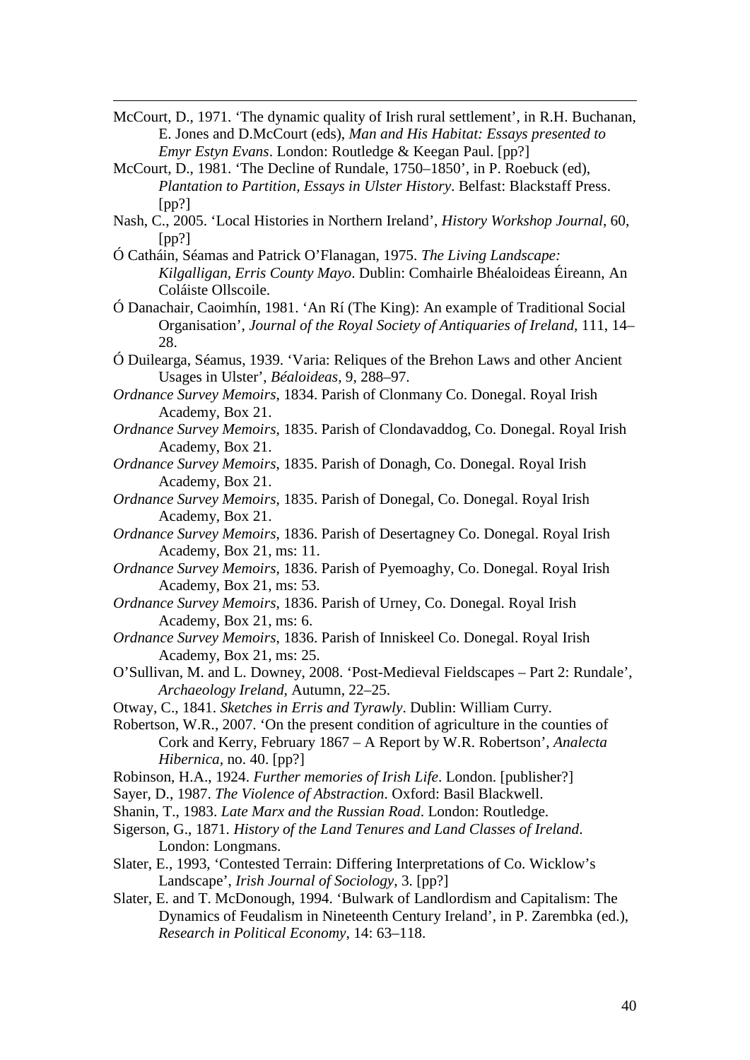- McCourt, D., 1971. 'The dynamic quality of Irish rural settlement', in R.H. Buchanan, E. Jones and D.McCourt (eds), *Man and His Habitat: Essays presented to Emyr Estyn Evans*. London: Routledge & Keegan Paul. [pp?]
- McCourt, D., 1981. 'The Decline of Rundale, 1750–1850', in P. Roebuck (ed), *Plantation to Partition, Essays in Ulster History*. Belfast: Blackstaff Press.  $[pp?]$

-

- Nash, C., 2005. 'Local Histories in Northern Ireland', *History Workshop Journal*, 60, [pp?]
- Ó Catháin, Séamas and Patrick O'Flanagan, 1975. *The Living Landscape: Kilgalligan, Erris County Mayo*. Dublin: Comhairle Bhéaloideas Éireann, An Coláiste Ollscoile.
- Ó Danachair, Caoimhín, 1981. 'An Rí (The King): An example of Traditional Social Organisation', *Journal of the Royal Society of Antiquaries of Ireland*, 111, 14– 28.
- Ó Duilearga, Séamus, 1939. 'Varia: Reliques of the Brehon Laws and other Ancient Usages in Ulster', *Béaloideas*, 9, 288–97.
- *Ordnance Survey Memoirs*, 1834. Parish of Clonmany Co. Donegal. Royal Irish Academy, Box 21.
- *Ordnance Survey Memoirs*, 1835. Parish of Clondavaddog, Co. Donegal. Royal Irish Academy, Box 21.
- *Ordnance Survey Memoirs*, 1835. Parish of Donagh, Co. Donegal. Royal Irish Academy, Box 21.
- *Ordnance Survey Memoirs*, 1835. Parish of Donegal, Co. Donegal. Royal Irish Academy, Box 21.
- *Ordnance Survey Memoirs*, 1836. Parish of Desertagney Co. Donegal. Royal Irish Academy, Box 21, ms: 11.
- *Ordnance Survey Memoirs*, 1836. Parish of Pyemoaghy, Co. Donegal. Royal Irish Academy, Box 21, ms: 53.
- *Ordnance Survey Memoirs*, 1836. Parish of Urney, Co. Donegal. Royal Irish Academy, Box 21, ms: 6.
- *Ordnance Survey Memoirs*, 1836. Parish of Inniskeel Co. Donegal. Royal Irish Academy, Box 21, ms: 25.
- O'Sullivan, M. and L. Downey, 2008. 'Post-Medieval Fieldscapes Part 2: Rundale', *Archaeology Ireland,* Autumn, 22–25.
- Otway, C., 1841. *Sketches in Erris and Tyrawly*. Dublin: William Curry.
- Robertson, W.R., 2007. 'On the present condition of agriculture in the counties of Cork and Kerry, February 1867 – A Report by W.R. Robertson', *Analecta Hibernica,* no. 40. [pp?]
- Robinson, H.A., 1924. *Further memories of Irish Life*. London. [publisher?]
- Sayer, D., 1987. *The Violence of Abstraction*. Oxford: Basil Blackwell.
- Shanin, T., 1983. *Late Marx and the Russian Road*. London: Routledge.
- Sigerson, G., 1871. *History of the Land Tenures and Land Classes of Ireland*. London: Longmans.
- Slater, E., 1993, 'Contested Terrain: Differing Interpretations of Co. Wicklow's Landscape', *Irish Journal of Sociology*, 3. [pp?]
- Slater, E. and T. McDonough, 1994. 'Bulwark of Landlordism and Capitalism: The Dynamics of Feudalism in Nineteenth Century Ireland', in P. Zarembka (ed.), *Research in Political Economy*, 14: 63–118.